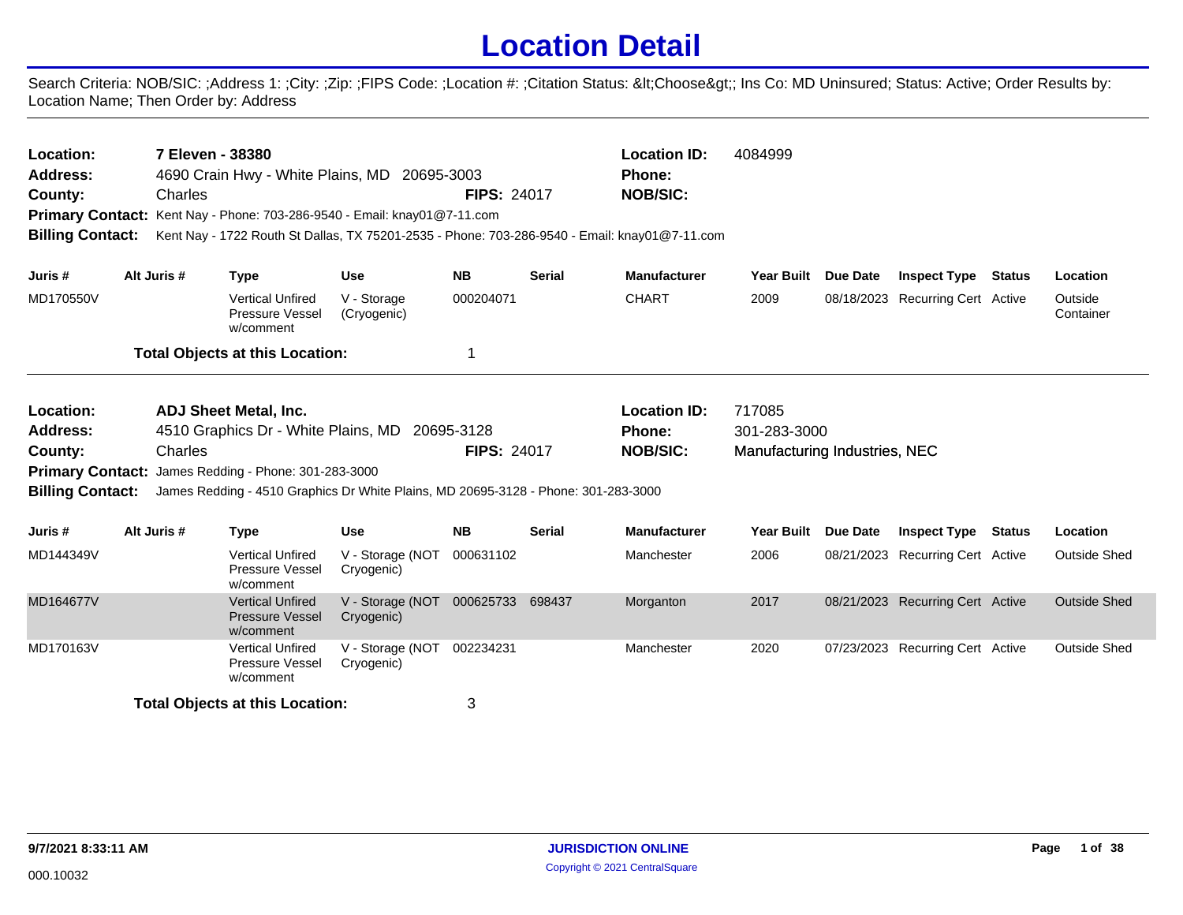## **Location Detail**

Search Criteria: NOB/SIC: ;Address 1: ;City: ;Zip: ;FIPS Code: ;Location #: ;Citation Status: <Choose&gt;; Ins Co: MD Uninsured; Status: Active; Order Results by: Location Name; Then Order by: Address

| 7 Eleven - 38380<br>Location:<br>4690 Crain Hwy - White Plains, MD 20695-3003<br>Address: |                                                                              |             |                                                                |                                                                                    |                    | <b>Location ID:</b> | 4084999                                                                                       |                               |          |                                  |        |                      |
|-------------------------------------------------------------------------------------------|------------------------------------------------------------------------------|-------------|----------------------------------------------------------------|------------------------------------------------------------------------------------|--------------------|---------------------|-----------------------------------------------------------------------------------------------|-------------------------------|----------|----------------------------------|--------|----------------------|
|                                                                                           |                                                                              |             |                                                                |                                                                                    |                    |                     | <b>Phone:</b>                                                                                 |                               |          |                                  |        |                      |
| County:                                                                                   |                                                                              | Charles     |                                                                |                                                                                    | <b>FIPS: 24017</b> |                     | <b>NOB/SIC:</b>                                                                               |                               |          |                                  |        |                      |
|                                                                                           |                                                                              |             |                                                                | <b>Primary Contact:</b> Kent Nay - Phone: 703-286-9540 - Email: knay01@7-11.com    |                    |                     |                                                                                               |                               |          |                                  |        |                      |
| <b>Billing Contact:</b>                                                                   |                                                                              |             |                                                                |                                                                                    |                    |                     | Kent Nay - 1722 Routh St Dallas, TX 75201-2535 - Phone: 703-286-9540 - Email: knay01@7-11.com |                               |          |                                  |        |                      |
| Juris #                                                                                   |                                                                              | Alt Juris # | <b>Type</b>                                                    | <b>Use</b>                                                                         | <b>NB</b>          | <b>Serial</b>       | <b>Manufacturer</b>                                                                           | <b>Year Built</b>             | Due Date | <b>Inspect Type</b>              | Status | Location             |
| MD170550V                                                                                 |                                                                              |             | <b>Vertical Unfired</b><br><b>Pressure Vessel</b><br>w/comment | V - Storage<br>(Cryogenic)                                                         | 000204071          |                     | <b>CHART</b>                                                                                  | 2009                          |          | 08/18/2023 Recurring Cert Active |        | Outside<br>Container |
|                                                                                           |                                                                              |             | <b>Total Objects at this Location:</b>                         |                                                                                    |                    |                     |                                                                                               |                               |          |                                  |        |                      |
| Location:                                                                                 |                                                                              |             | <b>ADJ Sheet Metal, Inc.</b>                                   |                                                                                    |                    |                     | <b>Location ID:</b>                                                                           | 717085                        |          |                                  |        |                      |
|                                                                                           |                                                                              |             |                                                                |                                                                                    |                    |                     | Phone:                                                                                        | 301-283-3000                  |          |                                  |        |                      |
| County:                                                                                   | <b>Address:</b><br>4510 Graphics Dr - White Plains, MD 20695-3128<br>Charles |             |                                                                |                                                                                    | <b>FIPS: 24017</b> |                     | <b>NOB/SIC:</b>                                                                               |                               |          |                                  |        |                      |
|                                                                                           |                                                                              |             | Primary Contact: James Redding - Phone: 301-283-3000           |                                                                                    |                    |                     |                                                                                               | Manufacturing Industries, NEC |          |                                  |        |                      |
| <b>Billing Contact:</b>                                                                   |                                                                              |             |                                                                | James Redding - 4510 Graphics Dr White Plains, MD 20695-3128 - Phone: 301-283-3000 |                    |                     |                                                                                               |                               |          |                                  |        |                      |
|                                                                                           |                                                                              |             |                                                                |                                                                                    |                    |                     |                                                                                               |                               |          |                                  |        |                      |
| Juris #                                                                                   |                                                                              | Alt Juris # | <b>Type</b>                                                    | <b>Use</b>                                                                         | <b>NB</b>          | <b>Serial</b>       | <b>Manufacturer</b>                                                                           | <b>Year Built</b>             | Due Date | <b>Inspect Type Status</b>       |        | Location             |
| MD144349V                                                                                 |                                                                              |             | <b>Vertical Unfired</b><br>Pressure Vessel<br>w/comment        | V - Storage (NOT<br>Cryogenic)                                                     | 000631102          |                     | Manchester                                                                                    | 2006                          |          | 08/21/2023 Recurring Cert Active |        | <b>Outside Shed</b>  |
| MD164677V                                                                                 |                                                                              |             | <b>Vertical Unfired</b><br><b>Pressure Vessel</b><br>w/comment | V - Storage (NOT<br>Cryogenic)                                                     | 000625733 698437   |                     | Morganton                                                                                     | 2017                          |          | 08/21/2023 Recurring Cert Active |        | <b>Outside Shed</b>  |
| MD170163V                                                                                 |                                                                              |             | <b>Vertical Unfired</b><br>Pressure Vessel<br>w/comment        | V - Storage (NOT<br>Cryogenic)                                                     | 002234231          |                     | Manchester                                                                                    | 2020                          |          | 07/23/2023 Recurring Cert Active |        | <b>Outside Shed</b>  |
|                                                                                           |                                                                              |             | <b>Total Objects at this Location:</b>                         |                                                                                    | 3                  |                     |                                                                                               |                               |          |                                  |        |                      |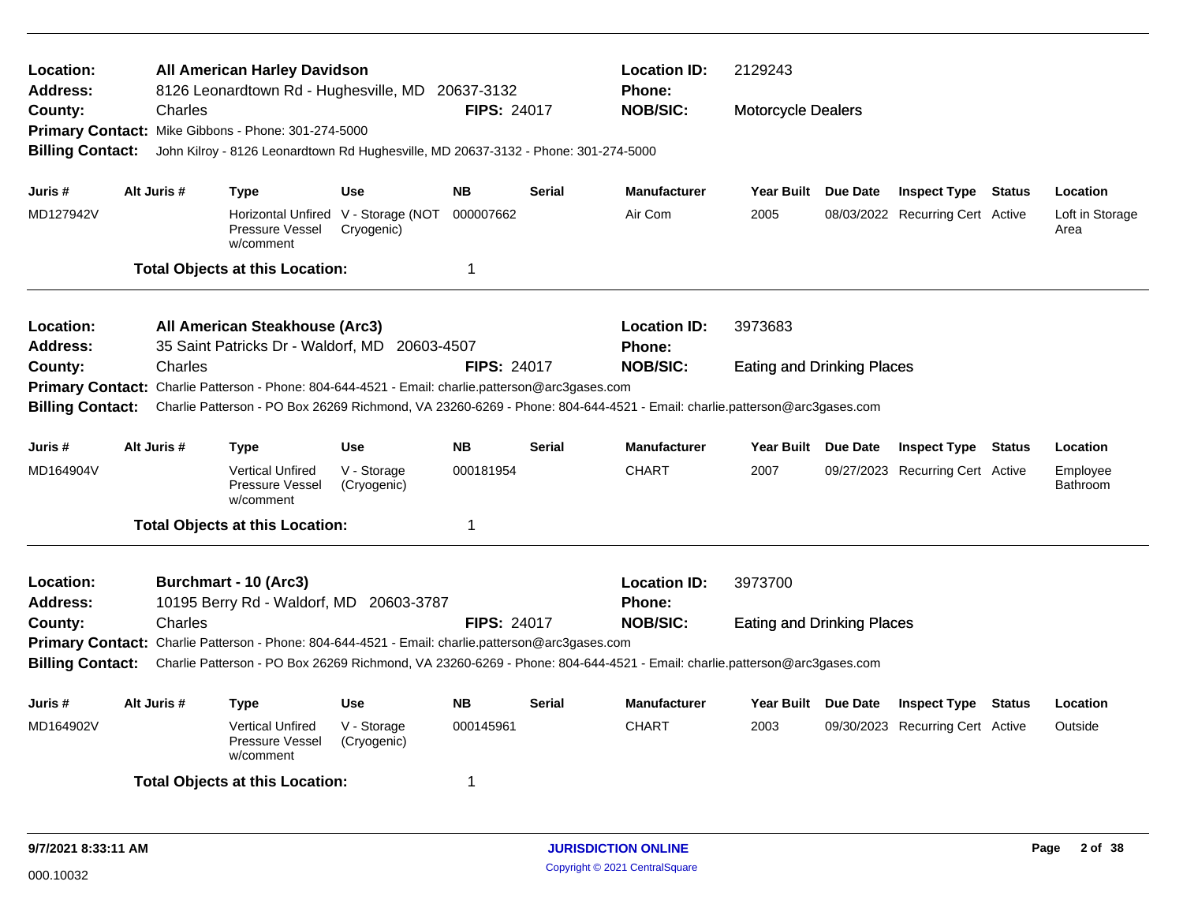| <b>All American Harley Davidson</b><br>Location:<br><b>Address:</b><br>8126 Leonardtown Rd - Hughesville, MD 20637-3132<br><b>FIPS: 24017</b><br>County:<br>Charles<br>Primary Contact: Mike Gibbons - Phone: 301-274-5000<br><b>Billing Contact:</b><br>John Kilroy - 8126 Leonardtown Rd Hughesville, MD 20637-3132 - Phone: 301-274-5000<br>Alt Juris #<br><b>NB</b><br>Juris #<br><b>Type</b><br><b>Use</b> |             |                                                                                                                                                                                                                                                                                                                 |                                                   |                             |               | <b>Location ID:</b><br>Phone:<br><b>NOB/SIC:</b> | 2129243<br><b>Motorcycle Dealers</b>         |          |                                                                |        |                                     |
|-----------------------------------------------------------------------------------------------------------------------------------------------------------------------------------------------------------------------------------------------------------------------------------------------------------------------------------------------------------------------------------------------------------------|-------------|-----------------------------------------------------------------------------------------------------------------------------------------------------------------------------------------------------------------------------------------------------------------------------------------------------------------|---------------------------------------------------|-----------------------------|---------------|--------------------------------------------------|----------------------------------------------|----------|----------------------------------------------------------------|--------|-------------------------------------|
| MD127942V                                                                                                                                                                                                                                                                                                                                                                                                       |             | Pressure Vessel<br>w/comment<br><b>Total Objects at this Location:</b>                                                                                                                                                                                                                                          | Horizontal Unfired V - Storage (NOT<br>Cryogenic) | 000007662<br>1              | <b>Serial</b> | <b>Manufacturer</b><br>Air Com                   | <b>Year Built</b><br>2005                    | Due Date | <b>Inspect Type Status</b><br>08/03/2022 Recurring Cert Active |        | Location<br>Loft in Storage<br>Area |
| Location:<br><b>Address:</b><br>County:<br><b>Billing Contact:</b>                                                                                                                                                                                                                                                                                                                                              | Charles     | All American Steakhouse (Arc3)<br>35 Saint Patricks Dr - Waldorf, MD 20603-4507<br>Primary Contact: Charlie Patterson - Phone: 804-644-4521 - Email: charlie.patterson@arc3gases.com<br>Charlie Patterson - PO Box 26269 Richmond, VA 23260-6269 - Phone: 804-644-4521 - Email: charlie.patterson@arc3gases.com |                                                   | <b>FIPS: 24017</b>          |               | <b>Location ID:</b><br>Phone:<br><b>NOB/SIC:</b> | 3973683<br><b>Eating and Drinking Places</b> |          |                                                                |        |                                     |
| Juris #<br>MD164904V                                                                                                                                                                                                                                                                                                                                                                                            | Alt Juris # | Type<br><b>Vertical Unfired</b><br><b>Pressure Vessel</b><br>w/comment<br><b>Total Objects at this Location:</b>                                                                                                                                                                                                | <b>Use</b><br>V - Storage<br>(Cryogenic)          | <b>NB</b><br>000181954<br>1 | <b>Serial</b> | Manufacturer<br><b>CHART</b>                     | Year Built Due Date<br>2007                  |          | <b>Inspect Type Status</b><br>09/27/2023 Recurring Cert Active |        | Location<br>Employee<br>Bathroom    |
| Location:<br>Address:<br>County:<br><b>Billing Contact:</b>                                                                                                                                                                                                                                                                                                                                                     | Charles     | Burchmart - 10 (Arc3)<br>10195 Berry Rd - Waldorf, MD 20603-3787<br>Primary Contact: Charlie Patterson - Phone: 804-644-4521 - Email: charlie.patterson@arc3gases.com<br>Charlie Patterson - PO Box 26269 Richmond, VA 23260-6269 - Phone: 804-644-4521 - Email: charlie.patterson@arc3gases.com                |                                                   | <b>FIPS: 24017</b>          |               | <b>Location ID:</b><br>Phone:<br><b>NOB/SIC:</b> | 3973700<br><b>Eating and Drinking Places</b> |          |                                                                |        |                                     |
| Juris #<br>MD164902V                                                                                                                                                                                                                                                                                                                                                                                            | Alt Juris # | Type<br><b>Vertical Unfired</b><br>Pressure Vessel<br>w/comment<br><b>Total Objects at this Location:</b>                                                                                                                                                                                                       | <b>Use</b><br>V - Storage<br>(Cryogenic)          | <b>NB</b><br>000145961<br>1 | <b>Serial</b> | <b>Manufacturer</b><br><b>CHART</b>              | <b>Year Built</b><br>2003                    | Due Date | <b>Inspect Type</b><br>09/30/2023 Recurring Cert Active        | Status | Location<br>Outside                 |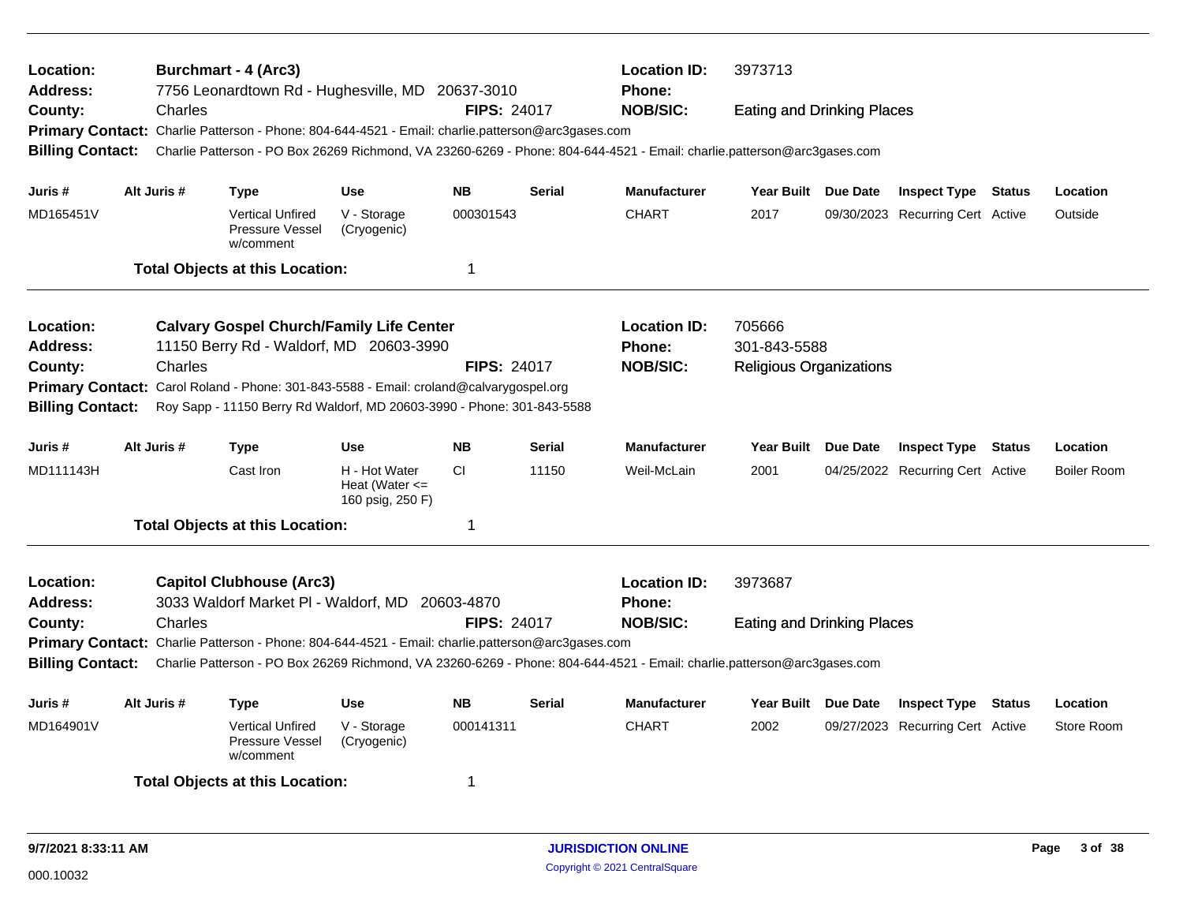| Location:<br><b>Address:</b> |                                                                                                   |             | <b>Burchmart - 4 (Arc3)</b><br>7756 Leonardtown Rd - Hughesville, MD 20637-3010                   |                                                     |                    |               | <b>Location ID:</b><br><b>Phone:</b>                                                                                    | 3973713                           |                 |                                  |               |                    |
|------------------------------|---------------------------------------------------------------------------------------------------|-------------|---------------------------------------------------------------------------------------------------|-----------------------------------------------------|--------------------|---------------|-------------------------------------------------------------------------------------------------------------------------|-----------------------------------|-----------------|----------------------------------|---------------|--------------------|
| County:                      |                                                                                                   | Charles     |                                                                                                   |                                                     | <b>FIPS: 24017</b> |               | <b>NOB/SIC:</b>                                                                                                         | <b>Eating and Drinking Places</b> |                 |                                  |               |                    |
|                              |                                                                                                   |             | Primary Contact: Charlie Patterson - Phone: 804-644-4521 - Email: charlie.patterson@arc3gases.com |                                                     |                    |               |                                                                                                                         |                                   |                 |                                  |               |                    |
| <b>Billing Contact:</b>      |                                                                                                   |             |                                                                                                   |                                                     |                    |               | Charlie Patterson - PO Box 26269 Richmond, VA 23260-6269 - Phone: 804-644-4521 - Email: charlie.patterson@arc3gases.com |                                   |                 |                                  |               |                    |
| Juris #                      |                                                                                                   | Alt Juris # | Type                                                                                              | <b>Use</b>                                          | <b>NB</b>          | <b>Serial</b> | <b>Manufacturer</b>                                                                                                     | Year Built Due Date               |                 | <b>Inspect Type Status</b>       |               | Location           |
| MD165451V                    |                                                                                                   |             | <b>Vertical Unfired</b><br>Pressure Vessel<br>w/comment                                           | V - Storage<br>(Cryogenic)                          | 000301543          |               | <b>CHART</b>                                                                                                            | 2017                              |                 | 09/30/2023 Recurring Cert Active |               | Outside            |
|                              |                                                                                                   |             | <b>Total Objects at this Location:</b>                                                            |                                                     | -1                 |               |                                                                                                                         |                                   |                 |                                  |               |                    |
| <b>Location:</b>             |                                                                                                   |             | <b>Calvary Gospel Church/Family Life Center</b>                                                   |                                                     |                    |               | <b>Location ID:</b>                                                                                                     | 705666                            |                 |                                  |               |                    |
| <b>Address:</b>              |                                                                                                   |             | 11150 Berry Rd - Waldorf, MD 20603-3990                                                           |                                                     |                    |               | Phone:                                                                                                                  | 301-843-5588                      |                 |                                  |               |                    |
| County:                      | Charles<br><b>FIPS: 24017</b>                                                                     |             |                                                                                                   |                                                     |                    |               | <b>NOB/SIC:</b>                                                                                                         | <b>Religious Organizations</b>    |                 |                                  |               |                    |
|                              | <b>Primary Contact:</b><br>Carol Roland - Phone: 301-843-5588 - Email: croland@calvarygospel.org  |             |                                                                                                   |                                                     |                    |               |                                                                                                                         |                                   |                 |                                  |               |                    |
|                              | <b>Billing Contact:</b><br>Roy Sapp - 11150 Berry Rd Waldorf, MD 20603-3990 - Phone: 301-843-5588 |             |                                                                                                   |                                                     |                    |               |                                                                                                                         |                                   |                 |                                  |               |                    |
| Juris #                      |                                                                                                   | Alt Juris # | Type                                                                                              | Use                                                 | <b>NB</b>          | <b>Serial</b> | <b>Manufacturer</b>                                                                                                     | <b>Year Built</b>                 | Due Date        | <b>Inspect Type Status</b>       |               | Location           |
| MD111143H                    |                                                                                                   |             | Cast Iron                                                                                         | H - Hot Water<br>Heat (Water <=<br>160 psig, 250 F) | <b>CI</b>          | 11150         | Weil-McLain                                                                                                             | 2001                              |                 | 04/25/2022 Recurring Cert Active |               | <b>Boiler Room</b> |
|                              |                                                                                                   |             | <b>Total Objects at this Location:</b>                                                            |                                                     | -1                 |               |                                                                                                                         |                                   |                 |                                  |               |                    |
| Location:                    |                                                                                                   |             | <b>Capitol Clubhouse (Arc3)</b>                                                                   |                                                     |                    |               | <b>Location ID:</b>                                                                                                     | 3973687                           |                 |                                  |               |                    |
| <b>Address:</b>              |                                                                                                   |             | 3033 Waldorf Market PI - Waldorf, MD 20603-4870                                                   |                                                     |                    |               | <b>Phone:</b>                                                                                                           |                                   |                 |                                  |               |                    |
| County:                      |                                                                                                   | Charles     |                                                                                                   |                                                     | <b>FIPS: 24017</b> |               | <b>NOB/SIC:</b>                                                                                                         | <b>Eating and Drinking Places</b> |                 |                                  |               |                    |
|                              |                                                                                                   |             | Primary Contact: Charlie Patterson - Phone: 804-644-4521 - Email: charlie.patterson@arc3gases.com |                                                     |                    |               |                                                                                                                         |                                   |                 |                                  |               |                    |
| <b>Billing Contact:</b>      |                                                                                                   |             |                                                                                                   |                                                     |                    |               | Charlie Patterson - PO Box 26269 Richmond, VA 23260-6269 - Phone: 804-644-4521 - Email: charlie.patterson@arc3gases.com |                                   |                 |                                  |               |                    |
| Juris #                      |                                                                                                   | Alt Juris # | <b>Type</b>                                                                                       | <b>Use</b>                                          | <b>NB</b>          | <b>Serial</b> | <b>Manufacturer</b>                                                                                                     | <b>Year Built</b>                 | <b>Due Date</b> | <b>Inspect Type</b>              | <b>Status</b> | Location           |
| MD164901V                    |                                                                                                   |             | <b>Vertical Unfired</b><br>Pressure Vessel<br>w/comment                                           | V - Storage<br>(Cryogenic)                          | 000141311          |               | <b>CHART</b>                                                                                                            | 2002                              |                 | 09/27/2023 Recurring Cert Active |               | Store Room         |
|                              |                                                                                                   |             | <b>Total Objects at this Location:</b>                                                            |                                                     | -1                 |               |                                                                                                                         |                                   |                 |                                  |               |                    |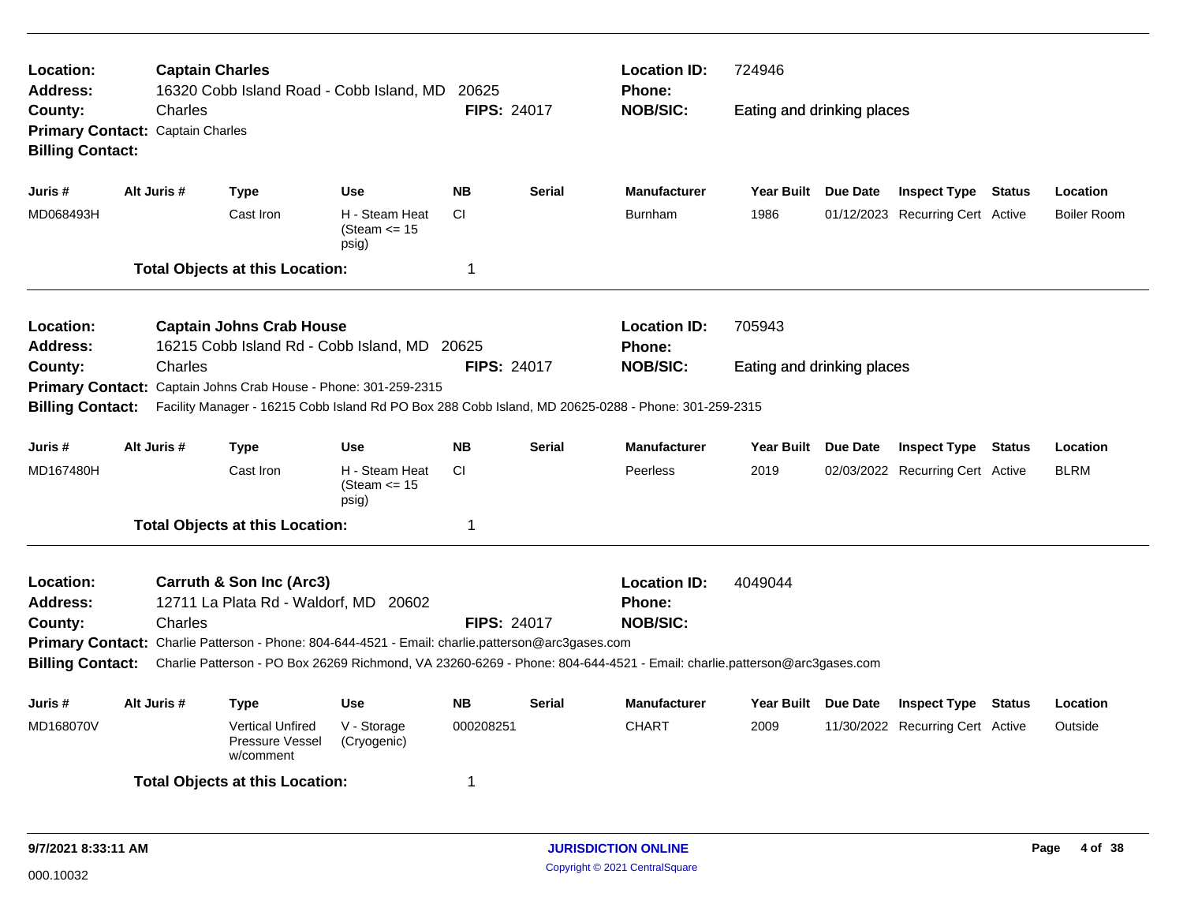| <b>Location:</b><br><b>Address:</b><br>County: | Charles                                                                                                                        | <b>Captain Charles</b><br>16320 Cobb Island Road - Cobb Island, MD                                                      |                                             | 20625<br><b>FIPS: 24017</b> |               | <b>Location ID:</b><br>Phone:<br><b>NOB/SIC:</b> | 724946<br>Eating and drinking places |  |                                  |  |                    |
|------------------------------------------------|--------------------------------------------------------------------------------------------------------------------------------|-------------------------------------------------------------------------------------------------------------------------|---------------------------------------------|-----------------------------|---------------|--------------------------------------------------|--------------------------------------|--|----------------------------------|--|--------------------|
| <b>Billing Contact:</b>                        | Primary Contact: Captain Charles                                                                                               |                                                                                                                         |                                             |                             |               |                                                  |                                      |  |                                  |  |                    |
| Juris #                                        | Alt Juris #                                                                                                                    | <b>Type</b>                                                                                                             | <b>Use</b>                                  | <b>NB</b>                   | <b>Serial</b> | <b>Manufacturer</b>                              | Year Built Due Date                  |  | <b>Inspect Type Status</b>       |  | Location           |
| MD068493H                                      |                                                                                                                                | Cast Iron                                                                                                               | H - Steam Heat<br>(Steam $\leq$ 15<br>psig) | <b>CI</b>                   |               | Burnham                                          | 1986                                 |  | 01/12/2023 Recurring Cert Active |  | <b>Boiler Room</b> |
|                                                |                                                                                                                                | <b>Total Objects at this Location:</b>                                                                                  |                                             | $\overline{1}$              |               |                                                  |                                      |  |                                  |  |                    |
| Location:<br>Address:                          |                                                                                                                                | <b>Captain Johns Crab House</b><br>16215 Cobb Island Rd - Cobb Island, MD 20625                                         |                                             |                             |               | <b>Location ID:</b><br>Phone:                    | 705943                               |  |                                  |  |                    |
| Charles<br>County:                             |                                                                                                                                |                                                                                                                         |                                             | <b>FIPS: 24017</b>          |               | <b>NOB/SIC:</b>                                  | Eating and drinking places           |  |                                  |  |                    |
|                                                | Primary Contact: Captain Johns Crab House - Phone: 301-259-2315                                                                |                                                                                                                         |                                             |                             |               |                                                  |                                      |  |                                  |  |                    |
|                                                | <b>Billing Contact:</b><br>Facility Manager - 16215 Cobb Island Rd PO Box 288 Cobb Island, MD 20625-0288 - Phone: 301-259-2315 |                                                                                                                         |                                             |                             |               |                                                  |                                      |  |                                  |  |                    |
| Juris #                                        | Alt Juris #                                                                                                                    | <b>Type</b>                                                                                                             | <b>Use</b>                                  | <b>NB</b>                   | <b>Serial</b> | <b>Manufacturer</b>                              | Year Built Due Date                  |  | <b>Inspect Type Status</b>       |  | Location           |
| MD167480H                                      |                                                                                                                                | Cast Iron                                                                                                               | H - Steam Heat<br>(Steam $\leq$ 15<br>psig) | <b>CI</b>                   |               | Peerless                                         | 2019                                 |  | 02/03/2022 Recurring Cert Active |  | <b>BLRM</b>        |
|                                                |                                                                                                                                | <b>Total Objects at this Location:</b>                                                                                  |                                             | -1                          |               |                                                  |                                      |  |                                  |  |                    |
| Location:<br><b>Address:</b>                   |                                                                                                                                | Carruth & Son Inc (Arc3)<br>12711 La Plata Rd - Waldorf, MD 20602                                                       |                                             |                             |               | <b>Location ID:</b><br><b>Phone:</b>             | 4049044                              |  |                                  |  |                    |
| County:                                        | Charles                                                                                                                        |                                                                                                                         |                                             | <b>FIPS: 24017</b>          |               | <b>NOB/SIC:</b>                                  |                                      |  |                                  |  |                    |
|                                                |                                                                                                                                | Primary Contact: Charlie Patterson - Phone: 804-644-4521 - Email: charlie.patterson@arc3gases.com                       |                                             |                             |               |                                                  |                                      |  |                                  |  |                    |
| <b>Billing Contact:</b>                        |                                                                                                                                | Charlie Patterson - PO Box 26269 Richmond, VA 23260-6269 - Phone: 804-644-4521 - Email: charlie.patterson@arc3gases.com |                                             |                             |               |                                                  |                                      |  |                                  |  |                    |
| Juris #                                        | Alt Juris #                                                                                                                    | Type                                                                                                                    | Use                                         | <b>NB</b>                   | <b>Serial</b> | <b>Manufacturer</b>                              | Year Built Due Date                  |  | <b>Inspect Type Status</b>       |  | Location           |
| MD168070V                                      |                                                                                                                                | <b>Vertical Unfired</b><br>Pressure Vessel<br>w/comment                                                                 | V - Storage<br>(Cryogenic)                  | 000208251                   |               | <b>CHART</b>                                     | 2009                                 |  | 11/30/2022 Recurring Cert Active |  | Outside            |
|                                                |                                                                                                                                | <b>Total Objects at this Location:</b>                                                                                  |                                             | -1                          |               |                                                  |                                      |  |                                  |  |                    |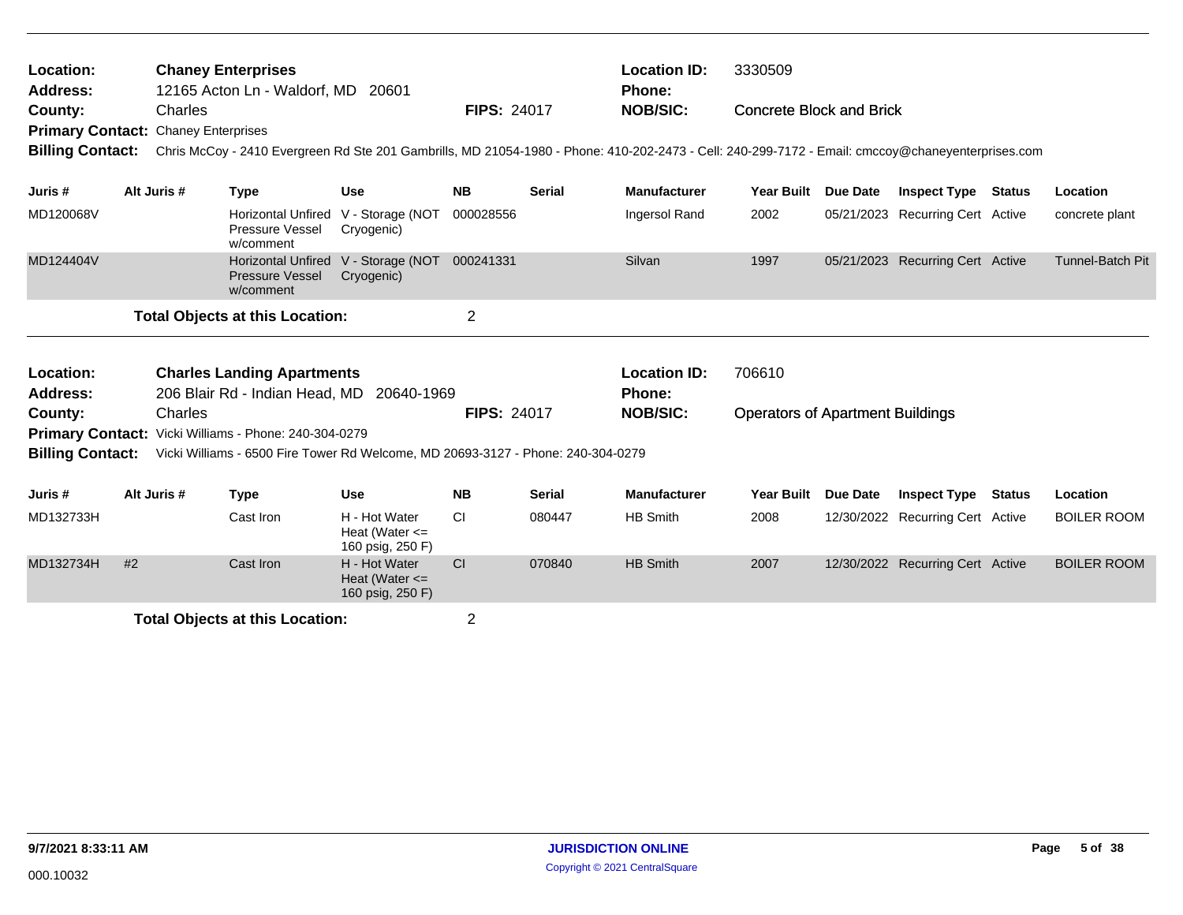| Location:<br><b>Address:</b>                          | <b>Chaney Enterprises</b><br>12165 Acton Ln - Waldorf, MD 20601<br>Charles |             |                                                                                                                                                   |                                                         |                    |               | <b>Location ID:</b><br>Phone: | 3330509                                 |          |                                  |        |                         |
|-------------------------------------------------------|----------------------------------------------------------------------------|-------------|---------------------------------------------------------------------------------------------------------------------------------------------------|---------------------------------------------------------|--------------------|---------------|-------------------------------|-----------------------------------------|----------|----------------------------------|--------|-------------------------|
| County:<br><b>Primary Contact: Chaney Enterprises</b> |                                                                            |             |                                                                                                                                                   |                                                         | <b>FIPS: 24017</b> |               | <b>NOB/SIC:</b>               | <b>Concrete Block and Brick</b>         |          |                                  |        |                         |
| <b>Billing Contact:</b>                               |                                                                            |             | Chris McCoy - 2410 Evergreen Rd Ste 201 Gambrills, MD 21054-1980 - Phone: 410-202-2473 - Cell: 240-299-7172 - Email: cmccoy@chaneyenterprises.com |                                                         |                    |               |                               |                                         |          |                                  |        |                         |
| Juris #                                               |                                                                            | Alt Juris # | <b>Type</b>                                                                                                                                       | <b>Use</b>                                              | <b>NB</b>          | <b>Serial</b> | <b>Manufacturer</b>           | <b>Year Built</b>                       | Due Date | <b>Inspect Type Status</b>       |        | Location                |
| MD120068V                                             |                                                                            |             | <b>Horizontal Unfired</b><br>Pressure Vessel<br>w/comment                                                                                         | V - Storage (NOT<br>Cryogenic)                          | 000028556          |               | Ingersol Rand                 | 2002                                    |          | 05/21/2023 Recurring Cert Active |        | concrete plant          |
| MD124404V                                             |                                                                            |             | <b>Horizontal Unfired</b><br><b>Pressure Vessel</b><br>w/comment                                                                                  | V - Storage (NOT 000241331<br>Cryogenic)                |                    |               | Silvan                        | 1997                                    |          | 05/21/2023 Recurring Cert Active |        | <b>Tunnel-Batch Pit</b> |
|                                                       |                                                                            |             | <b>Total Objects at this Location:</b>                                                                                                            |                                                         | $\overline{c}$     |               |                               |                                         |          |                                  |        |                         |
| Location:                                             |                                                                            |             | <b>Charles Landing Apartments</b>                                                                                                                 |                                                         |                    |               | <b>Location ID:</b>           | 706610                                  |          |                                  |        |                         |
| <b>Address:</b>                                       |                                                                            |             | 206 Blair Rd - Indian Head, MD 20640-1969                                                                                                         |                                                         |                    |               | Phone:                        |                                         |          |                                  |        |                         |
| County:                                               |                                                                            | Charles     |                                                                                                                                                   |                                                         | <b>FIPS: 24017</b> |               | <b>NOB/SIC:</b>               | <b>Operators of Apartment Buildings</b> |          |                                  |        |                         |
|                                                       |                                                                            |             | Primary Contact: Vicki Williams - Phone: 240-304-0279                                                                                             |                                                         |                    |               |                               |                                         |          |                                  |        |                         |
| <b>Billing Contact:</b>                               |                                                                            |             | Vicki Williams - 6500 Fire Tower Rd Welcome, MD 20693-3127 - Phone: 240-304-0279                                                                  |                                                         |                    |               |                               |                                         |          |                                  |        |                         |
| Juris #                                               |                                                                            | Alt Juris # | <b>Type</b>                                                                                                                                       | Use                                                     | <b>NB</b>          | <b>Serial</b> | <b>Manufacturer</b>           | <b>Year Built</b>                       | Due Date | <b>Inspect Type</b>              | Status | Location                |
| MD132733H                                             |                                                                            |             | Cast Iron                                                                                                                                         | H - Hot Water<br>Heat (Water $\leq$<br>160 psig, 250 F) | <b>CI</b>          | 080447        | <b>HB Smith</b>               | 2008                                    |          | 12/30/2022 Recurring Cert Active |        | <b>BOILER ROOM</b>      |
| MD132734H                                             | #2                                                                         |             | Cast Iron                                                                                                                                         | H - Hot Water<br>Heat (Water $\leq$<br>160 psig, 250 F) | <b>CI</b>          | 070840        | <b>HB Smith</b>               | 2007                                    |          | 12/30/2022 Recurring Cert Active |        | <b>BOILER ROOM</b>      |
|                                                       |                                                                            |             | <b>Total Objects at this Location:</b>                                                                                                            |                                                         | $\overline{2}$     |               |                               |                                         |          |                                  |        |                         |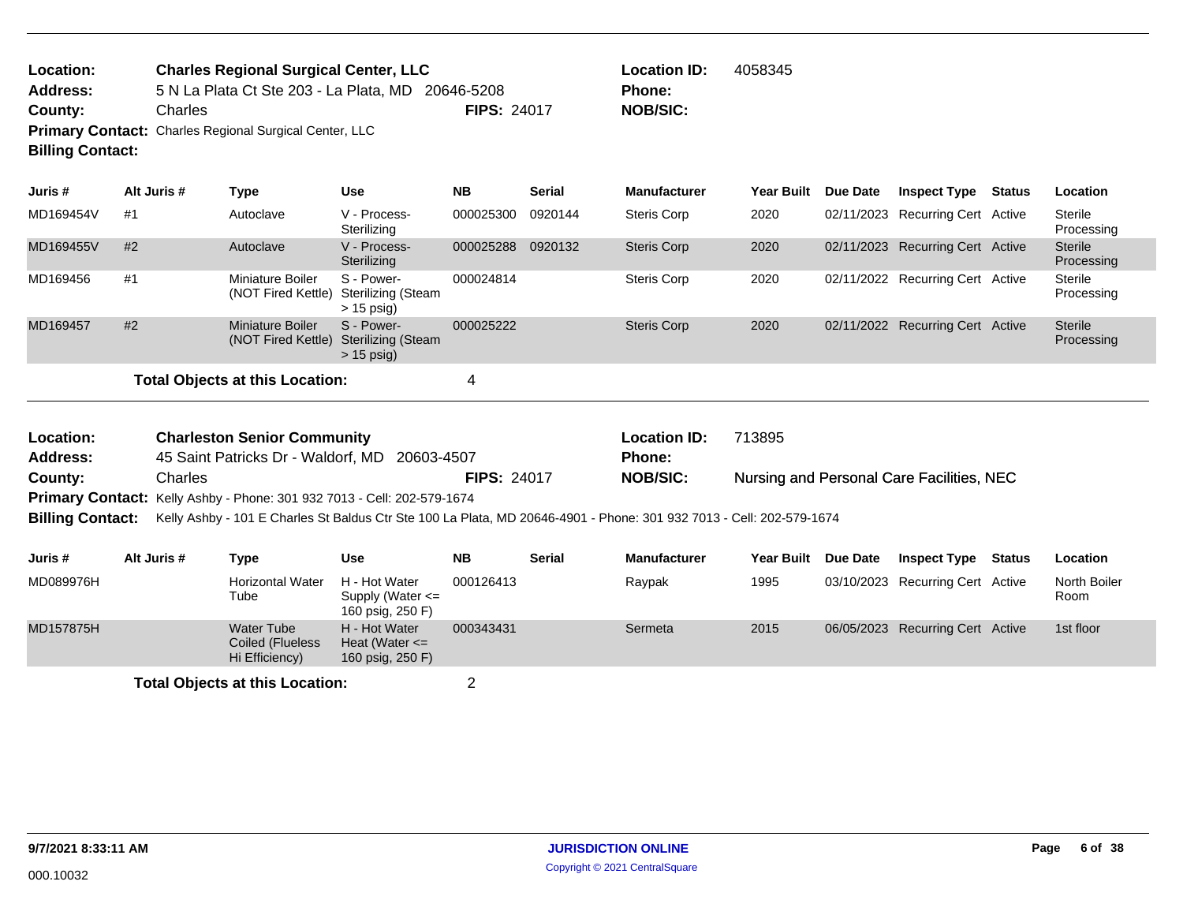| <b>Location:</b>        | <b>Charles Regional Surgical Center, LLC</b>                  |                    | <b>Location ID:</b> | 4058345 |
|-------------------------|---------------------------------------------------------------|--------------------|---------------------|---------|
| Address:                | 5 N La Plata Ct Ste 203 - La Plata, MD 20646-5208             |                    | <b>Phone:</b>       |         |
| County:                 | Charles                                                       | <b>FIPS: 24017</b> | <b>NOB/SIC:</b>     |         |
| <b>Billing Contact:</b> | <b>Primary Contact:</b> Charles Regional Surgical Center, LLC |                    |                     |         |

| Juris #   | Alt Juris # | Type                                   | <b>Use</b>                                              | <b>NB</b> | <b>Serial</b> | <b>Manufacturer</b> | Year Built | <b>Due Date</b> | <b>Inspect Type</b>              | Status | <b>Location</b>       |
|-----------|-------------|----------------------------------------|---------------------------------------------------------|-----------|---------------|---------------------|------------|-----------------|----------------------------------|--------|-----------------------|
| MD169454V | #1          | Autoclave                              | V - Process-<br>Sterilizing                             | 000025300 | 0920144       | Steris Corp         | 2020       |                 | 02/11/2023 Recurring Cert Active |        | Sterile<br>Processing |
| MD169455V | #2          | Autoclave                              | V - Process-<br>Sterilizing                             | 000025288 | 0920132       | <b>Steris Corp</b>  | 2020       |                 | 02/11/2023 Recurring Cert Active |        | Sterile<br>Processing |
| MD169456  | #1          | Miniature Boiler<br>(NOT Fired Kettle) | S - Power-<br>Sterilizing (Steam<br>$> 15$ psig)        | 000024814 |               | Steris Corp         | 2020       |                 | 02/11/2022 Recurring Cert Active |        | Sterile<br>Processing |
| MD169457  | #2          | Miniature Boiler<br>(NOT Fired Kettle) | S - Power-<br><b>Sterilizing (Steam</b><br>$> 15$ psig) | 000025222 |               | Steris Corp         | 2020       |                 | 02/11/2022 Recurring Cert Active |        | Sterile<br>Processing |
|           |             | Total Objects at this Location:        |                                                         | 4         |               |                     |            |                 |                                  |        |                       |

| Location:               | <b>Charleston Senior Community</b>                                                                                   |                    | <b>Location ID:</b> | 713895                                    |
|-------------------------|----------------------------------------------------------------------------------------------------------------------|--------------------|---------------------|-------------------------------------------|
| <b>Address:</b>         | 45 Saint Patricks Dr - Waldorf, MD 20603-4507                                                                        |                    | Phone:              |                                           |
| County:                 | Charles                                                                                                              | <b>FIPS: 24017</b> | <b>NOB/SIC:</b>     | Nursing and Personal Care Facilities, NEC |
|                         | <b>Primary Contact:</b> Kelly Ashby - Phone: 301 932 7013 - Cell: 202-579-1674                                       |                    |                     |                                           |
| <b>Billing Contact:</b> | Kelly Ashby - 101 E Charles St Baldus Ctr Ste 100 La Plata, MD 20646-4901 - Phone: 301 932 7013 - Cell: 202-579-1674 |                    |                     |                                           |

| Juris #   | Alt Juris # | Type                                             | Use                                                       | <b>NB</b> | <b>Serial</b> | <b>Manufacturer</b> | <b>Year Built</b> | <b>Due Date</b> | <b>Inspect Type</b>              | Status | Location             |
|-----------|-------------|--------------------------------------------------|-----------------------------------------------------------|-----------|---------------|---------------------|-------------------|-----------------|----------------------------------|--------|----------------------|
| MD089976H |             | <b>Horizontal Water</b><br>Tube                  | H - Hot Water<br>Supply (Water $\leq$<br>160 psig, 250 F) | 000126413 |               | Raypak              | 1995              |                 | 03/10/2023 Recurring Cert Active |        | North Boiler<br>Room |
| MD157875H |             | Water Tube<br>Coiled (Flueless<br>Hi Efficiency) | H - Hot Water<br>Heat (Water $\leq$<br>160 psig, 250 F)   | 000343431 |               | Sermeta             | 2015              |                 | 06/05/2023 Recurring Cert Active |        | 1st floor            |
|           |             | <b>Total Objects at this Location:</b>           |                                                           |           |               |                     |                   |                 |                                  |        |                      |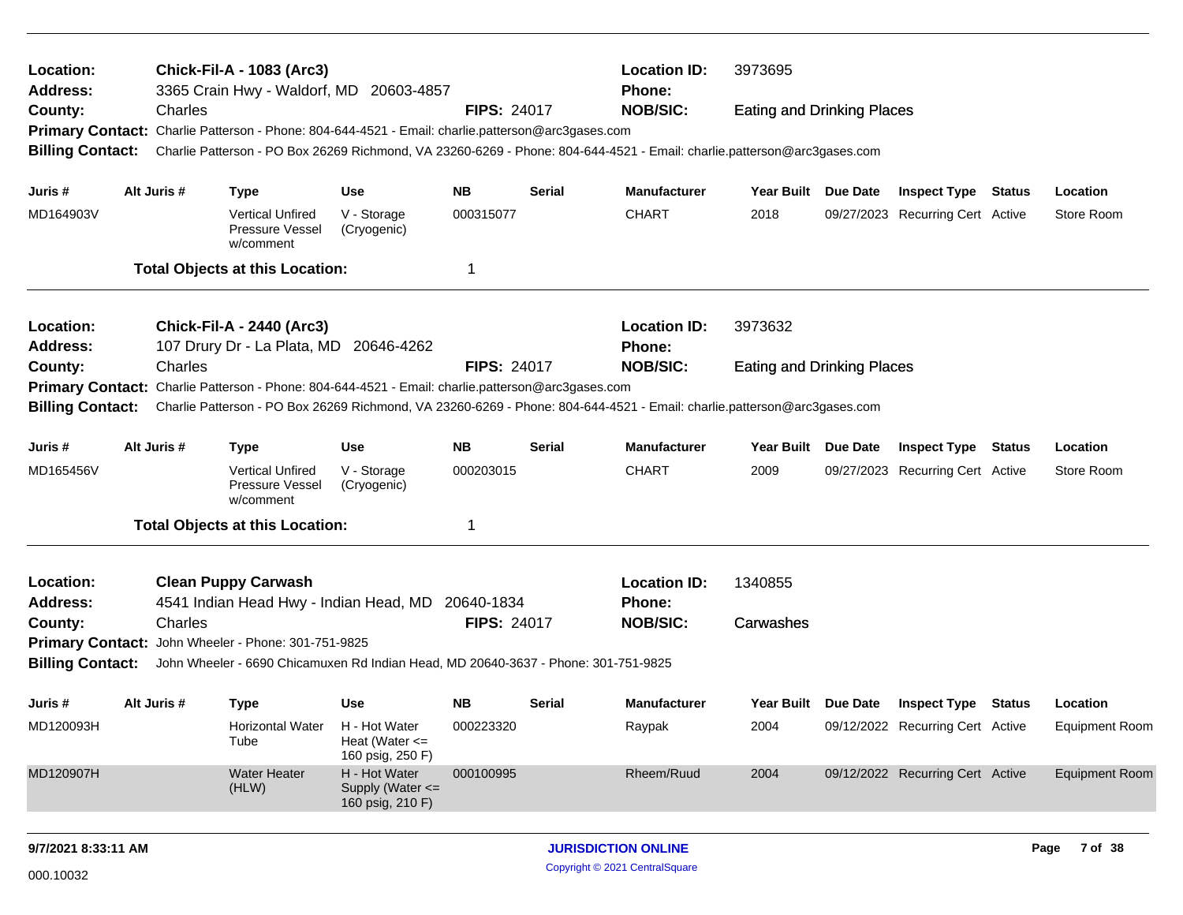| Location:                  |                                                                                                                                                    | <b>Chick-Fil-A - 1083 (Arc3)</b>                                                                  |                                                         |                    |               | <b>Location ID:</b>                                                                                                     | 3973695                           |          |                                  |                       |
|----------------------------|----------------------------------------------------------------------------------------------------------------------------------------------------|---------------------------------------------------------------------------------------------------|---------------------------------------------------------|--------------------|---------------|-------------------------------------------------------------------------------------------------------------------------|-----------------------------------|----------|----------------------------------|-----------------------|
| <b>Address:</b><br>County: | Charles                                                                                                                                            | 3365 Crain Hwy - Waldorf, MD 20603-4857                                                           |                                                         | <b>FIPS: 24017</b> |               | Phone:<br><b>NOB/SIC:</b>                                                                                               | <b>Eating and Drinking Places</b> |          |                                  |                       |
|                            |                                                                                                                                                    | Primary Contact: Charlie Patterson - Phone: 804-644-4521 - Email: charlie.patterson@arc3gases.com |                                                         |                    |               |                                                                                                                         |                                   |          |                                  |                       |
| <b>Billing Contact:</b>    |                                                                                                                                                    |                                                                                                   |                                                         |                    |               | Charlie Patterson - PO Box 26269 Richmond, VA 23260-6269 - Phone: 804-644-4521 - Email: charlie.patterson@arc3gases.com |                                   |          |                                  |                       |
| Juris #                    | Alt Juris #                                                                                                                                        | <b>Type</b>                                                                                       | Use                                                     | <b>NB</b>          | <b>Serial</b> | <b>Manufacturer</b>                                                                                                     | Year Built Due Date               |          | <b>Inspect Type Status</b>       | Location              |
| MD164903V                  |                                                                                                                                                    | <b>Vertical Unfired</b><br>Pressure Vessel<br>w/comment                                           | V - Storage<br>(Cryogenic)                              | 000315077          |               | <b>CHART</b>                                                                                                            | 2018                              |          | 09/27/2023 Recurring Cert Active | Store Room            |
|                            |                                                                                                                                                    | <b>Total Objects at this Location:</b>                                                            |                                                         | 1                  |               |                                                                                                                         |                                   |          |                                  |                       |
| Location:                  |                                                                                                                                                    | <b>Chick-Fil-A - 2440 (Arc3)</b>                                                                  |                                                         |                    |               | <b>Location ID:</b>                                                                                                     | 3973632                           |          |                                  |                       |
| <b>Address:</b>            |                                                                                                                                                    | 107 Drury Dr - La Plata, MD 20646-4262                                                            |                                                         |                    |               | <b>Phone:</b>                                                                                                           |                                   |          |                                  |                       |
| County:                    | Charles                                                                                                                                            |                                                                                                   |                                                         | <b>FIPS: 24017</b> |               | <b>NOB/SIC:</b>                                                                                                         | <b>Eating and Drinking Places</b> |          |                                  |                       |
|                            |                                                                                                                                                    | Primary Contact: Charlie Patterson - Phone: 804-644-4521 - Email: charlie.patterson@arc3gases.com |                                                         |                    |               |                                                                                                                         |                                   |          |                                  |                       |
|                            | <b>Billing Contact:</b><br>Charlie Patterson - PO Box 26269 Richmond, VA 23260-6269 - Phone: 804-644-4521 - Email: charlie.patterson@arc3gases.com |                                                                                                   |                                                         |                    |               |                                                                                                                         |                                   |          |                                  |                       |
| Juris #                    | Alt Juris #                                                                                                                                        | <b>Type</b>                                                                                       | Use                                                     | <b>NB</b>          | Serial        | <b>Manufacturer</b>                                                                                                     | <b>Year Built</b>                 | Due Date | <b>Inspect Type Status</b>       | Location              |
| MD165456V                  |                                                                                                                                                    | <b>Vertical Unfired</b><br>Pressure Vessel<br>w/comment                                           | V - Storage<br>(Cryogenic)                              | 000203015          |               | <b>CHART</b>                                                                                                            | 2009                              |          | 09/27/2023 Recurring Cert Active | Store Room            |
|                            |                                                                                                                                                    | <b>Total Objects at this Location:</b>                                                            |                                                         | 1                  |               |                                                                                                                         |                                   |          |                                  |                       |
| Location:                  |                                                                                                                                                    | <b>Clean Puppy Carwash</b>                                                                        |                                                         |                    |               | <b>Location ID:</b>                                                                                                     | 1340855                           |          |                                  |                       |
| <b>Address:</b>            |                                                                                                                                                    | 4541 Indian Head Hwy - Indian Head, MD                                                            |                                                         | 20640-1834         |               | <b>Phone:</b>                                                                                                           |                                   |          |                                  |                       |
| County:                    | Charles                                                                                                                                            |                                                                                                   |                                                         | <b>FIPS: 24017</b> |               | <b>NOB/SIC:</b>                                                                                                         | Carwashes                         |          |                                  |                       |
|                            |                                                                                                                                                    | Primary Contact: John Wheeler - Phone: 301-751-9825                                               |                                                         |                    |               |                                                                                                                         |                                   |          |                                  |                       |
| <b>Billing Contact:</b>    |                                                                                                                                                    | John Wheeler - 6690 Chicamuxen Rd Indian Head, MD 20640-3637 - Phone: 301-751-9825                |                                                         |                    |               |                                                                                                                         |                                   |          |                                  |                       |
| Juris #                    | Alt Juris #                                                                                                                                        | <b>Type</b>                                                                                       | Use                                                     | <b>NB</b>          | Serial        | <b>Manufacturer</b>                                                                                                     | Year Built Due Date               |          | <b>Inspect Type Status</b>       | Location              |
| MD120093H                  |                                                                                                                                                    | Horizontal Water<br>Tube                                                                          | H - Hot Water<br>Heat (Water $\leq$<br>160 psig, 250 F) | 000223320          |               | Raypak                                                                                                                  | 2004                              |          | 09/12/2022 Recurring Cert Active | <b>Equipment Room</b> |
| MD120907H                  |                                                                                                                                                    | <b>Water Heater</b><br>(HLW)                                                                      | H - Hot Water<br>Supply (Water <=<br>160 psig, 210 F)   | 000100995          |               | Rheem/Ruud                                                                                                              | 2004                              |          | 09/12/2022 Recurring Cert Active | <b>Equipment Room</b> |
| 9/7/2021 8:33:11 AM        |                                                                                                                                                    |                                                                                                   |                                                         |                    |               | <b>JURISDICTION ONLINE</b>                                                                                              |                                   |          |                                  | 7 of 38<br>Page       |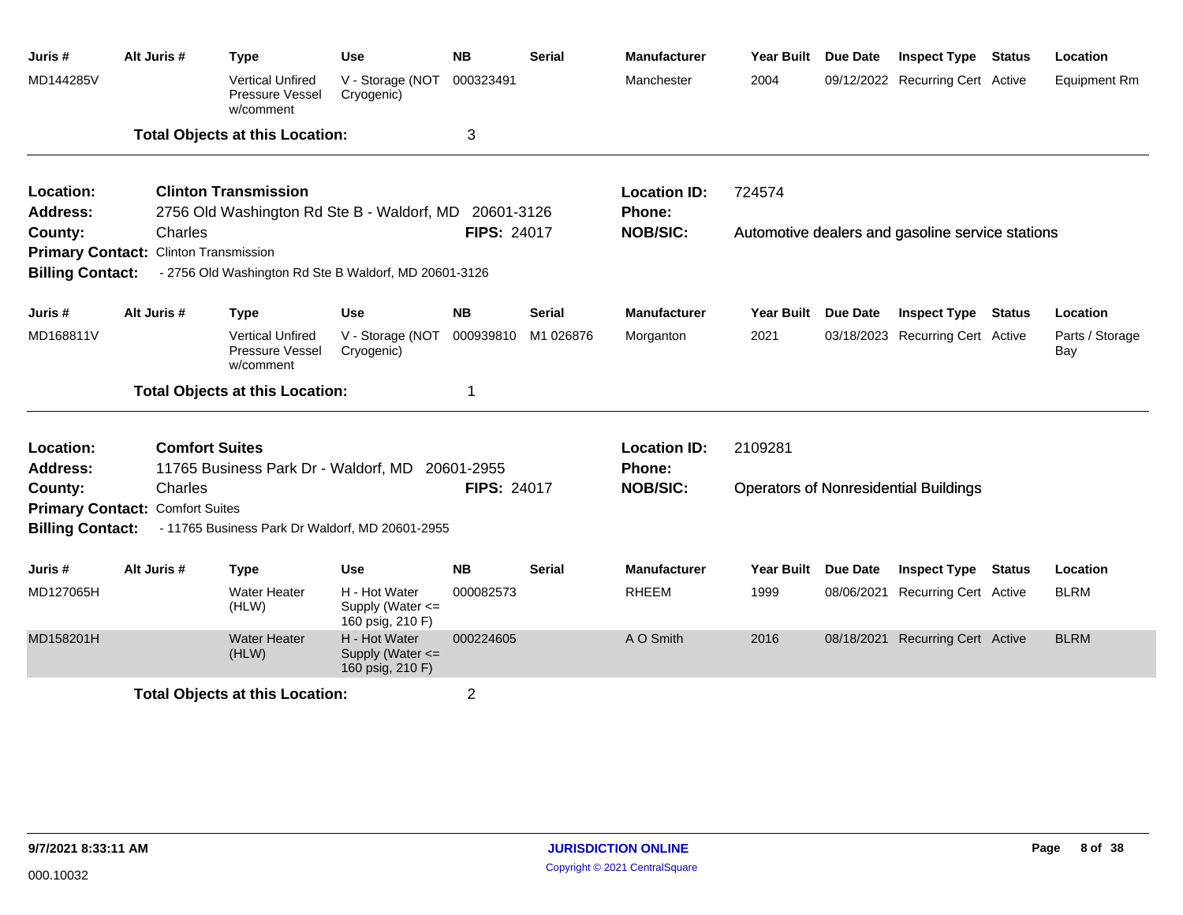| Juris #                 | Alt Juris #                                  | <b>Type</b>                                             | <b>Use</b>                                                | <b>NB</b>          | <b>Serial</b> | <b>Manufacturer</b> | Year Built          | <b>Due Date</b> | <b>Inspect Type</b>                              | <b>Status</b> | Location               |
|-------------------------|----------------------------------------------|---------------------------------------------------------|-----------------------------------------------------------|--------------------|---------------|---------------------|---------------------|-----------------|--------------------------------------------------|---------------|------------------------|
| MD144285V               |                                              | <b>Vertical Unfired</b><br>Pressure Vessel<br>w/comment | V - Storage (NOT<br>Cryogenic)                            | 000323491          |               | Manchester          | 2004                |                 | 09/12/2022 Recurring Cert Active                 |               | <b>Equipment Rm</b>    |
|                         |                                              | <b>Total Objects at this Location:</b>                  |                                                           | 3                  |               |                     |                     |                 |                                                  |               |                        |
| Location:               |                                              | <b>Clinton Transmission</b>                             |                                                           |                    |               | <b>Location ID:</b> | 724574              |                 |                                                  |               |                        |
| Address:                |                                              | 2756 Old Washington Rd Ste B - Waldorf, MD              |                                                           | 20601-3126         |               | Phone:              |                     |                 |                                                  |               |                        |
| County:                 | Charles                                      |                                                         |                                                           | <b>FIPS: 24017</b> |               | <b>NOB/SIC:</b>     |                     |                 | Automotive dealers and gasoline service stations |               |                        |
|                         | <b>Primary Contact: Clinton Transmission</b> |                                                         |                                                           |                    |               |                     |                     |                 |                                                  |               |                        |
| <b>Billing Contact:</b> |                                              | - 2756 Old Washington Rd Ste B Waldorf, MD 20601-3126   |                                                           |                    |               |                     |                     |                 |                                                  |               |                        |
| Juris #                 | Alt Juris #                                  | <b>Type</b>                                             | Use                                                       | <b>NB</b>          | <b>Serial</b> | <b>Manufacturer</b> | Year Built          | <b>Due Date</b> | <b>Inspect Type</b>                              | <b>Status</b> | Location               |
| MD168811V               |                                              | <b>Vertical Unfired</b><br>Pressure Vessel<br>w/comment | V - Storage (NOT<br>Cryogenic)                            | 000939810          | M1 026876     | Morganton           | 2021                |                 | 03/18/2023 Recurring Cert Active                 |               | Parts / Storage<br>Bay |
|                         |                                              | <b>Total Objects at this Location:</b>                  |                                                           | 1                  |               |                     |                     |                 |                                                  |               |                        |
| Location:               |                                              | <b>Comfort Suites</b>                                   |                                                           |                    |               | <b>Location ID:</b> | 2109281             |                 |                                                  |               |                        |
| <b>Address:</b>         |                                              | 11765 Business Park Dr - Waldorf, MD                    |                                                           | 20601-2955         |               | Phone:              |                     |                 |                                                  |               |                        |
| County:                 | Charles                                      |                                                         |                                                           | <b>FIPS: 24017</b> |               | <b>NOB/SIC:</b>     |                     |                 | <b>Operators of Nonresidential Buildings</b>     |               |                        |
|                         | <b>Primary Contact: Comfort Suites</b>       |                                                         |                                                           |                    |               |                     |                     |                 |                                                  |               |                        |
| <b>Billing Contact:</b> |                                              | - 11765 Business Park Dr Waldorf, MD 20601-2955         |                                                           |                    |               |                     |                     |                 |                                                  |               |                        |
| Juris #                 | Alt Juris #                                  | <b>Type</b>                                             | Use                                                       | <b>NB</b>          | <b>Serial</b> | <b>Manufacturer</b> | Year Built Due Date |                 | <b>Inspect Type</b>                              | Status        | Location               |
| MD127065H               |                                              | <b>Water Heater</b><br>(HLW)                            | H - Hot Water<br>Supply (Water $\leq$<br>160 psig, 210 F) | 000082573          |               | <b>RHEEM</b>        | 1999                |                 | 08/06/2021 Recurring Cert Active                 |               | <b>BLRM</b>            |
| MD158201H               |                                              | <b>Water Heater</b><br>(HLW)                            | H - Hot Water<br>Supply (Water <=<br>160 psig, 210 F)     | 000224605          |               | A O Smith           | 2016                |                 | 08/18/2021 Recurring Cert Active                 |               | <b>BLRM</b>            |
|                         |                                              | <b>Total Objects at this Location:</b>                  |                                                           | 2                  |               |                     |                     |                 |                                                  |               |                        |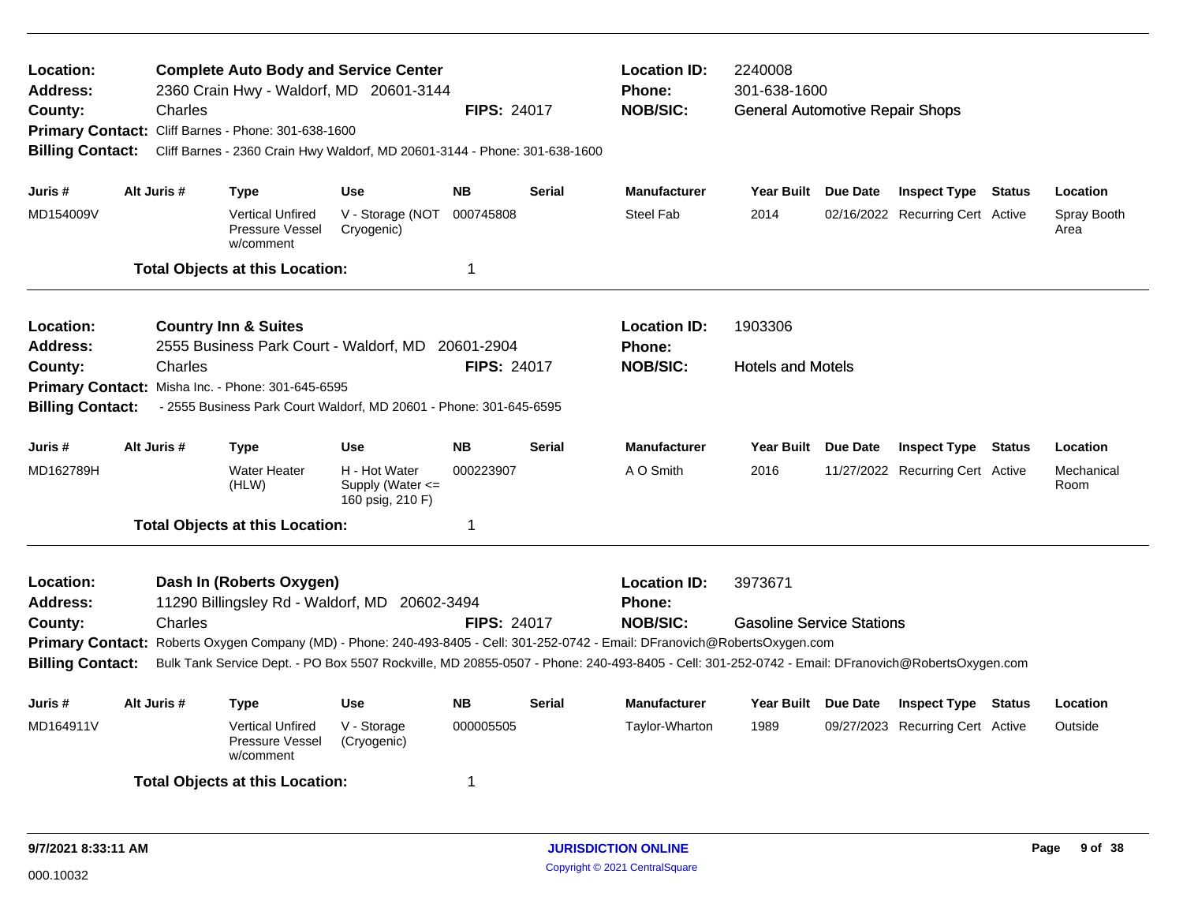| <b>Complete Auto Body and Service Center</b><br>Location:<br>2360 Crain Hwy - Waldorf, MD 20601-3144<br>Address:<br><b>FIPS: 24017</b><br>County:<br>Charles<br>Primary Contact: Cliff Barnes - Phone: 301-638-1600<br>Cliff Barnes - 2360 Crain Hwy Waldorf, MD 20601-3144 - Phone: 301-638-1600<br><b>Billing Contact:</b> |                                                                                                                                                    |                                                                                                                                                                                                                                                                                  |                                                           |                    |               | <b>Location ID:</b><br><b>Phone:</b><br><b>NOB/SIC:</b> | 2240008<br>301-638-1600<br><b>General Automotive Repair Shops</b> |                                  |        |                     |
|------------------------------------------------------------------------------------------------------------------------------------------------------------------------------------------------------------------------------------------------------------------------------------------------------------------------------|----------------------------------------------------------------------------------------------------------------------------------------------------|----------------------------------------------------------------------------------------------------------------------------------------------------------------------------------------------------------------------------------------------------------------------------------|-----------------------------------------------------------|--------------------|---------------|---------------------------------------------------------|-------------------------------------------------------------------|----------------------------------|--------|---------------------|
| Juris #                                                                                                                                                                                                                                                                                                                      | Alt Juris #                                                                                                                                        | Type                                                                                                                                                                                                                                                                             | <b>Use</b>                                                | <b>NB</b>          | <b>Serial</b> | Manufacturer                                            | Year Built Due Date                                               | <b>Inspect Type Status</b>       |        | Location            |
| MD154009V                                                                                                                                                                                                                                                                                                                    |                                                                                                                                                    | <b>Vertical Unfired</b><br><b>Pressure Vessel</b><br>w/comment                                                                                                                                                                                                                   | V - Storage (NOT<br>Cryogenic)                            | 000745808          |               | <b>Steel Fab</b>                                        | 2014                                                              | 02/16/2022 Recurring Cert Active |        | Spray Booth<br>Area |
|                                                                                                                                                                                                                                                                                                                              |                                                                                                                                                    | <b>Total Objects at this Location:</b>                                                                                                                                                                                                                                           |                                                           | $\mathbf 1$        |               |                                                         |                                                                   |                                  |        |                     |
| <b>Location:</b><br><b>Address:</b>                                                                                                                                                                                                                                                                                          |                                                                                                                                                    | <b>Country Inn &amp; Suites</b><br>2555 Business Park Court - Waldorf, MD 20601-2904                                                                                                                                                                                             |                                                           |                    |               | <b>Location ID:</b><br><b>Phone:</b>                    | 1903306                                                           |                                  |        |                     |
| County:                                                                                                                                                                                                                                                                                                                      | Charles                                                                                                                                            |                                                                                                                                                                                                                                                                                  |                                                           | <b>FIPS: 24017</b> |               | <b>NOB/SIC:</b>                                         | <b>Hotels and Motels</b>                                          |                                  |        |                     |
|                                                                                                                                                                                                                                                                                                                              |                                                                                                                                                    |                                                                                                                                                                                                                                                                                  |                                                           |                    |               |                                                         |                                                                   |                                  |        |                     |
|                                                                                                                                                                                                                                                                                                                              | Primary Contact: Misha Inc. - Phone: 301-645-6595<br>- 2555 Business Park Court Waldorf, MD 20601 - Phone: 301-645-6595<br><b>Billing Contact:</b> |                                                                                                                                                                                                                                                                                  |                                                           |                    |               |                                                         |                                                                   |                                  |        |                     |
| Juris #                                                                                                                                                                                                                                                                                                                      | Alt Juris #                                                                                                                                        | <b>Type</b>                                                                                                                                                                                                                                                                      | Use                                                       | <b>NB</b>          | <b>Serial</b> | <b>Manufacturer</b>                                     | Year Built Due Date                                               | <b>Inspect Type</b>              | Status | Location            |
| MD162789H                                                                                                                                                                                                                                                                                                                    |                                                                                                                                                    | <b>Water Heater</b><br>(HLW)                                                                                                                                                                                                                                                     | H - Hot Water<br>Supply (Water $\leq$<br>160 psig, 210 F) | 000223907          |               | A O Smith                                               | 2016                                                              | 11/27/2022 Recurring Cert Active |        | Mechanical<br>Room  |
|                                                                                                                                                                                                                                                                                                                              |                                                                                                                                                    | <b>Total Objects at this Location:</b>                                                                                                                                                                                                                                           |                                                           | -1                 |               |                                                         |                                                                   |                                  |        |                     |
| Location:<br><b>Address:</b>                                                                                                                                                                                                                                                                                                 |                                                                                                                                                    | Dash In (Roberts Oxygen)<br>11290 Billingsley Rd - Waldorf, MD                                                                                                                                                                                                                   | 20602-3494                                                |                    |               | <b>Location ID:</b><br><b>Phone:</b>                    | 3973671                                                           |                                  |        |                     |
| County:                                                                                                                                                                                                                                                                                                                      | Charles                                                                                                                                            |                                                                                                                                                                                                                                                                                  |                                                           | <b>FIPS: 24017</b> |               | <b>NOB/SIC:</b>                                         | <b>Gasoline Service Stations</b>                                  |                                  |        |                     |
| <b>Billing Contact:</b>                                                                                                                                                                                                                                                                                                      |                                                                                                                                                    | Primary Contact: Roberts Oxygen Company (MD) - Phone: 240-493-8405 - Cell: 301-252-0742 - Email: DFranovich@RobertsOxygen.com<br>Bulk Tank Service Dept. - PO Box 5507 Rockville, MD 20855-0507 - Phone: 240-493-8405 - Cell: 301-252-0742 - Email: DFranovich@RobertsOxygen.com |                                                           |                    |               |                                                         |                                                                   |                                  |        |                     |
| Juris #                                                                                                                                                                                                                                                                                                                      | Alt Juris #                                                                                                                                        | <b>Type</b>                                                                                                                                                                                                                                                                      | <b>Use</b>                                                | <b>NB</b>          | <b>Serial</b> | <b>Manufacturer</b>                                     | Year Built Due Date                                               | <b>Inspect Type Status</b>       |        | Location            |
| MD164911V                                                                                                                                                                                                                                                                                                                    |                                                                                                                                                    | <b>Vertical Unfired</b><br><b>Pressure Vessel</b><br>w/comment                                                                                                                                                                                                                   | V - Storage<br>(Cryogenic)                                | 000005505          |               | Taylor-Wharton                                          | 1989                                                              | 09/27/2023 Recurring Cert Active |        | Outside             |
|                                                                                                                                                                                                                                                                                                                              |                                                                                                                                                    | <b>Total Objects at this Location:</b>                                                                                                                                                                                                                                           |                                                           | -1                 |               |                                                         |                                                                   |                                  |        |                     |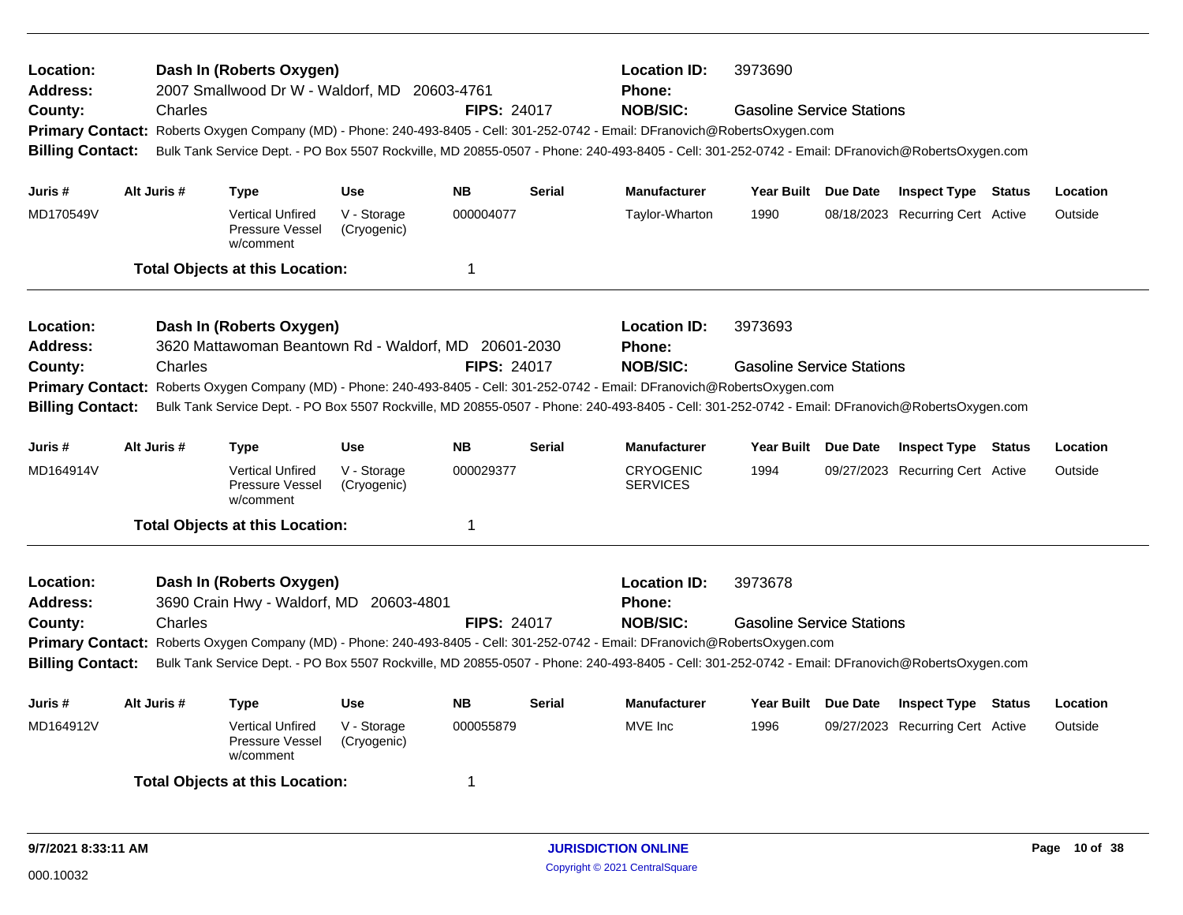| Location:<br><b>Address:</b><br>County:<br><b>Billing Contact:</b>                     | Charles     | Dash In (Roberts Oxygen)<br>2007 Smallwood Dr W - Waldorf, MD 20603-4761         |                            | <b>FIPS: 24017</b> |               | <b>Location ID:</b><br><b>Phone:</b><br><b>NOB/SIC:</b><br>Primary Contact: Roberts Oxygen Company (MD) - Phone: 240-493-8405 - Cell: 301-252-0742 - Email: DFranovich@RobertsOxygen.com<br>Bulk Tank Service Dept. - PO Box 5507 Rockville, MD 20855-0507 - Phone: 240-493-8405 - Cell: 301-252-0742 - Email: DFranovich@RobertsOxygen.com | 3973690<br><b>Gasoline Service Stations</b> |                                  |          |
|----------------------------------------------------------------------------------------|-------------|----------------------------------------------------------------------------------|----------------------------|--------------------|---------------|---------------------------------------------------------------------------------------------------------------------------------------------------------------------------------------------------------------------------------------------------------------------------------------------------------------------------------------------|---------------------------------------------|----------------------------------|----------|
| Juris #                                                                                | Alt Juris # | <b>Type</b>                                                                      | <b>Use</b>                 | <b>NB</b>          | <b>Serial</b> | <b>Manufacturer</b>                                                                                                                                                                                                                                                                                                                         | Year Built Due Date                         | <b>Inspect Type Status</b>       | Location |
| MD170549V                                                                              |             | <b>Vertical Unfired</b><br>Pressure Vessel<br>w/comment                          | V - Storage<br>(Cryogenic) | 000004077          |               | Taylor-Wharton                                                                                                                                                                                                                                                                                                                              | 1990                                        | 08/18/2023 Recurring Cert Active | Outside  |
|                                                                                        |             | <b>Total Objects at this Location:</b>                                           |                            | $\mathbf 1$        |               |                                                                                                                                                                                                                                                                                                                                             |                                             |                                  |          |
| Location:<br>Address:<br>County:<br><b>Primary Contact:</b><br><b>Billing Contact:</b> | Charles     | Dash In (Roberts Oxygen)<br>3620 Mattawoman Beantown Rd - Waldorf, MD 20601-2030 |                            | <b>FIPS: 24017</b> |               | <b>Location ID:</b><br>Phone:<br><b>NOB/SIC:</b><br>Roberts Oxygen Company (MD) - Phone: 240-493-8405 - Cell: 301-252-0742 - Email: DFranovich@RobertsOxygen.com<br>Bulk Tank Service Dept. - PO Box 5507 Rockville, MD 20855-0507 - Phone: 240-493-8405 - Cell: 301-252-0742 - Email: DFranovich@RobertsOxygen.com                         | 3973693<br><b>Gasoline Service Stations</b> |                                  |          |
| Juris #                                                                                | Alt Juris # | <b>Type</b>                                                                      | <b>Use</b>                 | <b>NB</b>          | <b>Serial</b> | <b>Manufacturer</b>                                                                                                                                                                                                                                                                                                                         | Year Built Due Date                         | <b>Inspect Type Status</b>       | Location |
| MD164914V                                                                              |             | <b>Vertical Unfired</b><br>Pressure Vessel<br>w/comment                          | V - Storage<br>(Cryogenic) | 000029377          |               | <b>CRYOGENIC</b><br><b>SERVICES</b>                                                                                                                                                                                                                                                                                                         | 1994                                        | 09/27/2023 Recurring Cert Active | Outside  |
|                                                                                        |             | <b>Total Objects at this Location:</b>                                           |                            | $\mathbf 1$        |               |                                                                                                                                                                                                                                                                                                                                             |                                             |                                  |          |
| Location:<br><b>Address:</b><br>County:<br><b>Billing Contact:</b>                     | Charles     | Dash In (Roberts Oxygen)<br>3690 Crain Hwy - Waldorf, MD 20603-4801              |                            | <b>FIPS: 24017</b> |               | <b>Location ID:</b><br>Phone:<br><b>NOB/SIC:</b><br>Primary Contact: Roberts Oxygen Company (MD) - Phone: 240-493-8405 - Cell: 301-252-0742 - Email: DFranovich@RobertsOxygen.com<br>Bulk Tank Service Dept. - PO Box 5507 Rockville, MD 20855-0507 - Phone: 240-493-8405 - Cell: 301-252-0742 - Email: DFranovich@RobertsOxygen.com        | 3973678<br><b>Gasoline Service Stations</b> |                                  |          |
| Juris #                                                                                | Alt Juris # | Type                                                                             | <b>Use</b>                 | <b>NB</b>          | <b>Serial</b> | <b>Manufacturer</b>                                                                                                                                                                                                                                                                                                                         | Year Built Due Date                         | <b>Inspect Type Status</b>       | Location |
| MD164912V                                                                              |             | <b>Vertical Unfired</b><br>Pressure Vessel<br>w/comment                          | V - Storage<br>(Cryogenic) | 000055879          |               | MVE Inc                                                                                                                                                                                                                                                                                                                                     | 1996                                        | 09/27/2023 Recurring Cert Active | Outside  |
|                                                                                        |             | <b>Total Objects at this Location:</b>                                           |                            | 1                  |               |                                                                                                                                                                                                                                                                                                                                             |                                             |                                  |          |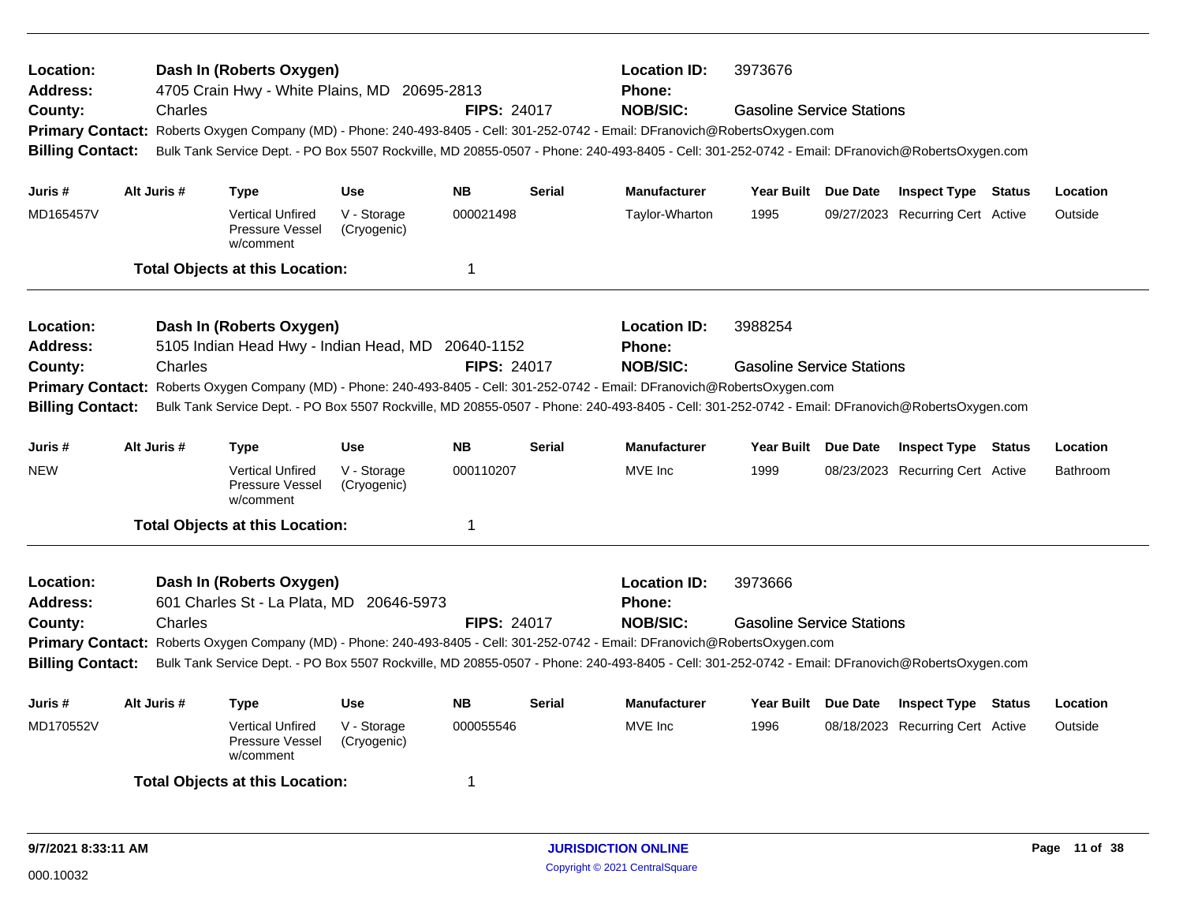| Location:<br>Address:<br>County:<br><b>Billing Contact:</b>        | Charles     | Dash In (Roberts Oxygen)<br>4705 Crain Hwy - White Plains, MD 20695-2813<br>Primary Contact: Roberts Oxygen Company (MD) - Phone: 240-493-8405 - Cell: 301-252-0742 - Email: DFranovich@RobertsOxygen.com<br>Bulk Tank Service Dept. - PO Box 5507 Rockville, MD 20855-0507 - Phone: 240-493-8405 - Cell: 301-252-0742 - Email: DFranovich@RobertsOxygen.com      |                            | <b>FIPS: 24017</b> |               | <b>Location ID:</b><br><b>Phone:</b><br><b>NOB/SIC:</b> | 3973676<br><b>Gasoline Service Stations</b> |                                  |          |
|--------------------------------------------------------------------|-------------|-------------------------------------------------------------------------------------------------------------------------------------------------------------------------------------------------------------------------------------------------------------------------------------------------------------------------------------------------------------------|----------------------------|--------------------|---------------|---------------------------------------------------------|---------------------------------------------|----------------------------------|----------|
| Juris #                                                            | Alt Juris # | <b>Type</b>                                                                                                                                                                                                                                                                                                                                                       | <b>Use</b>                 | <b>NB</b>          | <b>Serial</b> | <b>Manufacturer</b>                                     | Year Built Due Date                         | <b>Inspect Type Status</b>       | Location |
| MD165457V                                                          |             | <b>Vertical Unfired</b><br>Pressure Vessel<br>w/comment                                                                                                                                                                                                                                                                                                           | V - Storage<br>(Cryogenic) | 000021498          |               | Taylor-Wharton                                          | 1995                                        | 09/27/2023 Recurring Cert Active | Outside  |
|                                                                    |             | <b>Total Objects at this Location:</b>                                                                                                                                                                                                                                                                                                                            |                            | $\mathbf 1$        |               |                                                         |                                             |                                  |          |
| Location:<br><b>Address:</b><br>County:<br><b>Billing Contact:</b> | Charles     | Dash In (Roberts Oxygen)<br>5105 Indian Head Hwy - Indian Head, MD 20640-1152<br>Primary Contact: Roberts Oxygen Company (MD) - Phone: 240-493-8405 - Cell: 301-252-0742 - Email: DFranovich@RobertsOxygen.com<br>Bulk Tank Service Dept. - PO Box 5507 Rockville, MD 20855-0507 - Phone: 240-493-8405 - Cell: 301-252-0742 - Email: DFranovich@RobertsOxygen.com |                            | <b>FIPS: 24017</b> |               | <b>Location ID:</b><br><b>Phone:</b><br><b>NOB/SIC:</b> | 3988254<br><b>Gasoline Service Stations</b> |                                  |          |
| Juris #                                                            | Alt Juris # | <b>Type</b>                                                                                                                                                                                                                                                                                                                                                       | <b>Use</b>                 | <b>NB</b>          | <b>Serial</b> | <b>Manufacturer</b>                                     | Year Built Due Date                         | <b>Inspect Type Status</b>       | Location |
| <b>NEW</b>                                                         |             | <b>Vertical Unfired</b><br>Pressure Vessel<br>w/comment                                                                                                                                                                                                                                                                                                           | V - Storage<br>(Cryogenic) | 000110207          |               | MVE Inc                                                 | 1999                                        | 08/23/2023 Recurring Cert Active | Bathroom |
|                                                                    |             | <b>Total Objects at this Location:</b>                                                                                                                                                                                                                                                                                                                            |                            | 1                  |               |                                                         |                                             |                                  |          |
| Location:<br><b>Address:</b><br>County:<br><b>Billing Contact:</b> | Charles     | Dash In (Roberts Oxygen)<br>601 Charles St - La Plata, MD 20646-5973<br>Primary Contact: Roberts Oxygen Company (MD) - Phone: 240-493-8405 - Cell: 301-252-0742 - Email: DFranovich@RobertsOxygen.com<br>Bulk Tank Service Dept. - PO Box 5507 Rockville, MD 20855-0507 - Phone: 240-493-8405 - Cell: 301-252-0742 - Email: DFranovich@RobertsOxygen.com          |                            | <b>FIPS: 24017</b> |               | <b>Location ID:</b><br><b>Phone:</b><br><b>NOB/SIC:</b> | 3973666<br><b>Gasoline Service Stations</b> |                                  |          |
| Juris #                                                            | Alt Juris # | <b>Type</b>                                                                                                                                                                                                                                                                                                                                                       | <b>Use</b>                 | <b>NB</b>          | Serial        | <b>Manufacturer</b>                                     | Year Built Due Date                         | <b>Inspect Type Status</b>       | Location |
| MD170552V                                                          |             | <b>Vertical Unfired</b><br>Pressure Vessel<br>w/comment                                                                                                                                                                                                                                                                                                           | V - Storage<br>(Cryogenic) | 000055546          |               | MVE Inc                                                 | 1996                                        | 08/18/2023 Recurring Cert Active | Outside  |
|                                                                    |             | <b>Total Objects at this Location:</b>                                                                                                                                                                                                                                                                                                                            |                            | 1                  |               |                                                         |                                             |                                  |          |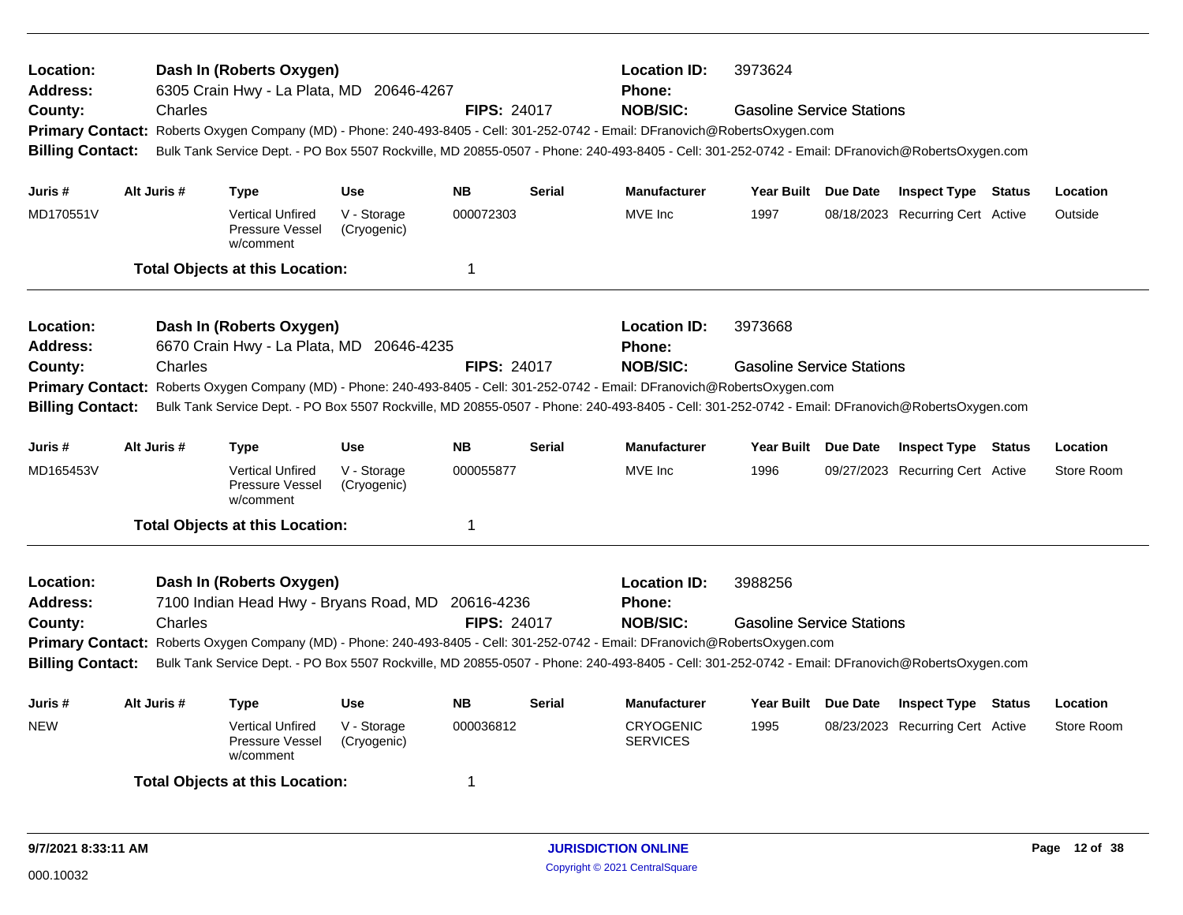| Location:<br>Address:<br>County:<br><b>Billing Contact:</b>                                                                                                                                                                                                                                                 | Charles     | Dash In (Roberts Oxygen)<br>6305 Crain Hwy - La Plata, MD 20646-4267          |                            | <b>FIPS: 24017</b> | <b>Location ID:</b><br><b>Phone:</b><br><b>NOB/SIC:</b><br>Primary Contact: Roberts Oxygen Company (MD) - Phone: 240-493-8405 - Cell: 301-252-0742 - Email: DFranovich@RobertsOxygen.com<br>Bulk Tank Service Dept. - PO Box 5507 Rockville, MD 20855-0507 - Phone: 240-493-8405 - Cell: 301-252-0742 - Email: DFranovich@RobertsOxygen.com | 3973624<br><b>Gasoline Service Stations</b>                                                                                                     |                                  |                                  |            |
|-------------------------------------------------------------------------------------------------------------------------------------------------------------------------------------------------------------------------------------------------------------------------------------------------------------|-------------|-------------------------------------------------------------------------------|----------------------------|--------------------|---------------------------------------------------------------------------------------------------------------------------------------------------------------------------------------------------------------------------------------------------------------------------------------------------------------------------------------------|-------------------------------------------------------------------------------------------------------------------------------------------------|----------------------------------|----------------------------------|------------|
| Juris #                                                                                                                                                                                                                                                                                                     | Alt Juris # | <b>Type</b>                                                                   | <b>Use</b>                 | <b>NB</b>          | <b>Serial</b>                                                                                                                                                                                                                                                                                                                               | <b>Manufacturer</b>                                                                                                                             | Year Built Due Date              | <b>Inspect Type Status</b>       | Location   |
| MD170551V                                                                                                                                                                                                                                                                                                   |             | <b>Vertical Unfired</b><br>Pressure Vessel<br>w/comment                       | V - Storage<br>(Cryogenic) | 000072303          |                                                                                                                                                                                                                                                                                                                                             | MVE Inc                                                                                                                                         | 1997                             | 08/18/2023 Recurring Cert Active | Outside    |
|                                                                                                                                                                                                                                                                                                             |             | <b>Total Objects at this Location:</b>                                        |                            | $\mathbf 1$        |                                                                                                                                                                                                                                                                                                                                             |                                                                                                                                                 |                                  |                                  |            |
| Location:<br><b>Address:</b>                                                                                                                                                                                                                                                                                |             | Dash In (Roberts Oxygen)<br>6670 Crain Hwy - La Plata, MD 20646-4235          |                            |                    |                                                                                                                                                                                                                                                                                                                                             | <b>Location ID:</b><br><b>Phone:</b>                                                                                                            | 3973668                          |                                  |            |
| County:                                                                                                                                                                                                                                                                                                     | Charles     |                                                                               |                            | <b>FIPS: 24017</b> |                                                                                                                                                                                                                                                                                                                                             | <b>NOB/SIC:</b>                                                                                                                                 | <b>Gasoline Service Stations</b> |                                  |            |
| Primary Contact: Roberts Oxygen Company (MD) - Phone: 240-493-8405 - Cell: 301-252-0742 - Email: DFranovich@RobertsOxygen.com<br>Bulk Tank Service Dept. - PO Box 5507 Rockville, MD 20855-0507 - Phone: 240-493-8405 - Cell: 301-252-0742 - Email: DFranovich@RobertsOxygen.com<br><b>Billing Contact:</b> |             |                                                                               |                            |                    |                                                                                                                                                                                                                                                                                                                                             |                                                                                                                                                 |                                  |                                  |            |
| Juris #                                                                                                                                                                                                                                                                                                     | Alt Juris # | <b>Type</b>                                                                   | <b>Use</b>                 | <b>NB</b>          | <b>Serial</b>                                                                                                                                                                                                                                                                                                                               | <b>Manufacturer</b>                                                                                                                             | Year Built Due Date              | <b>Inspect Type Status</b>       | Location   |
| MD165453V                                                                                                                                                                                                                                                                                                   |             | <b>Vertical Unfired</b><br>Pressure Vessel<br>w/comment                       | V - Storage<br>(Cryogenic) | 000055877          |                                                                                                                                                                                                                                                                                                                                             | MVE Inc                                                                                                                                         | 1996                             | 09/27/2023 Recurring Cert Active | Store Room |
|                                                                                                                                                                                                                                                                                                             |             | <b>Total Objects at this Location:</b>                                        |                            | $\overline{1}$     |                                                                                                                                                                                                                                                                                                                                             |                                                                                                                                                 |                                  |                                  |            |
| Location:<br><b>Address:</b>                                                                                                                                                                                                                                                                                |             | Dash In (Roberts Oxygen)<br>7100 Indian Head Hwy - Bryans Road, MD 20616-4236 |                            |                    |                                                                                                                                                                                                                                                                                                                                             | <b>Location ID:</b><br><b>Phone:</b>                                                                                                            | 3988256                          |                                  |            |
| County:                                                                                                                                                                                                                                                                                                     | Charles     |                                                                               |                            | <b>FIPS: 24017</b> |                                                                                                                                                                                                                                                                                                                                             | <b>NOB/SIC:</b>                                                                                                                                 | <b>Gasoline Service Stations</b> |                                  |            |
|                                                                                                                                                                                                                                                                                                             |             |                                                                               |                            |                    |                                                                                                                                                                                                                                                                                                                                             | Primary Contact: Roberts Oxygen Company (MD) - Phone: 240-493-8405 - Cell: 301-252-0742 - Email: DFranovich@RobertsOxygen.com                   |                                  |                                  |            |
| <b>Billing Contact:</b>                                                                                                                                                                                                                                                                                     |             |                                                                               |                            |                    |                                                                                                                                                                                                                                                                                                                                             | Bulk Tank Service Dept. - PO Box 5507 Rockville, MD 20855-0507 - Phone: 240-493-8405 - Cell: 301-252-0742 - Email: DFranovich@RobertsOxygen.com |                                  |                                  |            |
| Juris #                                                                                                                                                                                                                                                                                                     | Alt Juris # | <b>Type</b>                                                                   | <b>Use</b>                 | <b>NB</b>          | <b>Serial</b>                                                                                                                                                                                                                                                                                                                               | <b>Manufacturer</b>                                                                                                                             | Year Built Due Date              | <b>Inspect Type Status</b>       | Location   |
| <b>NEW</b>                                                                                                                                                                                                                                                                                                  |             | <b>Vertical Unfired</b><br>Pressure Vessel<br>w/comment                       | V - Storage<br>(Cryogenic) | 000036812          |                                                                                                                                                                                                                                                                                                                                             | <b>CRYOGENIC</b><br><b>SERVICES</b>                                                                                                             | 1995                             | 08/23/2023 Recurring Cert Active | Store Room |
|                                                                                                                                                                                                                                                                                                             |             | <b>Total Objects at this Location:</b>                                        |                            | 1                  |                                                                                                                                                                                                                                                                                                                                             |                                                                                                                                                 |                                  |                                  |            |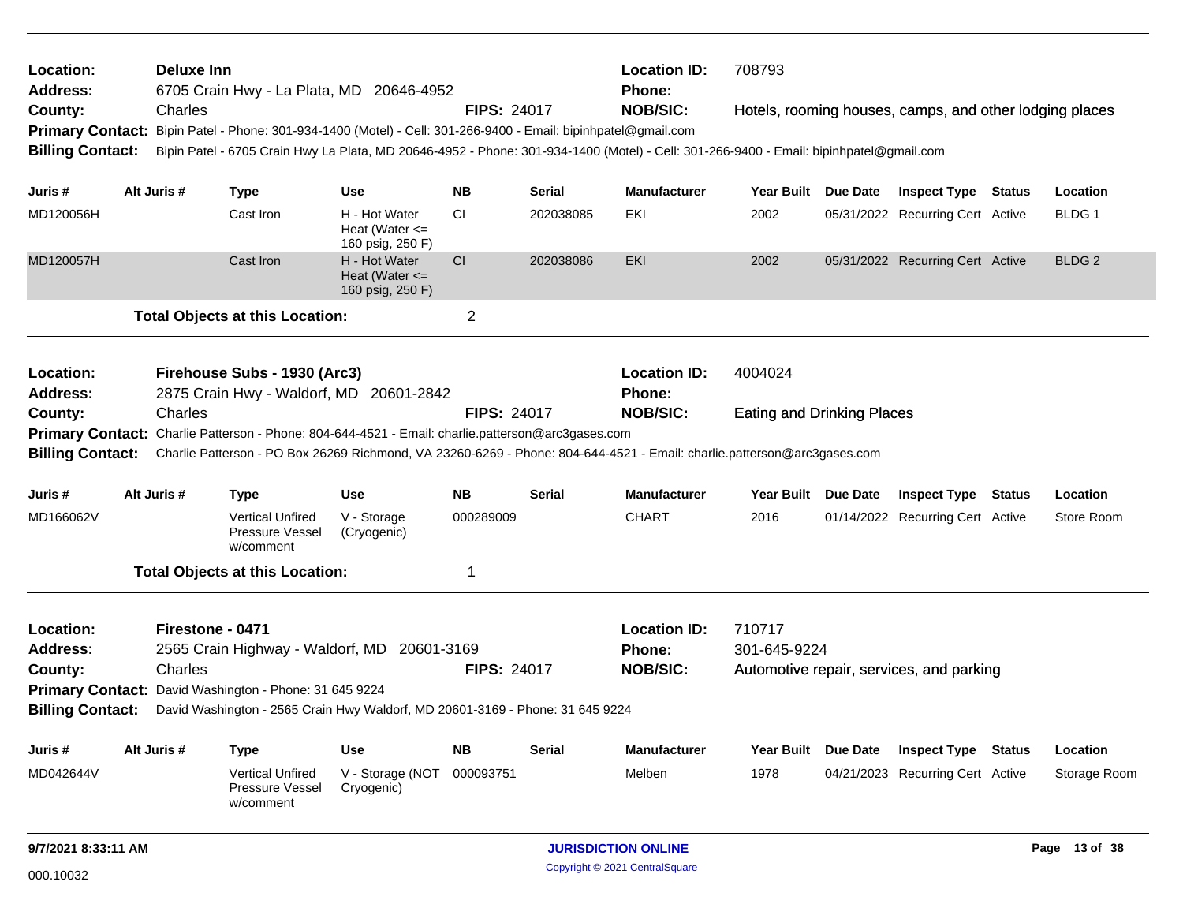| Location:<br><b>Address:</b> |                                                                                                                                                                                                                              | Deluxe Inn       |                                                                | 6705 Crain Hwy - La Plata, MD 20646-4952                                                                                               |                    |               | <b>Location ID:</b><br><b>Phone:</b> | 708793                            |                                                         |        |                   |
|------------------------------|------------------------------------------------------------------------------------------------------------------------------------------------------------------------------------------------------------------------------|------------------|----------------------------------------------------------------|----------------------------------------------------------------------------------------------------------------------------------------|--------------------|---------------|--------------------------------------|-----------------------------------|---------------------------------------------------------|--------|-------------------|
| County:                      |                                                                                                                                                                                                                              | Charles          |                                                                |                                                                                                                                        | <b>FIPS: 24017</b> |               | <b>NOB/SIC:</b>                      |                                   | Hotels, rooming houses, camps, and other lodging places |        |                   |
|                              |                                                                                                                                                                                                                              |                  |                                                                | Primary Contact: Bipin Patel - Phone: 301-934-1400 (Motel) - Cell: 301-266-9400 - Email: bipinhpatel@gmail.com                         |                    |               |                                      |                                   |                                                         |        |                   |
| <b>Billing Contact:</b>      |                                                                                                                                                                                                                              |                  |                                                                | Bipin Patel - 6705 Crain Hwy La Plata, MD 20646-4952 - Phone: 301-934-1400 (Motel) - Cell: 301-266-9400 - Email: bipinhpatel@gmail.com |                    |               |                                      |                                   |                                                         |        |                   |
| Juris #                      |                                                                                                                                                                                                                              | Alt Juris #      | <b>Type</b>                                                    | Use                                                                                                                                    | <b>NB</b>          | Serial        | <b>Manufacturer</b>                  | Year Built Due Date               | <b>Inspect Type Status</b>                              |        | Location          |
| MD120056H                    |                                                                                                                                                                                                                              |                  | Cast Iron                                                      | H - Hot Water                                                                                                                          | <b>CI</b>          | 202038085     | EKI                                  | 2002                              | 05/31/2022 Recurring Cert Active                        |        | BLDG 1            |
|                              |                                                                                                                                                                                                                              |                  |                                                                | Heat (Water $\leq$<br>160 psig, 250 F)                                                                                                 |                    |               |                                      |                                   |                                                         |        |                   |
| MD120057H                    |                                                                                                                                                                                                                              |                  | Cast Iron                                                      | H - Hot Water<br>Heat (Water $\leq$<br>160 psig, 250 F)                                                                                | CI                 | 202038086     | <b>EKI</b>                           | 2002                              | 05/31/2022 Recurring Cert Active                        |        | BLDG <sub>2</sub> |
|                              |                                                                                                                                                                                                                              |                  | <b>Total Objects at this Location:</b>                         |                                                                                                                                        | $\overline{2}$     |               |                                      |                                   |                                                         |        |                   |
| Location:                    |                                                                                                                                                                                                                              |                  | Firehouse Subs - 1930 (Arc3)                                   |                                                                                                                                        |                    |               | <b>Location ID:</b>                  | 4004024                           |                                                         |        |                   |
| <b>Address:</b>              |                                                                                                                                                                                                                              |                  |                                                                | 2875 Crain Hwy - Waldorf, MD 20601-2842                                                                                                |                    |               | <b>Phone:</b>                        |                                   |                                                         |        |                   |
| County:                      |                                                                                                                                                                                                                              | Charles          |                                                                |                                                                                                                                        | <b>FIPS: 24017</b> |               | <b>NOB/SIC:</b>                      | <b>Eating and Drinking Places</b> |                                                         |        |                   |
|                              |                                                                                                                                                                                                                              |                  |                                                                |                                                                                                                                        |                    |               |                                      |                                   |                                                         |        |                   |
| <b>Billing Contact:</b>      | Primary Contact: Charlie Patterson - Phone: 804-644-4521 - Email: charlie.patterson@arc3gases.com<br>Charlie Patterson - PO Box 26269 Richmond, VA 23260-6269 - Phone: 804-644-4521 - Email: charlie.patterson@arc3gases.com |                  |                                                                |                                                                                                                                        |                    |               |                                      |                                   |                                                         |        |                   |
| Juris #                      |                                                                                                                                                                                                                              | Alt Juris #      | <b>Type</b>                                                    | Use                                                                                                                                    | <b>NB</b>          | <b>Serial</b> | <b>Manufacturer</b>                  | Year Built Due Date               | <b>Inspect Type Status</b>                              |        | Location          |
| MD166062V                    |                                                                                                                                                                                                                              |                  | <b>Vertical Unfired</b><br><b>Pressure Vessel</b><br>w/comment | V - Storage<br>(Cryogenic)                                                                                                             | 000289009          |               | <b>CHART</b>                         | 2016                              | 01/14/2022 Recurring Cert Active                        |        | Store Room        |
|                              |                                                                                                                                                                                                                              |                  | <b>Total Objects at this Location:</b>                         |                                                                                                                                        | 1                  |               |                                      |                                   |                                                         |        |                   |
| Location:                    |                                                                                                                                                                                                                              | Firestone - 0471 |                                                                |                                                                                                                                        |                    |               | <b>Location ID:</b>                  | 710717                            |                                                         |        |                   |
| Address:                     |                                                                                                                                                                                                                              |                  |                                                                | 2565 Crain Highway - Waldorf, MD 20601-3169                                                                                            |                    |               | Phone:                               | 301-645-9224                      |                                                         |        |                   |
| County:                      |                                                                                                                                                                                                                              | Charles          |                                                                |                                                                                                                                        | <b>FIPS: 24017</b> |               | <b>NOB/SIC:</b>                      |                                   | Automotive repair, services, and parking                |        |                   |
|                              |                                                                                                                                                                                                                              |                  | Primary Contact: David Washington - Phone: 31 645 9224         |                                                                                                                                        |                    |               |                                      |                                   |                                                         |        |                   |
| <b>Billing Contact:</b>      |                                                                                                                                                                                                                              |                  |                                                                | David Washington - 2565 Crain Hwy Waldorf, MD 20601-3169 - Phone: 31 645 9224                                                          |                    |               |                                      |                                   |                                                         |        |                   |
| Juris #                      |                                                                                                                                                                                                                              | Alt Juris #      | <b>Type</b>                                                    | Use                                                                                                                                    | <b>NB</b>          | Serial        | <b>Manufacturer</b>                  | Year Built Due Date               | <b>Inspect Type</b>                                     | Status | Location          |
| MD042644V                    |                                                                                                                                                                                                                              |                  | <b>Vertical Unfired</b><br>Pressure Vessel<br>w/comment        | V - Storage (NOT<br>Cryogenic)                                                                                                         | 000093751          |               | Melben                               | 1978                              | 04/21/2023 Recurring Cert Active                        |        | Storage Room      |
| 9/7/2021 8:33:11 AM          |                                                                                                                                                                                                                              |                  |                                                                |                                                                                                                                        |                    |               | <b>JURISDICTION ONLINE</b>           |                                   |                                                         |        | Page 13 of 38     |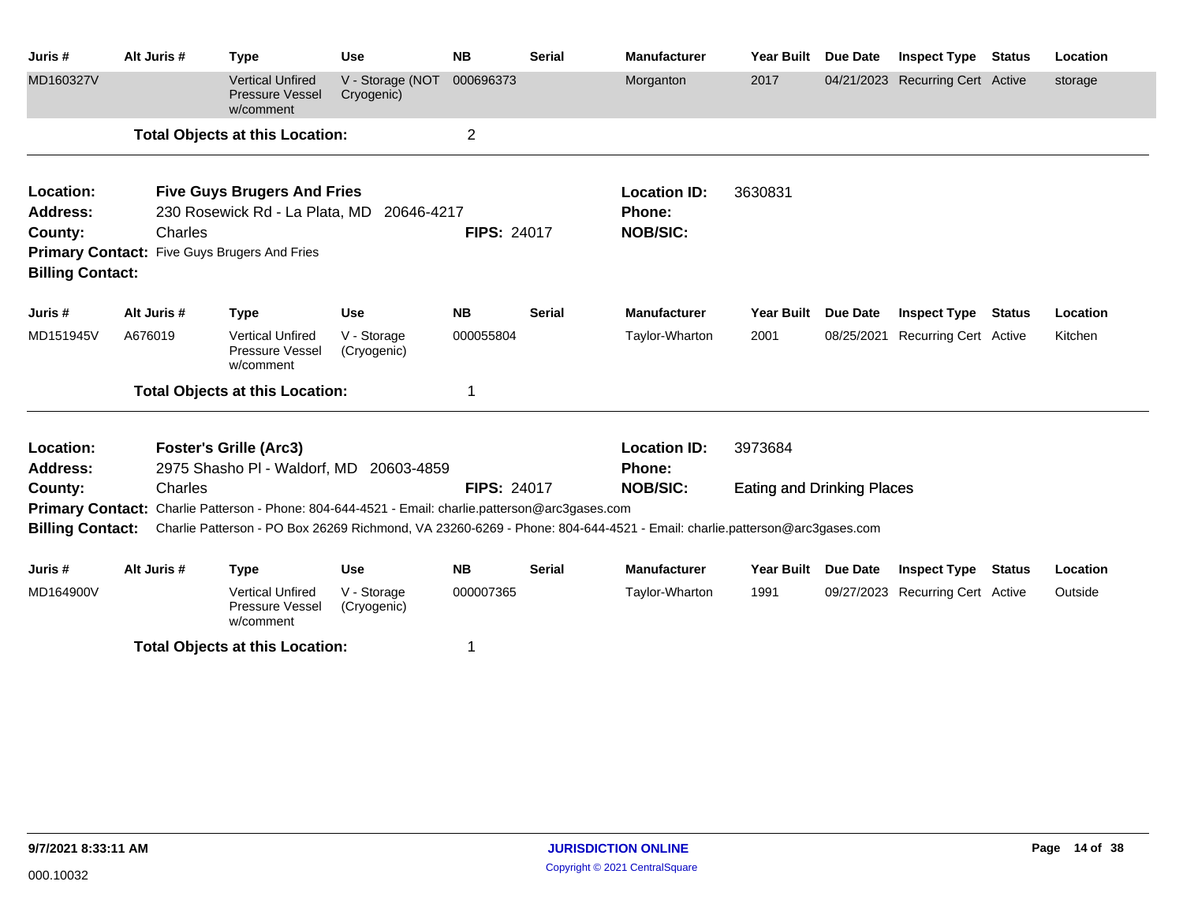| Juris#                  | Alt Juris # | <b>Type</b>                                                                                       | <b>Use</b>                     | <b>NB</b>          | <b>Serial</b> | <b>Manufacturer</b>                                                                                                                      | Year Built                        | <b>Due Date</b> | <b>Inspect Type</b>              | <b>Status</b> | Location |
|-------------------------|-------------|---------------------------------------------------------------------------------------------------|--------------------------------|--------------------|---------------|------------------------------------------------------------------------------------------------------------------------------------------|-----------------------------------|-----------------|----------------------------------|---------------|----------|
| MD160327V               |             | <b>Vertical Unfired</b><br><b>Pressure Vessel</b><br>w/comment                                    | V - Storage (NOT<br>Cryogenic) | 000696373          |               | Morganton                                                                                                                                | 2017                              |                 | 04/21/2023 Recurring Cert Active |               | storage  |
|                         |             | <b>Total Objects at this Location:</b>                                                            |                                | $\overline{2}$     |               |                                                                                                                                          |                                   |                 |                                  |               |          |
| Location:               |             | <b>Five Guys Brugers And Fries</b>                                                                |                                |                    |               | <b>Location ID:</b>                                                                                                                      | 3630831                           |                 |                                  |               |          |
| <b>Address:</b>         |             | 230 Rosewick Rd - La Plata, MD 20646-4217                                                         |                                |                    |               | Phone:                                                                                                                                   |                                   |                 |                                  |               |          |
| County:                 | Charles     |                                                                                                   |                                | <b>FIPS: 24017</b> |               | <b>NOB/SIC:</b>                                                                                                                          |                                   |                 |                                  |               |          |
| <b>Billing Contact:</b> |             | Primary Contact: Five Guys Brugers And Fries                                                      |                                |                    |               |                                                                                                                                          |                                   |                 |                                  |               |          |
| Juris #                 | Alt Juris # | <b>Type</b>                                                                                       | <b>Use</b>                     | <b>NB</b>          | <b>Serial</b> | <b>Manufacturer</b>                                                                                                                      | <b>Year Built</b>                 | <b>Due Date</b> | <b>Inspect Type</b>              | <b>Status</b> | Location |
| MD151945V               | A676019     | <b>Vertical Unfired</b><br>Pressure Vessel<br>w/comment                                           | V - Storage<br>(Cryogenic)     | 000055804          |               | Taylor-Wharton                                                                                                                           | 2001                              | 08/25/2021      | <b>Recurring Cert Active</b>     |               | Kitchen  |
|                         |             | <b>Total Objects at this Location:</b>                                                            |                                |                    |               |                                                                                                                                          |                                   |                 |                                  |               |          |
| Location:<br>Address:   |             | <b>Foster's Grille (Arc3)</b><br>2975 Shasho PI - Waldorf, MD 20603-4859                          |                                |                    |               | <b>Location ID:</b><br><b>Phone:</b>                                                                                                     | 3973684                           |                 |                                  |               |          |
| County:                 | Charles     |                                                                                                   |                                | <b>FIPS: 24017</b> |               | <b>NOB/SIC:</b>                                                                                                                          | <b>Eating and Drinking Places</b> |                 |                                  |               |          |
|                         |             | Primary Contact: Charlie Patterson - Phone: 804-644-4521 - Email: charlie.patterson@arc3gases.com |                                |                    |               |                                                                                                                                          |                                   |                 |                                  |               |          |
|                         |             |                                                                                                   |                                |                    |               | Billing Contact: Charlie Patterson - PO Box 26269 Richmond, VA 23260-6269 - Phone: 804-644-4521 - Email: charlie.patterson@arc3gases.com |                                   |                 |                                  |               |          |
| Juris #                 | Alt Juris # | <b>Type</b>                                                                                       | <b>Use</b>                     | <b>NB</b>          | <b>Serial</b> | <b>Manufacturer</b>                                                                                                                      | <b>Year Built</b>                 | <b>Due Date</b> | <b>Inspect Type</b>              | <b>Status</b> | Location |
| MD164900V               |             | <b>Vertical Unfired</b><br>Pressure Vessel<br>w/comment                                           | V - Storage<br>(Cryogenic)     | 000007365          |               | Taylor-Wharton                                                                                                                           | 1991                              |                 | 09/27/2023 Recurring Cert Active |               | Outside  |

**Total Objects at this Location:** 1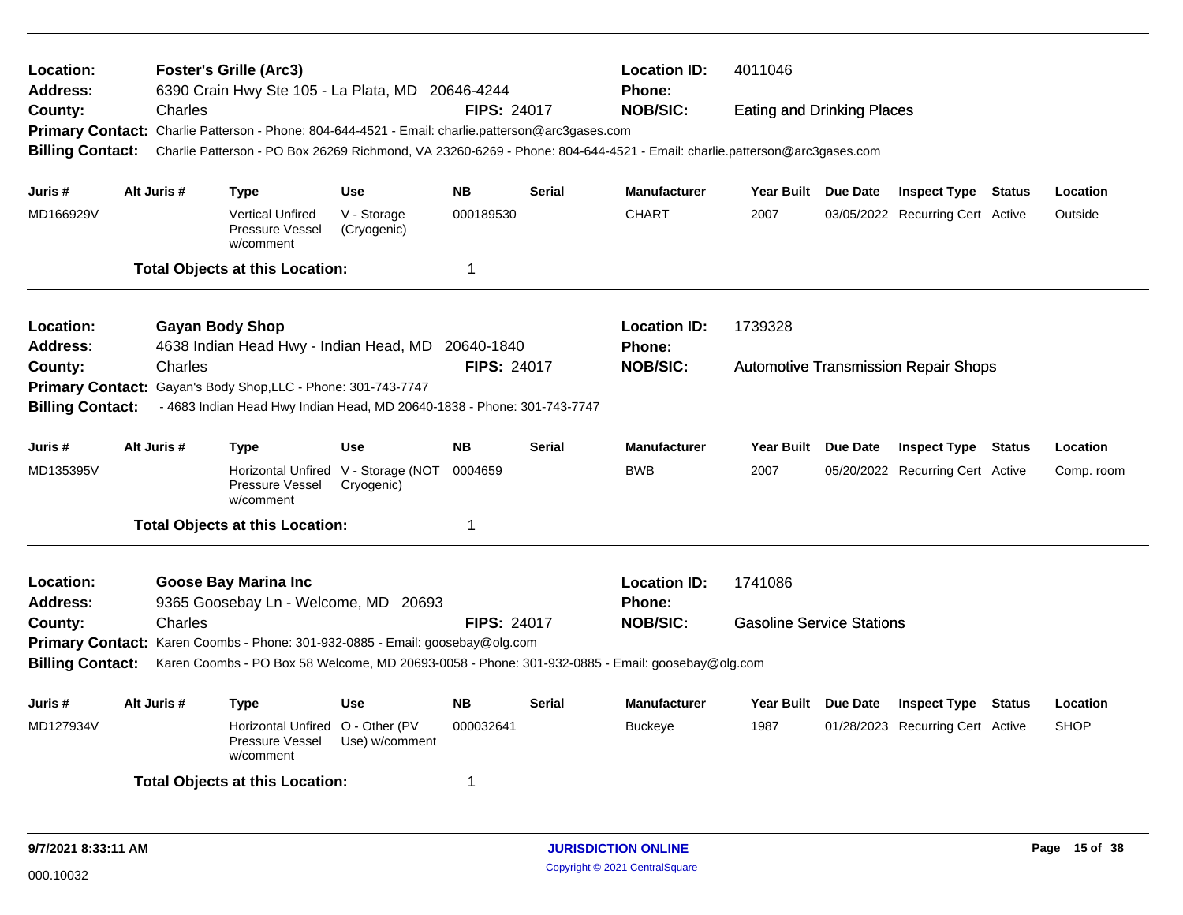| Location:<br><b>Foster's Grille (Arc3)</b><br><b>Location ID:</b><br>4011046<br>Address:<br>6390 Crain Hwy Ste 105 - La Plata, MD 20646-4244<br><b>Phone:</b><br><b>FIPS: 24017</b><br><b>NOB/SIC:</b><br>Charles<br><b>Eating and Drinking Places</b> |                                                                                                    |         |                                                                                                                         |                                                   |                    |               |                     |                                  |          |                                             |        |             |
|--------------------------------------------------------------------------------------------------------------------------------------------------------------------------------------------------------------------------------------------------------|----------------------------------------------------------------------------------------------------|---------|-------------------------------------------------------------------------------------------------------------------------|---------------------------------------------------|--------------------|---------------|---------------------|----------------------------------|----------|---------------------------------------------|--------|-------------|
| County:                                                                                                                                                                                                                                                |                                                                                                    |         |                                                                                                                         |                                                   |                    |               |                     |                                  |          |                                             |        |             |
| <b>Primary Contact:</b>                                                                                                                                                                                                                                |                                                                                                    |         | Charlie Patterson - Phone: 804-644-4521 - Email: charlie.patterson@arc3gases.com                                        |                                                   |                    |               |                     |                                  |          |                                             |        |             |
| <b>Billing Contact:</b>                                                                                                                                                                                                                                |                                                                                                    |         | Charlie Patterson - PO Box 26269 Richmond, VA 23260-6269 - Phone: 804-644-4521 - Email: charlie.patterson@arc3gases.com |                                                   |                    |               |                     |                                  |          |                                             |        |             |
| Juris #                                                                                                                                                                                                                                                | Alt Juris #                                                                                        |         | Type                                                                                                                    | <b>Use</b>                                        | <b>NB</b>          | <b>Serial</b> | <b>Manufacturer</b> | <b>Year Built</b>                | Due Date | <b>Inspect Type Status</b>                  |        | Location    |
| MD166929V                                                                                                                                                                                                                                              |                                                                                                    |         | <b>Vertical Unfired</b><br>Pressure Vessel<br>w/comment                                                                 | V - Storage<br>(Cryogenic)                        | 000189530          |               | <b>CHART</b>        | 2007                             |          | 03/05/2022 Recurring Cert Active            |        | Outside     |
|                                                                                                                                                                                                                                                        |                                                                                                    |         | <b>Total Objects at this Location:</b>                                                                                  |                                                   | $\mathbf 1$        |               |                     |                                  |          |                                             |        |             |
| Location:                                                                                                                                                                                                                                              |                                                                                                    |         | <b>Gayan Body Shop</b>                                                                                                  |                                                   |                    |               | <b>Location ID:</b> | 1739328                          |          |                                             |        |             |
| Address:                                                                                                                                                                                                                                               |                                                                                                    |         | 4638 Indian Head Hwy - Indian Head, MD 20640-1840                                                                       |                                                   |                    |               | <b>Phone:</b>       |                                  |          |                                             |        |             |
| County:                                                                                                                                                                                                                                                |                                                                                                    | Charles |                                                                                                                         |                                                   | <b>FIPS: 24017</b> |               | <b>NOB/SIC:</b>     |                                  |          | <b>Automotive Transmission Repair Shops</b> |        |             |
| Gayan's Body Shop, LLC - Phone: 301-743-7747<br><b>Primary Contact:</b>                                                                                                                                                                                |                                                                                                    |         |                                                                                                                         |                                                   |                    |               |                     |                                  |          |                                             |        |             |
|                                                                                                                                                                                                                                                        | <b>Billing Contact:</b><br>- 4683 Indian Head Hwy Indian Head, MD 20640-1838 - Phone: 301-743-7747 |         |                                                                                                                         |                                                   |                    |               |                     |                                  |          |                                             |        |             |
| Juris #                                                                                                                                                                                                                                                | Alt Juris #                                                                                        |         | Type                                                                                                                    | <b>Use</b>                                        | <b>NB</b>          | <b>Serial</b> | <b>Manufacturer</b> | Year Built Due Date              |          | <b>Inspect Type Status</b>                  |        | Location    |
| MD135395V                                                                                                                                                                                                                                              |                                                                                                    |         | Pressure Vessel<br>w/comment                                                                                            | Horizontal Unfired V - Storage (NOT<br>Cryogenic) | 0004659            |               | <b>BWB</b>          | 2007                             |          | 05/20/2022 Recurring Cert Active            |        | Comp. room  |
|                                                                                                                                                                                                                                                        |                                                                                                    |         | <b>Total Objects at this Location:</b>                                                                                  |                                                   | $\mathbf 1$        |               |                     |                                  |          |                                             |        |             |
| Location:                                                                                                                                                                                                                                              |                                                                                                    |         | <b>Goose Bay Marina Inc</b>                                                                                             |                                                   |                    |               | <b>Location ID:</b> | 1741086                          |          |                                             |        |             |
| <b>Address:</b>                                                                                                                                                                                                                                        |                                                                                                    |         | 9365 Goosebay Ln - Welcome, MD 20693                                                                                    |                                                   |                    |               | <b>Phone:</b>       |                                  |          |                                             |        |             |
| County:                                                                                                                                                                                                                                                |                                                                                                    | Charles |                                                                                                                         |                                                   | <b>FIPS: 24017</b> |               | <b>NOB/SIC:</b>     | <b>Gasoline Service Stations</b> |          |                                             |        |             |
| Primary Contact: Karen Coombs - Phone: 301-932-0885 - Email: goosebay@olg.com                                                                                                                                                                          |                                                                                                    |         |                                                                                                                         |                                                   |                    |               |                     |                                  |          |                                             |        |             |
| <b>Billing Contact:</b><br>Karen Coombs - PO Box 58 Welcome, MD 20693-0058 - Phone: 301-932-0885 - Email: goosebay@olg.com                                                                                                                             |                                                                                                    |         |                                                                                                                         |                                                   |                    |               |                     |                                  |          |                                             |        |             |
| Juris #                                                                                                                                                                                                                                                | Alt Juris #                                                                                        |         | <b>Type</b>                                                                                                             | <b>Use</b>                                        | <b>NB</b>          | <b>Serial</b> | <b>Manufacturer</b> | <b>Year Built</b>                | Due Date | <b>Inspect Type</b>                         | Status | Location    |
| MD127934V                                                                                                                                                                                                                                              |                                                                                                    |         | Horizontal Unfired O - Other (PV<br>Pressure Vessel<br>w/comment                                                        | Use) w/comment                                    | 000032641          |               | <b>Buckeye</b>      | 1987                             |          | 01/28/2023 Recurring Cert Active            |        | <b>SHOP</b> |
|                                                                                                                                                                                                                                                        |                                                                                                    |         | <b>Total Objects at this Location:</b>                                                                                  |                                                   | 1                  |               |                     |                                  |          |                                             |        |             |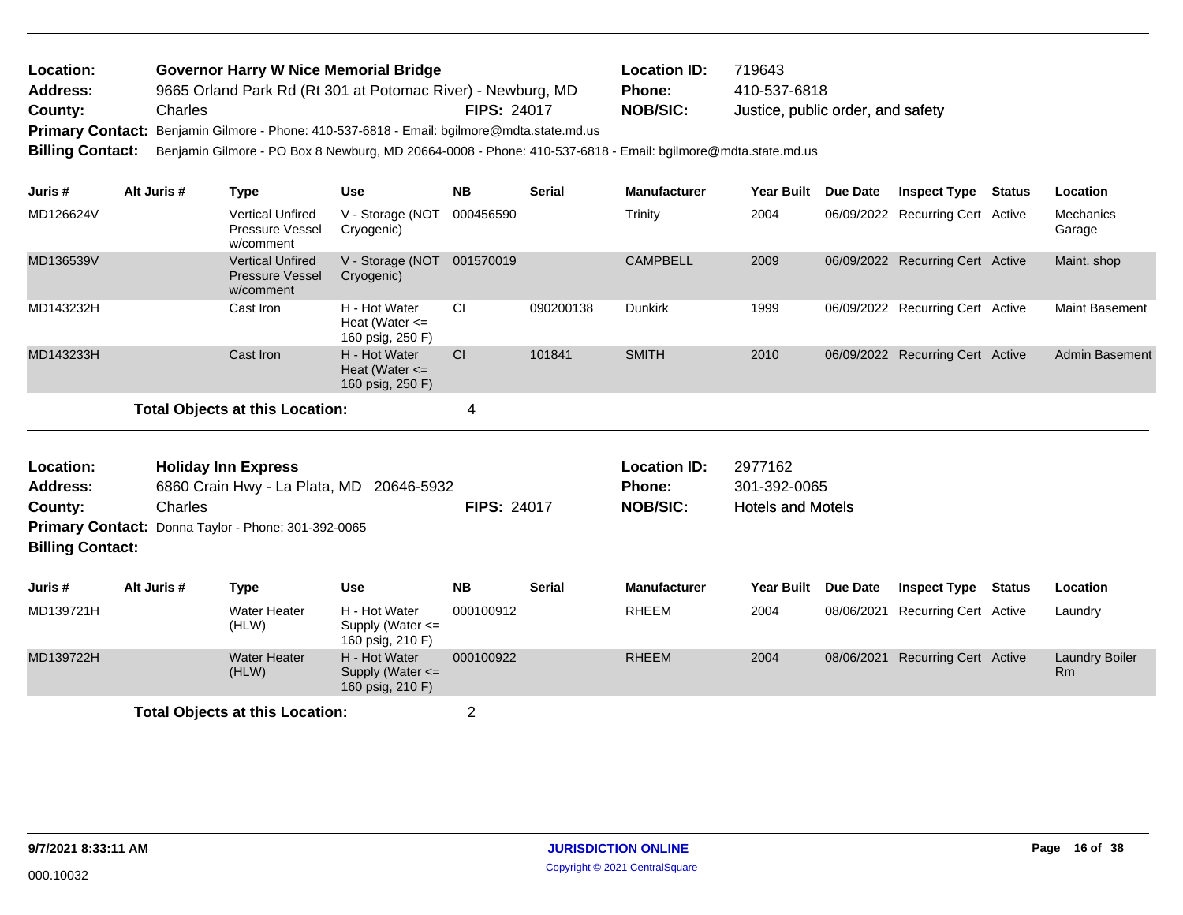| <b>Location:</b> | <b>Governor Harry W Nice Memorial Bridge</b>                                               |                    | <b>Location ID:</b> | 719643                            |
|------------------|--------------------------------------------------------------------------------------------|--------------------|---------------------|-----------------------------------|
| <b>Address:</b>  | 9665 Orland Park Rd (Rt 301 at Potomac River) - Newburg, MD                                |                    | <b>Phone:</b>       | 410-537-6818                      |
| County:          | Charles                                                                                    | <b>FIPS: 24017</b> | <b>NOB/SIC:</b>     | Justice, public order, and safety |
|                  | Primary Contact: Benjamin Gilmore - Phone: 410-537-6818 - Email: bgilmore@mdta.state.md.us |                    |                     |                                   |

**Billing Contact:** Benjamin Gilmore - PO Box 8 Newburg, MD 20664-0008 - Phone: 410-537-6818 - Email: bgilmore@mdta.state.md.us

| Juris #   | Alt Juris # | Type                                                           | <b>Use</b>                                              | <b>NB</b> | <b>Serial</b> | <b>Manufacturer</b> | <b>Year Built</b> | Due Date   | <b>Inspect Type</b>              | <b>Status</b> | <b>Location</b>       |
|-----------|-------------|----------------------------------------------------------------|---------------------------------------------------------|-----------|---------------|---------------------|-------------------|------------|----------------------------------|---------------|-----------------------|
| MD126624V |             | <b>Vertical Unfired</b><br><b>Pressure Vessel</b><br>w/comment | V - Storage (NOT<br>Cryogenic)                          | 000456590 |               | Trinity             | 2004              |            | 06/09/2022 Recurring Cert Active |               | Mechanics<br>Garage   |
| MD136539V |             | <b>Vertical Unfired</b><br><b>Pressure Vessel</b><br>w/comment | V - Storage (NOT<br>Cryogenic)                          | 001570019 |               | <b>CAMPBELL</b>     | 2009              | 06/09/2022 | Recurring Cert Active            |               | Maint. shop           |
| MD143232H |             | Cast Iron                                                      | H - Hot Water<br>Heat (Water $\leq$<br>160 psig, 250 F) | <b>CI</b> | 090200138     | <b>Dunkirk</b>      | 1999              |            | 06/09/2022 Recurring Cert Active |               | <b>Maint Basement</b> |
| MD143233H |             | Cast Iron                                                      | H - Hot Water<br>Heat (Water $\leq$<br>160 psig, 250 F) | <b>CI</b> | 101841        | <b>SMITH</b>        | 2010              | 06/09/2022 | <b>Recurring Cert Active</b>     |               | <b>Admin Basement</b> |
|           |             | <b>Total Objects at this Location:</b>                         |                                                         | 4         |               |                     |                   |            |                                  |               |                       |

| Location:<br><b>Address:</b><br>County:<br><b>Billing Contact:</b> | <b>Holiday Inn Express</b><br>6860 Crain Hwy - La Plata, MD 20646-5932<br>Charles<br><b>FIPS: 24017</b><br>Primary Contact: Donna Taylor - Phone: 301-392-0065 |                              |                                                           |           |               | <b>Location ID:</b><br><b>Phone:</b><br><b>NOB/SIC:</b> | 2977162<br>301-392-0065<br><b>Hotels and Motels</b> |          |                                  |        |                                    |
|--------------------------------------------------------------------|----------------------------------------------------------------------------------------------------------------------------------------------------------------|------------------------------|-----------------------------------------------------------|-----------|---------------|---------------------------------------------------------|-----------------------------------------------------|----------|----------------------------------|--------|------------------------------------|
| Juris #                                                            | Alt Juris #                                                                                                                                                    | Type                         | <b>Use</b>                                                | <b>NB</b> | <b>Serial</b> | <b>Manufacturer</b>                                     | <b>Year Built</b>                                   | Due Date | <b>Inspect Type</b>              | Status | <b>Location</b>                    |
| MD139721H                                                          |                                                                                                                                                                | Water Heater<br>(HLW)        | H - Hot Water<br>Supply (Water $\leq$<br>160 psig, 210 F) | 000100912 |               | <b>RHEEM</b>                                            | 2004                                                |          | 08/06/2021 Recurring Cert Active |        | Laundry                            |
| MD139722H                                                          |                                                                                                                                                                | <b>Water Heater</b><br>(HLW) | H - Hot Water<br>Supply (Water $\leq$<br>160 psig, 210 F) | 000100922 |               | <b>RHEEM</b>                                            | 2004                                                |          | 08/06/2021 Recurring Cert Active |        | <b>Laundry Boiler</b><br><b>Rm</b> |

**Total Objects at this Location:** 2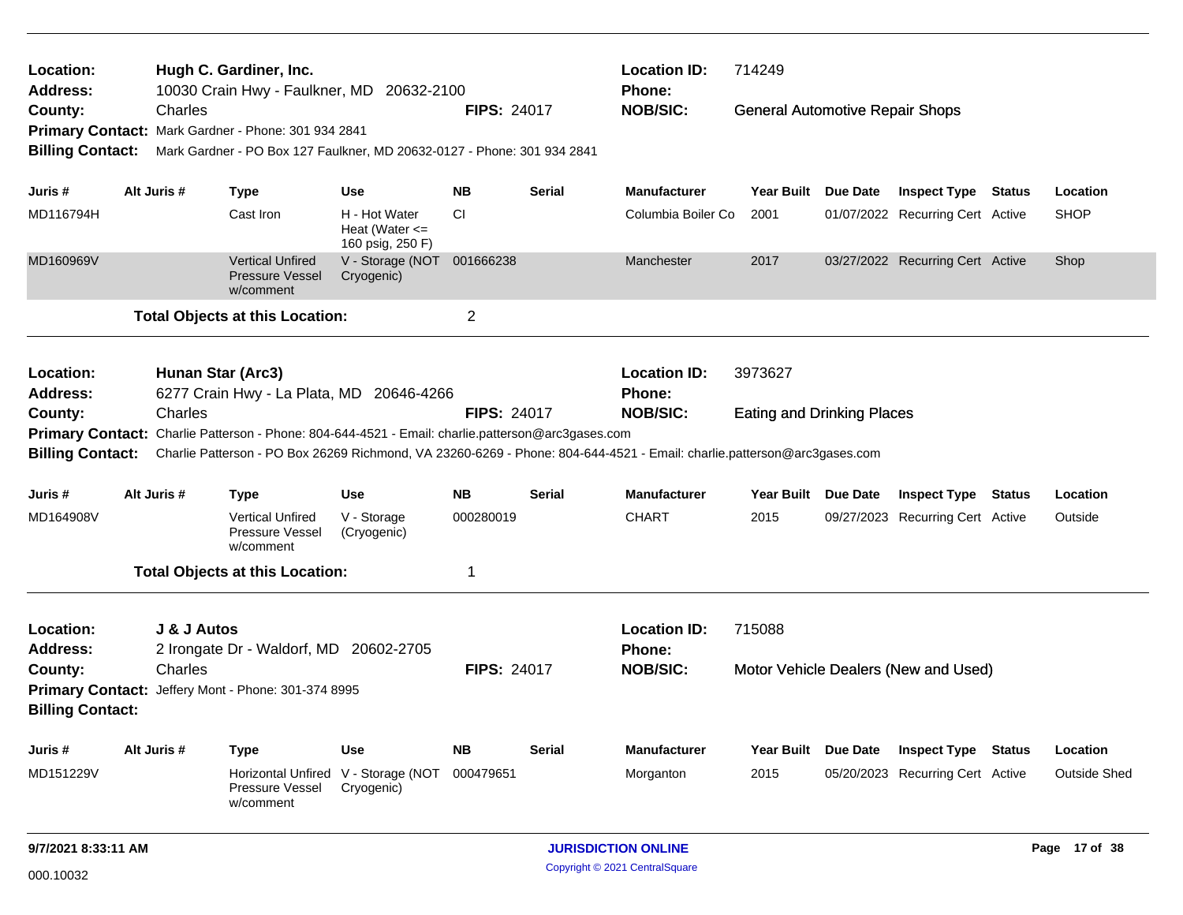| Location:<br>Address:        |                   | Hugh C. Gardiner, Inc.<br>10030 Crain Hwy - Faulkner, MD 20632-2100                               |                                                         |                    |               | <b>Location ID:</b><br>Phone:                                                                                           | 714249                                 |          |                                      |                     |
|------------------------------|-------------------|---------------------------------------------------------------------------------------------------|---------------------------------------------------------|--------------------|---------------|-------------------------------------------------------------------------------------------------------------------------|----------------------------------------|----------|--------------------------------------|---------------------|
| County:                      | Charles           |                                                                                                   |                                                         | <b>FIPS: 24017</b> |               | <b>NOB/SIC:</b>                                                                                                         | <b>General Automotive Repair Shops</b> |          |                                      |                     |
|                              |                   | Primary Contact: Mark Gardner - Phone: 301 934 2841                                               |                                                         |                    |               |                                                                                                                         |                                        |          |                                      |                     |
| <b>Billing Contact:</b>      |                   | Mark Gardner - PO Box 127 Faulkner, MD 20632-0127 - Phone: 301 934 2841                           |                                                         |                    |               |                                                                                                                         |                                        |          |                                      |                     |
| Juris #                      | Alt Juris #       | Type                                                                                              | <b>Use</b>                                              | <b>NB</b>          | <b>Serial</b> | <b>Manufacturer</b>                                                                                                     | Year Built Due Date                    |          | <b>Inspect Type Status</b>           | Location            |
| MD116794H                    |                   | Cast Iron                                                                                         | H - Hot Water<br>Heat (Water $\leq$<br>160 psig, 250 F) | СI                 |               | Columbia Boiler Co                                                                                                      | 2001                                   |          | 01/07/2022 Recurring Cert Active     | <b>SHOP</b>         |
| MD160969V                    |                   | <b>Vertical Unfired</b><br><b>Pressure Vessel</b><br>w/comment                                    | V - Storage (NOT 001666238<br>Cryogenic)                |                    |               | Manchester                                                                                                              | 2017                                   |          | 03/27/2022 Recurring Cert Active     | Shop                |
|                              |                   | <b>Total Objects at this Location:</b>                                                            |                                                         | $\overline{c}$     |               |                                                                                                                         |                                        |          |                                      |                     |
| Location:<br><b>Address:</b> | Hunan Star (Arc3) | 6277 Crain Hwy - La Plata, MD 20646-4266                                                          |                                                         |                    |               | <b>Location ID:</b><br>Phone:                                                                                           | 3973627                                |          |                                      |                     |
| County:                      | Charles           |                                                                                                   |                                                         | <b>FIPS: 24017</b> |               | <b>NOB/SIC:</b>                                                                                                         | <b>Eating and Drinking Places</b>      |          |                                      |                     |
|                              |                   | Primary Contact: Charlie Patterson - Phone: 804-644-4521 - Email: charlie.patterson@arc3gases.com |                                                         |                    |               |                                                                                                                         |                                        |          |                                      |                     |
| <b>Billing Contact:</b>      |                   |                                                                                                   |                                                         |                    |               | Charlie Patterson - PO Box 26269 Richmond, VA 23260-6269 - Phone: 804-644-4521 - Email: charlie.patterson@arc3gases.com |                                        |          |                                      |                     |
| Juris #                      | Alt Juris #       | <b>Type</b>                                                                                       | <b>Use</b>                                              | <b>NB</b>          | <b>Serial</b> | <b>Manufacturer</b>                                                                                                     | Year Built Due Date                    |          | <b>Inspect Type Status</b>           | Location            |
|                              |                   |                                                                                                   |                                                         |                    |               |                                                                                                                         |                                        |          |                                      |                     |
| MD164908V                    |                   | <b>Vertical Unfired</b><br>Pressure Vessel<br>w/comment                                           | V - Storage<br>(Cryogenic)                              | 000280019          |               | <b>CHART</b>                                                                                                            | 2015                                   |          | 09/27/2023 Recurring Cert Active     | Outside             |
|                              |                   | <b>Total Objects at this Location:</b>                                                            |                                                         | 1                  |               |                                                                                                                         |                                        |          |                                      |                     |
| Location:                    | J & J Autos       |                                                                                                   |                                                         |                    |               | <b>Location ID:</b>                                                                                                     | 715088                                 |          |                                      |                     |
| <b>Address:</b>              |                   | 2 Irongate Dr - Waldorf, MD 20602-2705                                                            |                                                         |                    |               | <b>Phone:</b>                                                                                                           |                                        |          |                                      |                     |
| County:                      | Charles           |                                                                                                   |                                                         | <b>FIPS: 24017</b> |               | <b>NOB/SIC:</b>                                                                                                         |                                        |          | Motor Vehicle Dealers (New and Used) |                     |
| <b>Primary Contact:</b>      |                   | Jeffery Mont - Phone: 301-374 8995                                                                |                                                         |                    |               |                                                                                                                         |                                        |          |                                      |                     |
| <b>Billing Contact:</b>      |                   |                                                                                                   |                                                         |                    |               |                                                                                                                         |                                        |          |                                      |                     |
| Juris #                      | Alt Juris #       | <b>Type</b>                                                                                       | <b>Use</b>                                              | <b>NB</b>          | <b>Serial</b> | <b>Manufacturer</b>                                                                                                     | <b>Year Built</b>                      | Due Date | <b>Inspect Type Status</b>           | Location            |
| MD151229V                    |                   | <b>Horizontal Unfired</b><br><b>Pressure Vessel</b><br>w/comment                                  | V - Storage (NOT<br>Cryogenic)                          | 000479651          |               | Morganton                                                                                                               | 2015                                   |          | 05/20/2023 Recurring Cert Active     | <b>Outside Shed</b> |
|                              |                   |                                                                                                   |                                                         |                    |               |                                                                                                                         |                                        |          |                                      |                     |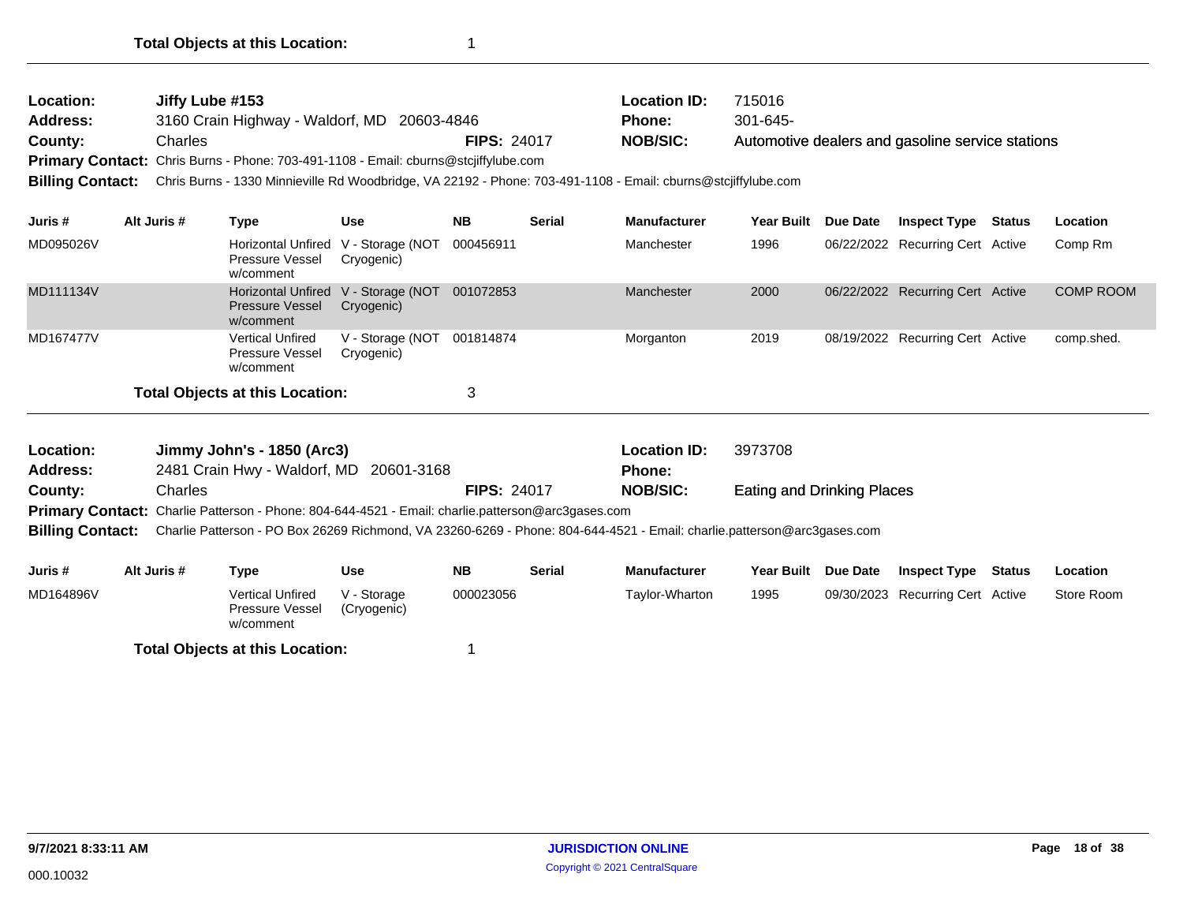| <b>Location:</b> | Jiffy Lube #153                                                                     |                    | Location ID:    | 715016                                           |
|------------------|-------------------------------------------------------------------------------------|--------------------|-----------------|--------------------------------------------------|
| <b>Address:</b>  | 3160 Crain Highway - Waldorf, MD 20603-4846                                         |                    | Phone:          | $301 - 645$                                      |
| <b>County:</b>   | Charles                                                                             | <b>FIPS: 24017</b> | <b>NOB/SIC:</b> | Automotive dealers and gasoline service stations |
|                  | Primary Contact: Chris Burns - Phone: 703-491-1108 - Email: cburns@stcjiffylube.com |                    |                 |                                                  |
|                  |                                                                                     |                    |                 |                                                  |

**Billing Contact:** Chris Burns - 1330 Minnieville Rd Woodbridge, VA 22192 - Phone: 703-491-1108 - Email: cburns@stcjiffylube.com

| Juris #   | Alt Juris # | Type                                                                       | <b>Use</b>                     | <b>NB</b> | <b>Serial</b> | <b>Manufacturer</b> | Year Built | <b>Due Date</b> | <b>Inspect Type</b>              | <b>Status</b> | Location         |
|-----------|-------------|----------------------------------------------------------------------------|--------------------------------|-----------|---------------|---------------------|------------|-----------------|----------------------------------|---------------|------------------|
| MD095026V |             | Horizontal Unfired V - Storage (NOT<br>Pressure Vessel<br>w/comment        | Cryogenic)                     | 000456911 |               | Manchester          | 1996       |                 | 06/22/2022 Recurring Cert Active |               | Comp Rm          |
| MD111134V |             | Horizontal Unfired V - Storage (NOT<br><b>Pressure Vessel</b><br>w/comment | Cryogenic)                     | 001072853 |               | Manchester          | 2000       |                 | 06/22/2022 Recurring Cert Active |               | <b>COMP ROOM</b> |
| MD167477V |             | <b>Vertical Unfired</b><br>Pressure Vessel<br>w/comment                    | V - Storage (NOT<br>Cryogenic) | 001814874 |               | Morganton           | 2019       |                 | 08/19/2022 Recurring Cert Active |               | comp.shed.       |
|           |             | <b>Total Objects at this Location:</b>                                     |                                | 3         |               |                     |            |                 |                                  |               |                  |

| <b>Location:</b> | Jimmy John's - 1850 (Arc3)                                                                               |                    | <b>Location ID:</b> | 3973708                           |
|------------------|----------------------------------------------------------------------------------------------------------|--------------------|---------------------|-----------------------------------|
| Address:         | 2481 Crain Hwy - Waldorf, MD 20601-3168                                                                  |                    | Phone:              |                                   |
| County:          | Charles                                                                                                  | <b>FIPS: 24017</b> | NOB/SIC:            | <b>Eating and Drinking Places</b> |
|                  | <b>Primary Contact:</b> Charlie Patterson - Phone: 804-644-4521 - Email: charlie.patterson@arc3gases.com |                    |                     |                                   |

**Billing Contact:** Charlie Patterson - PO Box 26269 Richmond, VA 23260-6269 - Phone: 804-644-4521 - Email: charlie.patterson@arc3gases.com

| Juris #   | Alt Juris # | Type                                             | Use                        | NΒ        | Serial | <b>Manufacturer</b> | Year Built | <b>Due Date</b> | <b>Inspect Type</b>              | Status | Location   |
|-----------|-------------|--------------------------------------------------|----------------------------|-----------|--------|---------------------|------------|-----------------|----------------------------------|--------|------------|
| MD164896V |             | Vertical Unfired<br>Pressure Vessel<br>w/comment | V - Storage<br>(Cryogenic) | 000023056 |        | Tavlor-Wharton      | 1995       |                 | 09/30/2023 Recurring Cert Active |        | Store Room |
|           |             | <b>Total Objects at this Location:</b>           |                            |           |        |                     |            |                 |                                  |        |            |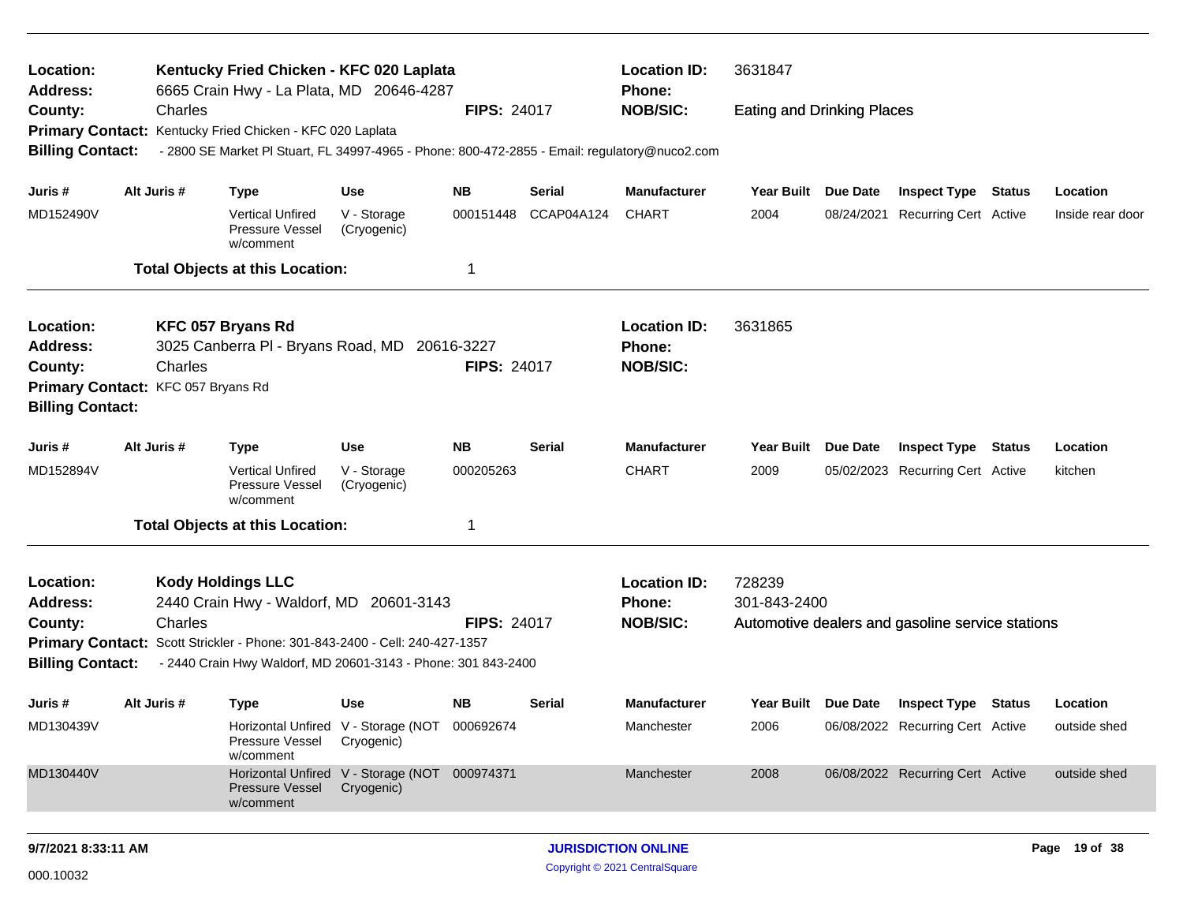| Location:<br>Address:                                                                                                                                                                                               |  |             | Kentucky Fried Chicken - KFC 020 Laplata<br>6665 Crain Hwy - La Plata, MD 20646-4287          |                                                             |                    |            | <b>Location ID:</b><br><b>Phone:</b>             | 3631847                           |                                  |                                                  |               |                  |
|---------------------------------------------------------------------------------------------------------------------------------------------------------------------------------------------------------------------|--|-------------|-----------------------------------------------------------------------------------------------|-------------------------------------------------------------|--------------------|------------|--------------------------------------------------|-----------------------------------|----------------------------------|--------------------------------------------------|---------------|------------------|
| County:                                                                                                                                                                                                             |  | Charles     |                                                                                               |                                                             | <b>FIPS: 24017</b> |            | <b>NOB/SIC:</b>                                  | <b>Eating and Drinking Places</b> |                                  |                                                  |               |                  |
| <b>Primary Contact:</b>                                                                                                                                                                                             |  |             | Kentucky Fried Chicken - KFC 020 Laplata                                                      |                                                             |                    |            |                                                  |                                   |                                  |                                                  |               |                  |
| <b>Billing Contact:</b>                                                                                                                                                                                             |  |             | - 2800 SE Market PI Stuart, FL 34997-4965 - Phone: 800-472-2855 - Email: regulatory@nuco2.com |                                                             |                    |            |                                                  |                                   |                                  |                                                  |               |                  |
| Juris #                                                                                                                                                                                                             |  | Alt Juris # | <b>Type</b>                                                                                   | <b>Use</b>                                                  | <b>NB</b>          | Serial     | <b>Manufacturer</b>                              | Year Built Due Date               |                                  | <b>Inspect Type Status</b>                       |               | Location         |
| MD152490V                                                                                                                                                                                                           |  |             | <b>Vertical Unfired</b><br>Pressure Vessel<br>w/comment                                       | V - Storage<br>(Cryogenic)                                  | 000151448          | CCAP04A124 | <b>CHART</b>                                     | 2004                              | 08/24/2021                       | Recurring Cert Active                            |               | Inside rear door |
| <b>Total Objects at this Location:</b><br>1                                                                                                                                                                         |  |             |                                                                                               |                                                             |                    |            |                                                  |                                   |                                  |                                                  |               |                  |
| KFC 057 Bryans Rd<br>Location:<br>3025 Canberra PI - Bryans Road, MD 20616-3227<br>Address:<br><b>FIPS: 24017</b>                                                                                                   |  |             |                                                                                               |                                                             |                    |            | <b>Location ID:</b><br><b>Phone:</b>             | 3631865                           |                                  |                                                  |               |                  |
| County:                                                                                                                                                                                                             |  | Charles     |                                                                                               |                                                             |                    |            | <b>NOB/SIC:</b>                                  |                                   |                                  |                                                  |               |                  |
| Primary Contact: KFC 057 Bryans Rd<br><b>Billing Contact:</b>                                                                                                                                                       |  |             |                                                                                               |                                                             |                    |            |                                                  |                                   |                                  |                                                  |               |                  |
| Juris #                                                                                                                                                                                                             |  | Alt Juris # | <b>Type</b>                                                                                   | <b>Use</b>                                                  | <b>NB</b>          | Serial     | <b>Manufacturer</b>                              | <b>Year Built</b>                 | Due Date                         | <b>Inspect Type</b>                              | <b>Status</b> | Location         |
| MD152894V                                                                                                                                                                                                           |  |             | <b>Vertical Unfired</b><br>Pressure Vessel<br>w/comment                                       | V - Storage<br>(Cryogenic)                                  | 000205263          |            | <b>CHART</b>                                     | 2009                              |                                  | 05/02/2023 Recurring Cert Active                 |               | kitchen          |
|                                                                                                                                                                                                                     |  |             | <b>Total Objects at this Location:</b>                                                        |                                                             | 1                  |            |                                                  |                                   |                                  |                                                  |               |                  |
| Location:<br><b>Address:</b>                                                                                                                                                                                        |  |             | <b>Kody Holdings LLC</b><br>2440 Crain Hwy - Waldorf, MD                                      | 20601-3143                                                  |                    |            | <b>Location ID:</b><br>Phone:<br><b>NOB/SIC:</b> | 728239<br>301-843-2400            |                                  |                                                  |               |                  |
| Charles<br><b>FIPS: 24017</b><br>County:<br>Primary Contact: Scott Strickler - Phone: 301-843-2400 - Cell: 240-427-1357<br><b>Billing Contact:</b><br>- 2440 Crain Hwy Waldorf, MD 20601-3143 - Phone: 301 843-2400 |  |             |                                                                                               |                                                             |                    |            |                                                  |                                   |                                  | Automotive dealers and gasoline service stations |               |                  |
| Juris #                                                                                                                                                                                                             |  | Alt Juris # | Type                                                                                          | <b>Use</b>                                                  | <b>NB</b>          | Serial     | <b>Manufacturer</b>                              | Year Built Due Date               |                                  | <b>Inspect Type Status</b>                       |               | Location         |
| MD130439V                                                                                                                                                                                                           |  |             | Pressure Vessel<br>w/comment                                                                  | Horizontal Unfired V - Storage (NOT 000692674<br>Cryogenic) |                    |            | Manchester                                       | 2006                              |                                  | 06/08/2022 Recurring Cert Active                 |               | outside shed     |
| Horizontal Unfired V - Storage (NOT 000974371<br>MD130440V<br>Pressure Vessel<br>Cryogenic)<br>w/comment                                                                                                            |  |             |                                                                                               |                                                             |                    | Manchester | 2008                                             |                                   | 06/08/2022 Recurring Cert Active |                                                  | outside shed  |                  |
|                                                                                                                                                                                                                     |  |             |                                                                                               |                                                             |                    |            |                                                  |                                   |                                  |                                                  |               |                  |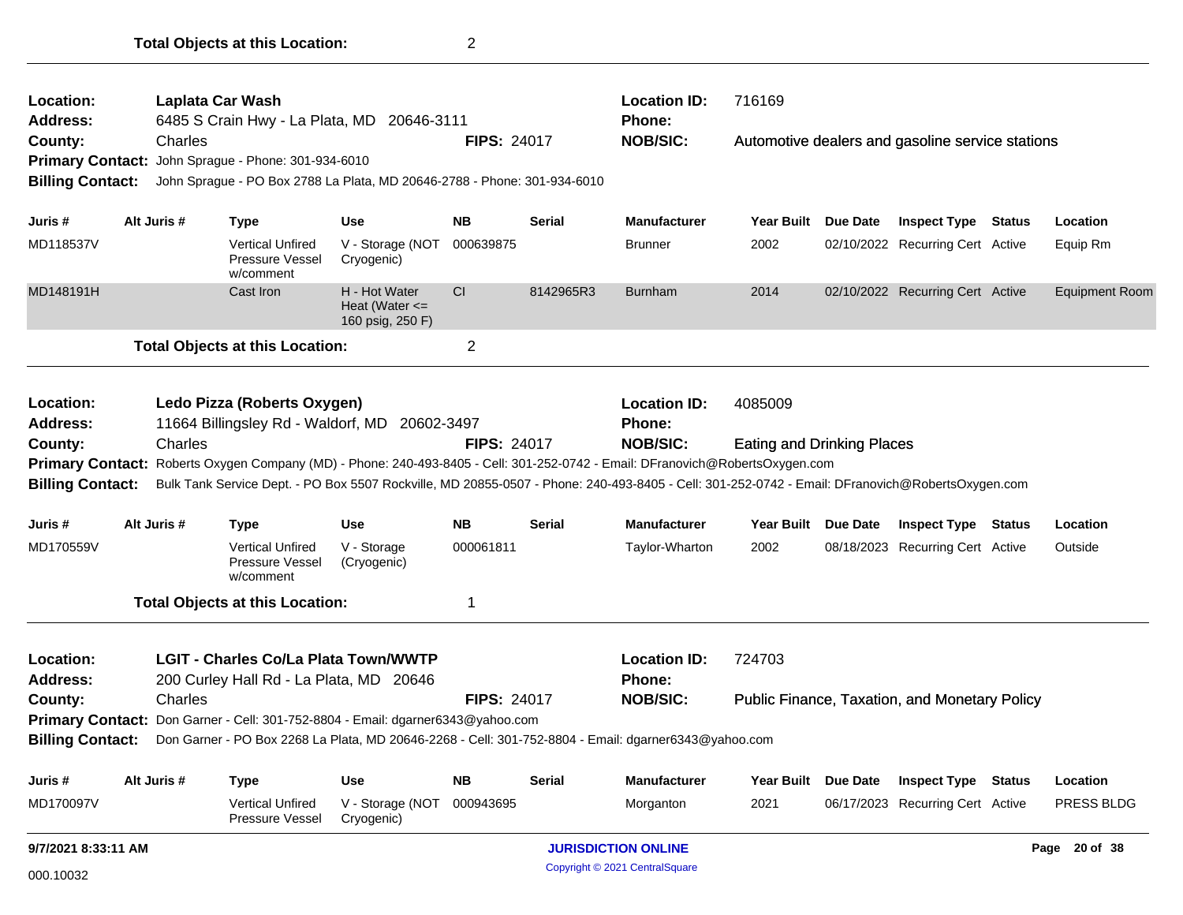| Location:                                                                       |                                                                                                                                          | Laplata Car Wash                                        |                                                                                                                                                 |                    |                    | <b>Location ID:</b> | 716169                            |                 |                                                      |               |                       |
|---------------------------------------------------------------------------------|------------------------------------------------------------------------------------------------------------------------------------------|---------------------------------------------------------|-------------------------------------------------------------------------------------------------------------------------------------------------|--------------------|--------------------|---------------------|-----------------------------------|-----------------|------------------------------------------------------|---------------|-----------------------|
| <b>Address:</b>                                                                 |                                                                                                                                          |                                                         | 6485 S Crain Hwy - La Plata, MD 20646-3111                                                                                                      |                    |                    | Phone:              |                                   |                 |                                                      |               |                       |
| County:                                                                         | Charles                                                                                                                                  |                                                         |                                                                                                                                                 | <b>FIPS: 24017</b> |                    | <b>NOB/SIC:</b>     |                                   |                 | Automotive dealers and gasoline service stations     |               |                       |
| Primary Contact: John Sprague - Phone: 301-934-6010                             |                                                                                                                                          |                                                         |                                                                                                                                                 |                    |                    |                     |                                   |                 |                                                      |               |                       |
| <b>Billing Contact:</b>                                                         |                                                                                                                                          |                                                         | John Sprague - PO Box 2788 La Plata, MD 20646-2788 - Phone: 301-934-6010                                                                        |                    |                    |                     |                                   |                 |                                                      |               |                       |
| Juris #                                                                         | Alt Juris #                                                                                                                              | <b>Type</b>                                             | Use                                                                                                                                             | <b>NB</b>          | Serial             | <b>Manufacturer</b> | <b>Year Built</b>                 | Due Date        | <b>Inspect Type</b>                                  | <b>Status</b> | Location              |
| MD118537V                                                                       |                                                                                                                                          | <b>Vertical Unfired</b><br>Pressure Vessel<br>w/comment | V - Storage (NOT<br>Cryogenic)                                                                                                                  | 000639875          |                    | <b>Brunner</b>      | 2002                              |                 | 02/10/2022 Recurring Cert Active                     |               | Equip Rm              |
| MD148191H                                                                       |                                                                                                                                          | Cast Iron                                               | H - Hot Water<br>Heat (Water $\leq$<br>160 psig, 250 F)                                                                                         | <b>CI</b>          | 8142965R3          | <b>Burnham</b>      | 2014                              |                 | 02/10/2022 Recurring Cert Active                     |               | <b>Equipment Room</b> |
|                                                                                 |                                                                                                                                          | <b>Total Objects at this Location:</b>                  |                                                                                                                                                 | $\overline{2}$     |                    |                     |                                   |                 |                                                      |               |                       |
| Location:                                                                       |                                                                                                                                          | Ledo Pizza (Roberts Oxygen)                             |                                                                                                                                                 |                    |                    | <b>Location ID:</b> | 4085009                           |                 |                                                      |               |                       |
| <b>Address:</b>                                                                 |                                                                                                                                          |                                                         | 11664 Billingsley Rd - Waldorf, MD 20602-3497                                                                                                   |                    |                    | <b>Phone:</b>       |                                   |                 |                                                      |               |                       |
| County:                                                                         | Charles<br>Primary Contact: Roberts Oxygen Company (MD) - Phone: 240-493-8405 - Cell: 301-252-0742 - Email: DFranovich@RobertsOxygen.com |                                                         |                                                                                                                                                 |                    | <b>FIPS: 24017</b> | <b>NOB/SIC:</b>     | <b>Eating and Drinking Places</b> |                 |                                                      |               |                       |
|                                                                                 |                                                                                                                                          |                                                         |                                                                                                                                                 |                    |                    |                     |                                   |                 |                                                      |               |                       |
| <b>Billing Contact:</b>                                                         |                                                                                                                                          |                                                         | Bulk Tank Service Dept. - PO Box 5507 Rockville, MD 20855-0507 - Phone: 240-493-8405 - Cell: 301-252-0742 - Email: DFranovich@RobertsOxygen.com |                    |                    |                     |                                   |                 |                                                      |               |                       |
| Juris #                                                                         | Alt Juris #                                                                                                                              | <b>Type</b>                                             | <b>Use</b>                                                                                                                                      | <b>NB</b>          | Serial             | <b>Manufacturer</b> | <b>Year Built</b>                 | <b>Due Date</b> | <b>Inspect Type</b>                                  | <b>Status</b> | Location              |
|                                                                                 |                                                                                                                                          | <b>Vertical Unfired</b><br>Pressure Vessel<br>w/comment | V - Storage<br>(Cryogenic)                                                                                                                      | 000061811          |                    | Taylor-Wharton      | 2002                              |                 | 08/18/2023 Recurring Cert Active                     |               | Outside               |
| MD170559V                                                                       |                                                                                                                                          | <b>Total Objects at this Location:</b>                  |                                                                                                                                                 | 1                  |                    |                     |                                   |                 |                                                      |               |                       |
|                                                                                 |                                                                                                                                          | <b>LGIT - Charles Co/La Plata Town/WWTP</b>             |                                                                                                                                                 |                    |                    | <b>Location ID:</b> | 724703                            |                 |                                                      |               |                       |
|                                                                                 |                                                                                                                                          | 200 Curley Hall Rd - La Plata, MD 20646                 |                                                                                                                                                 |                    |                    | Phone:              |                                   |                 |                                                      |               |                       |
|                                                                                 | Charles                                                                                                                                  |                                                         |                                                                                                                                                 | <b>FIPS: 24017</b> |                    | <b>NOB/SIC:</b>     |                                   |                 | <b>Public Finance, Taxation, and Monetary Policy</b> |               |                       |
| Primary Contact: Don Garner - Cell: 301-752-8804 - Email: dgarner6343@yahoo.com |                                                                                                                                          |                                                         |                                                                                                                                                 |                    |                    |                     |                                   |                 |                                                      |               |                       |
| <b>Billing Contact:</b>                                                         |                                                                                                                                          |                                                         | Don Garner - PO Box 2268 La Plata, MD 20646-2268 - Cell: 301-752-8804 - Email: dgarner6343@yahoo.com                                            |                    |                    |                     |                                   |                 |                                                      |               |                       |
| Location:<br><b>Address:</b><br>County:<br>Juris #                              | Alt Juris #                                                                                                                              | <b>Type</b>                                             | <b>Use</b>                                                                                                                                      | <b>NB</b>          | <b>Serial</b>      | <b>Manufacturer</b> | <b>Year Built</b>                 | Due Date        | <b>Inspect Type Status</b>                           |               | Location              |

**Total Objects at this Location:** 2

Copyright © 2021 CentralSquare 000.10032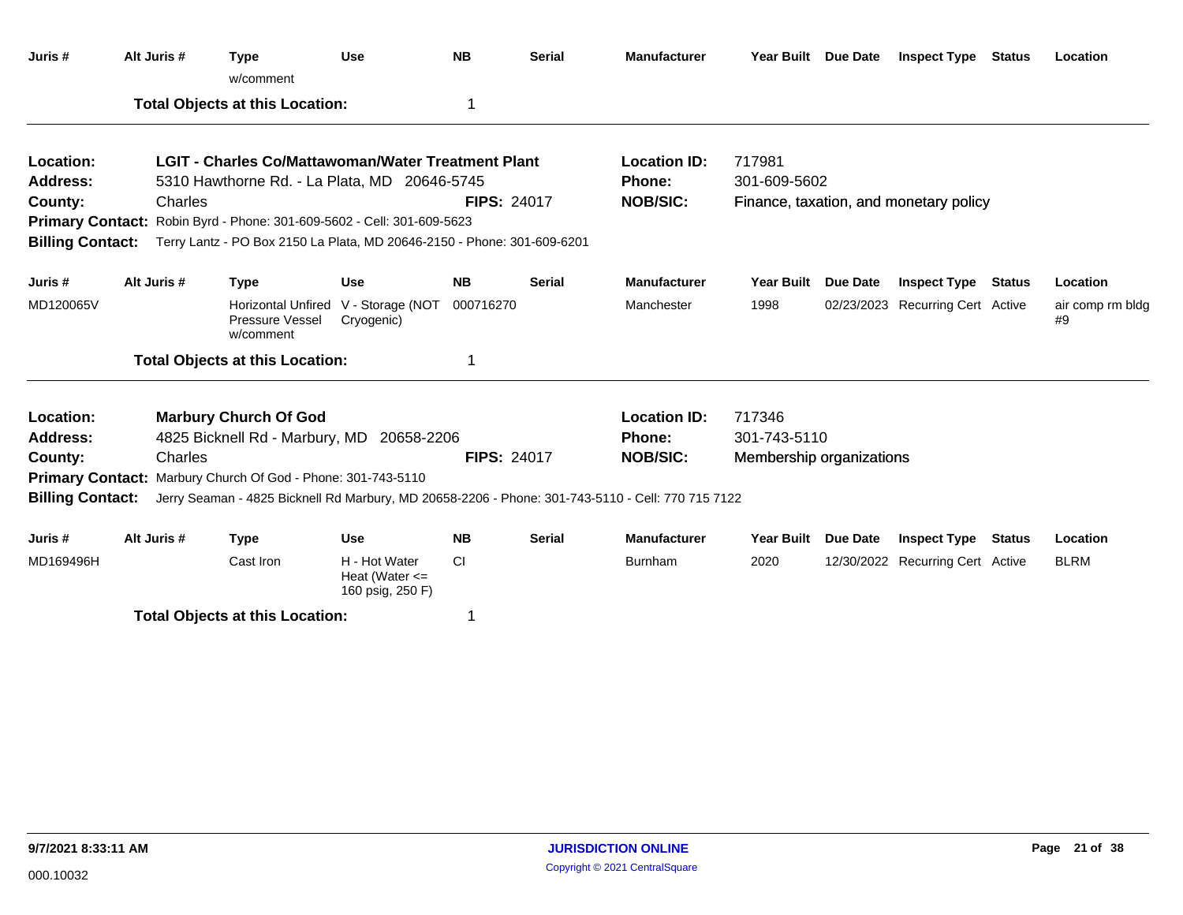| Juris #                 |                                                                                                                                                                              | Alt Juris # | <b>Type</b><br>w/comment                                     | <b>Use</b>                                              | <b>NB</b>          | <b>Serial</b> | <b>Manufacturer</b>                                                                               | Year Built Due Date                    |  | <b>Inspect Type Status</b>       |  | Location               |
|-------------------------|------------------------------------------------------------------------------------------------------------------------------------------------------------------------------|-------------|--------------------------------------------------------------|---------------------------------------------------------|--------------------|---------------|---------------------------------------------------------------------------------------------------|----------------------------------------|--|----------------------------------|--|------------------------|
|                         |                                                                                                                                                                              |             | <b>Total Objects at this Location:</b>                       |                                                         | 1                  |               |                                                                                                   |                                        |  |                                  |  |                        |
| Location:               |                                                                                                                                                                              |             | <b>LGIT - Charles Co/Mattawoman/Water Treatment Plant</b>    |                                                         |                    |               | <b>Location ID:</b>                                                                               | 717981                                 |  |                                  |  |                        |
| <b>Address:</b>         |                                                                                                                                                                              |             | 5310 Hawthorne Rd. - La Plata, MD 20646-5745                 |                                                         |                    |               | Phone:                                                                                            | 301-609-5602                           |  |                                  |  |                        |
| County:                 |                                                                                                                                                                              | Charles     |                                                              |                                                         | <b>FIPS: 24017</b> |               | <b>NOB/SIC:</b>                                                                                   | Finance, taxation, and monetary policy |  |                                  |  |                        |
|                         | Primary Contact: Robin Byrd - Phone: 301-609-5602 - Cell: 301-609-5623<br><b>Billing Contact:</b><br>Terry Lantz - PO Box 2150 La Plata, MD 20646-2150 - Phone: 301-609-6201 |             |                                                              |                                                         |                    |               |                                                                                                   |                                        |  |                                  |  |                        |
|                         |                                                                                                                                                                              |             |                                                              |                                                         |                    |               |                                                                                                   |                                        |  |                                  |  |                        |
| Juris #                 |                                                                                                                                                                              | Alt Juris # | <b>Type</b>                                                  | <b>Use</b>                                              | <b>NB</b>          | <b>Serial</b> | <b>Manufacturer</b>                                                                               | Year Built Due Date                    |  | <b>Inspect Type Status</b>       |  | Location               |
| MD120065V               |                                                                                                                                                                              |             | Pressure Vessel<br>w/comment                                 | Horizontal Unfired V - Storage (NOT<br>Cryogenic)       | 000716270          |               | Manchester                                                                                        | 1998                                   |  | 02/23/2023 Recurring Cert Active |  | air comp rm bldg<br>#9 |
|                         |                                                                                                                                                                              |             | <b>Total Objects at this Location:</b>                       |                                                         | 1                  |               |                                                                                                   |                                        |  |                                  |  |                        |
| Location:               |                                                                                                                                                                              |             | <b>Marbury Church Of God</b>                                 |                                                         |                    |               | <b>Location ID:</b>                                                                               | 717346                                 |  |                                  |  |                        |
| <b>Address:</b>         |                                                                                                                                                                              |             | 4825 Bicknell Rd - Marbury, MD                               | 20658-2206                                              |                    |               | <b>Phone:</b>                                                                                     | 301-743-5110                           |  |                                  |  |                        |
| County:                 |                                                                                                                                                                              | Charles     |                                                              |                                                         | <b>FIPS: 24017</b> |               | <b>NOB/SIC:</b>                                                                                   | Membership organizations               |  |                                  |  |                        |
|                         |                                                                                                                                                                              |             | Primary Contact: Marbury Church Of God - Phone: 301-743-5110 |                                                         |                    |               |                                                                                                   |                                        |  |                                  |  |                        |
| <b>Billing Contact:</b> |                                                                                                                                                                              |             |                                                              |                                                         |                    |               | Jerry Seaman - 4825 Bicknell Rd Marbury, MD 20658-2206 - Phone: 301-743-5110 - Cell: 770 715 7122 |                                        |  |                                  |  |                        |
| Juris #                 |                                                                                                                                                                              | Alt Juris # | <b>Type</b>                                                  | <b>Use</b>                                              | <b>NB</b>          | <b>Serial</b> | <b>Manufacturer</b>                                                                               | Year Built Due Date                    |  | <b>Inspect Type Status</b>       |  | Location               |
| MD169496H               |                                                                                                                                                                              |             | Cast Iron                                                    | H - Hot Water<br>Heat (Water $\leq$<br>160 psig, 250 F) | <b>CI</b>          |               | Burnham                                                                                           | 2020                                   |  | 12/30/2022 Recurring Cert Active |  | <b>BLRM</b>            |
|                         |                                                                                                                                                                              |             | <b>Total Objects at this Location:</b>                       |                                                         | 1                  |               |                                                                                                   |                                        |  |                                  |  |                        |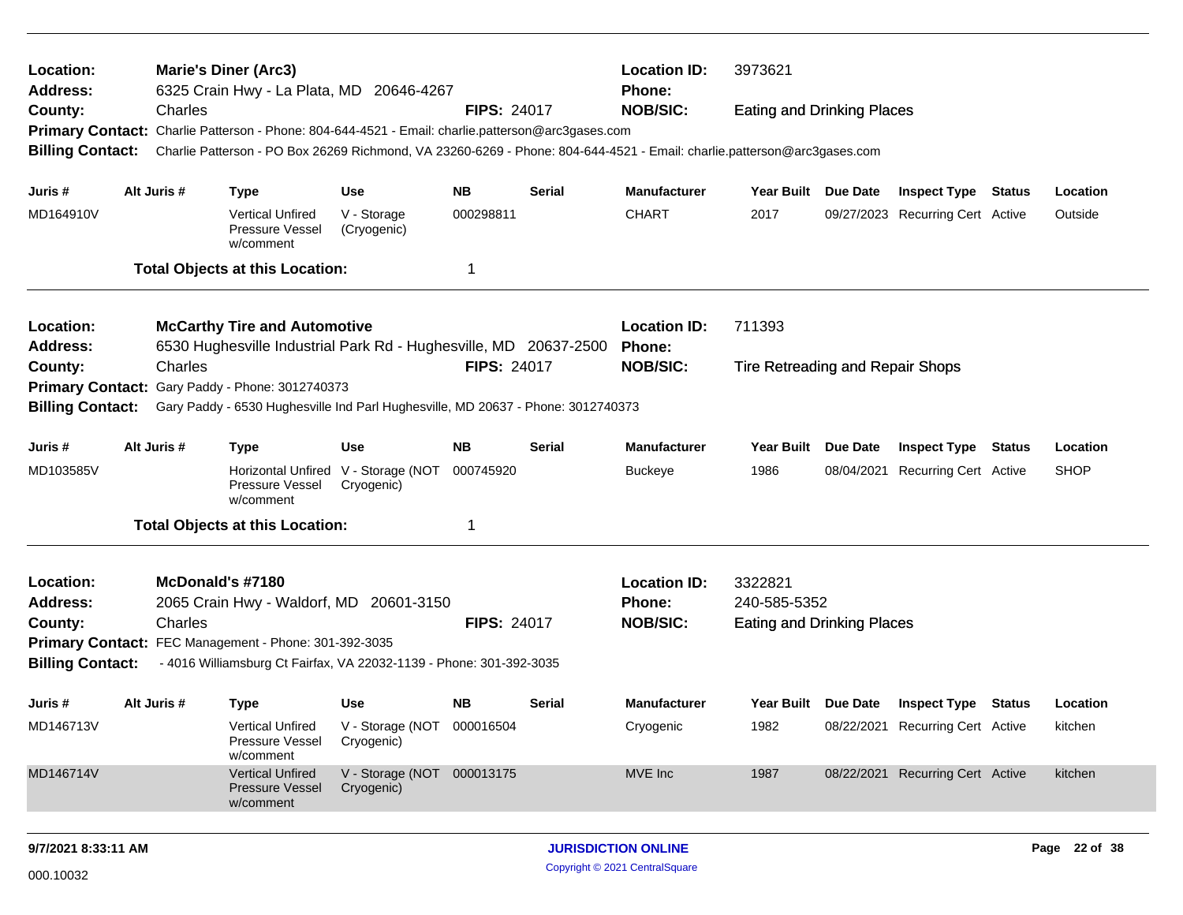| Location:<br>Address:                                                                                                                  |                                                                                                     |                  | <b>Marie's Diner (Arc3)</b><br>6325 Crain Hwy - La Plata, MD 20646-4267                                                 |                                                   | <b>Location ID:</b><br><b>Phone:</b> | 3973621       |                     |                                   |            |                                  |        |             |
|----------------------------------------------------------------------------------------------------------------------------------------|-----------------------------------------------------------------------------------------------------|------------------|-------------------------------------------------------------------------------------------------------------------------|---------------------------------------------------|--------------------------------------|---------------|---------------------|-----------------------------------|------------|----------------------------------|--------|-------------|
| County:                                                                                                                                |                                                                                                     | Charles          |                                                                                                                         |                                                   | <b>FIPS: 24017</b>                   |               | <b>NOB/SIC:</b>     | <b>Eating and Drinking Places</b> |            |                                  |        |             |
|                                                                                                                                        |                                                                                                     |                  | Primary Contact: Charlie Patterson - Phone: 804-644-4521 - Email: charlie.patterson@arc3gases.com                       |                                                   |                                      |               |                     |                                   |            |                                  |        |             |
| <b>Billing Contact:</b>                                                                                                                |                                                                                                     |                  | Charlie Patterson - PO Box 26269 Richmond, VA 23260-6269 - Phone: 804-644-4521 - Email: charlie.patterson@arc3gases.com |                                                   |                                      |               |                     |                                   |            |                                  |        |             |
| Juris #                                                                                                                                |                                                                                                     | Alt Juris #      | <b>Type</b>                                                                                                             | <b>Use</b>                                        | <b>NB</b>                            | Serial        | <b>Manufacturer</b> | Year Built Due Date               |            | <b>Inspect Type Status</b>       |        | Location    |
| MD164910V                                                                                                                              |                                                                                                     |                  | <b>Vertical Unfired</b><br>Pressure Vessel<br>w/comment                                                                 | V - Storage<br>(Cryogenic)                        | 000298811                            |               | <b>CHART</b>        | 2017                              |            | 09/27/2023 Recurring Cert Active |        | Outside     |
|                                                                                                                                        |                                                                                                     |                  | <b>Total Objects at this Location:</b>                                                                                  |                                                   | 1                                    |               |                     |                                   |            |                                  |        |             |
| Location:<br><b>McCarthy Tire and Automotive</b>                                                                                       |                                                                                                     |                  |                                                                                                                         |                                                   |                                      |               | <b>Location ID:</b> | 711393                            |            |                                  |        |             |
| 6530 Hughesville Industrial Park Rd - Hughesville, MD 20637-2500<br><b>Address:</b>                                                    |                                                                                                     |                  |                                                                                                                         |                                                   |                                      | <b>Phone:</b> |                     |                                   |            |                                  |        |             |
| County:                                                                                                                                | Charles<br><b>FIPS: 24017</b>                                                                       |                  |                                                                                                                         |                                                   |                                      |               | <b>NOB/SIC:</b>     | Tire Retreading and Repair Shops  |            |                                  |        |             |
|                                                                                                                                        | Gary Paddy - Phone: 3012740373                                                                      |                  |                                                                                                                         |                                                   |                                      |               |                     |                                   |            |                                  |        |             |
| <b>Primary Contact:</b><br><b>Billing Contact:</b><br>Gary Paddy - 6530 Hughesville Ind Parl Hughesville, MD 20637 - Phone: 3012740373 |                                                                                                     |                  |                                                                                                                         |                                                   |                                      |               |                     |                                   |            |                                  |        |             |
| Juris #                                                                                                                                | Alt Juris #<br><b>NB</b><br>Use<br>Type                                                             |                  |                                                                                                                         |                                                   |                                      | Serial        | <b>Manufacturer</b> | Year Built Due Date               |            | <b>Inspect Type</b>              | Status | Location    |
| MD103585V                                                                                                                              |                                                                                                     |                  | Pressure Vessel<br>w/comment                                                                                            | Horizontal Unfired V - Storage (NOT<br>Cryogenic) | 000745920                            |               | <b>Buckeye</b>      | 1986                              | 08/04/2021 | <b>Recurring Cert Active</b>     |        | <b>SHOP</b> |
|                                                                                                                                        |                                                                                                     |                  | <b>Total Objects at this Location:</b>                                                                                  |                                                   | -1                                   |               |                     |                                   |            |                                  |        |             |
| Location:                                                                                                                              |                                                                                                     | McDonald's #7180 |                                                                                                                         |                                                   |                                      |               | <b>Location ID:</b> | 3322821                           |            |                                  |        |             |
| <b>Address:</b>                                                                                                                        |                                                                                                     |                  | 2065 Crain Hwy - Waldorf, MD                                                                                            | 20601-3150                                        |                                      |               | Phone:              | 240-585-5352                      |            |                                  |        |             |
| County:                                                                                                                                |                                                                                                     | Charles          |                                                                                                                         |                                                   | <b>FIPS: 24017</b>                   |               | <b>NOB/SIC:</b>     | <b>Eating and Drinking Places</b> |            |                                  |        |             |
|                                                                                                                                        |                                                                                                     |                  | Primary Contact: FEC Management - Phone: 301-392-3035                                                                   |                                                   |                                      |               |                     |                                   |            |                                  |        |             |
| <b>Billing Contact:</b>                                                                                                                |                                                                                                     |                  | - 4016 Williamsburg Ct Fairfax, VA 22032-1139 - Phone: 301-392-3035                                                     |                                                   |                                      |               |                     |                                   |            |                                  |        |             |
| Juris #                                                                                                                                |                                                                                                     | Alt Juris #      | <b>Type</b>                                                                                                             | Use                                               | <b>NB</b>                            | Serial        | <b>Manufacturer</b> | Year Built Due Date               |            | <b>Inspect Type Status</b>       |        | Location    |
| MD146713V                                                                                                                              |                                                                                                     |                  | <b>Vertical Unfired</b><br>Pressure Vessel<br>w/comment                                                                 | V - Storage (NOT 000016504<br>Cryogenic)          |                                      |               | Cryogenic           | 1982                              |            | 08/22/2021 Recurring Cert Active |        | kitchen     |
| MD146714V                                                                                                                              | V - Storage (NOT 000013175<br><b>Vertical Unfired</b><br>Pressure Vessel<br>Cryogenic)<br>w/comment |                  |                                                                                                                         |                                                   | MVE Inc                              | 1987          |                     | 08/22/2021 Recurring Cert Active  |            | kitchen                          |        |             |
|                                                                                                                                        |                                                                                                     |                  |                                                                                                                         |                                                   |                                      |               |                     |                                   |            |                                  |        |             |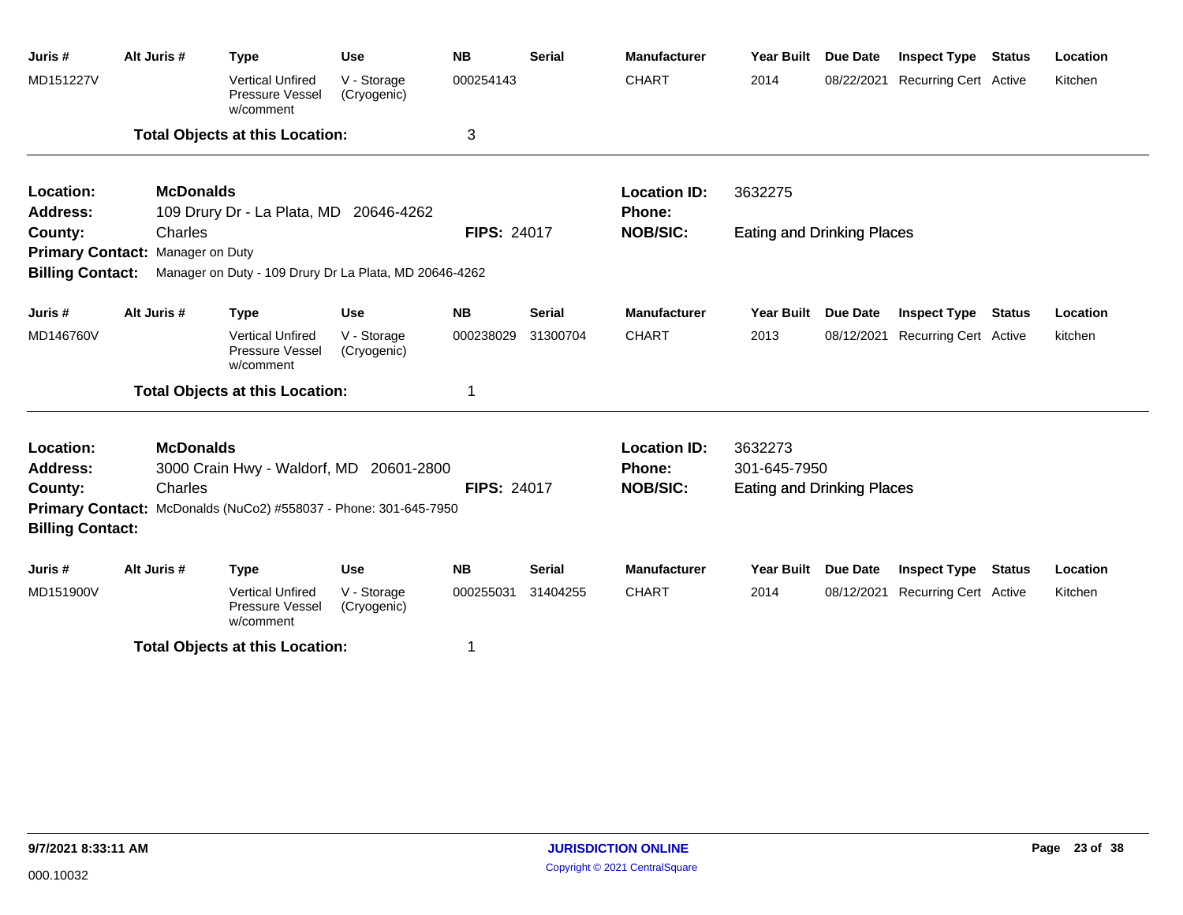| Juris #                 | Alt Juris #                      | <b>Type</b>                                                             | <b>Use</b>                 | <b>NB</b>          | <b>Serial</b> | <b>Manufacturer</b> | <b>Year Built</b>                 | <b>Due Date</b> | <b>Inspect Type</b>              | <b>Status</b> | Location |
|-------------------------|----------------------------------|-------------------------------------------------------------------------|----------------------------|--------------------|---------------|---------------------|-----------------------------------|-----------------|----------------------------------|---------------|----------|
| MD151227V               |                                  | <b>Vertical Unfired</b><br>Pressure Vessel<br>w/comment                 | V - Storage<br>(Cryogenic) | 000254143          |               | <b>CHART</b>        | 2014                              | 08/22/2021      | <b>Recurring Cert Active</b>     |               | Kitchen  |
|                         |                                  | <b>Total Objects at this Location:</b>                                  |                            | 3                  |               |                     |                                   |                 |                                  |               |          |
| Location:               | <b>McDonalds</b>                 |                                                                         |                            |                    |               | <b>Location ID:</b> | 3632275                           |                 |                                  |               |          |
| <b>Address:</b>         |                                  | 109 Drury Dr - La Plata, MD 20646-4262                                  |                            |                    |               | <b>Phone:</b>       |                                   |                 |                                  |               |          |
| County:                 | Charles                          |                                                                         |                            | <b>FIPS: 24017</b> |               | <b>NOB/SIC:</b>     | <b>Eating and Drinking Places</b> |                 |                                  |               |          |
|                         | Primary Contact: Manager on Duty |                                                                         |                            |                    |               |                     |                                   |                 |                                  |               |          |
|                         |                                  | Billing Contact: Manager on Duty - 109 Drury Dr La Plata, MD 20646-4262 |                            |                    |               |                     |                                   |                 |                                  |               |          |
| Juris#                  | Alt Juris #                      | <b>Type</b>                                                             | <b>Use</b>                 | <b>NB</b>          | <b>Serial</b> | <b>Manufacturer</b> | Year Built Due Date               |                 | <b>Inspect Type</b>              | <b>Status</b> | Location |
| MD146760V               |                                  | <b>Vertical Unfired</b><br><b>Pressure Vessel</b><br>w/comment          | V - Storage<br>(Cryogenic) | 000238029          | 31300704      | <b>CHART</b>        | 2013                              | 08/12/2021      | <b>Recurring Cert Active</b>     |               | kitchen  |
|                         |                                  | <b>Total Objects at this Location:</b>                                  |                            | 1                  |               |                     |                                   |                 |                                  |               |          |
| Location:               | <b>McDonalds</b>                 |                                                                         |                            |                    |               | <b>Location ID:</b> | 3632273                           |                 |                                  |               |          |
| <b>Address:</b>         |                                  | 3000 Crain Hwy - Waldorf, MD 20601-2800                                 |                            |                    |               | Phone:              | 301-645-7950                      |                 |                                  |               |          |
| County:                 | Charles                          |                                                                         |                            | <b>FIPS: 24017</b> |               | <b>NOB/SIC:</b>     | <b>Eating and Drinking Places</b> |                 |                                  |               |          |
| <b>Billing Contact:</b> |                                  | Primary Contact: McDonalds (NuCo2) #558037 - Phone: 301-645-7950        |                            |                    |               |                     |                                   |                 |                                  |               |          |
| Juris #                 | Alt Juris #                      | <b>Type</b>                                                             | <b>Use</b>                 | <b>NB</b>          | <b>Serial</b> | <b>Manufacturer</b> | <b>Year Built</b>                 | <b>Due Date</b> | <b>Inspect Type</b>              | <b>Status</b> | Location |
| MD151900V               |                                  | <b>Vertical Unfired</b><br>Pressure Vessel<br>w/comment                 | V - Storage<br>(Cryogenic) | 000255031          | 31404255      | <b>CHART</b>        | 2014                              |                 | 08/12/2021 Recurring Cert Active |               | Kitchen  |
|                         |                                  | <b>Total Objects at this Location:</b>                                  |                            | 1                  |               |                     |                                   |                 |                                  |               |          |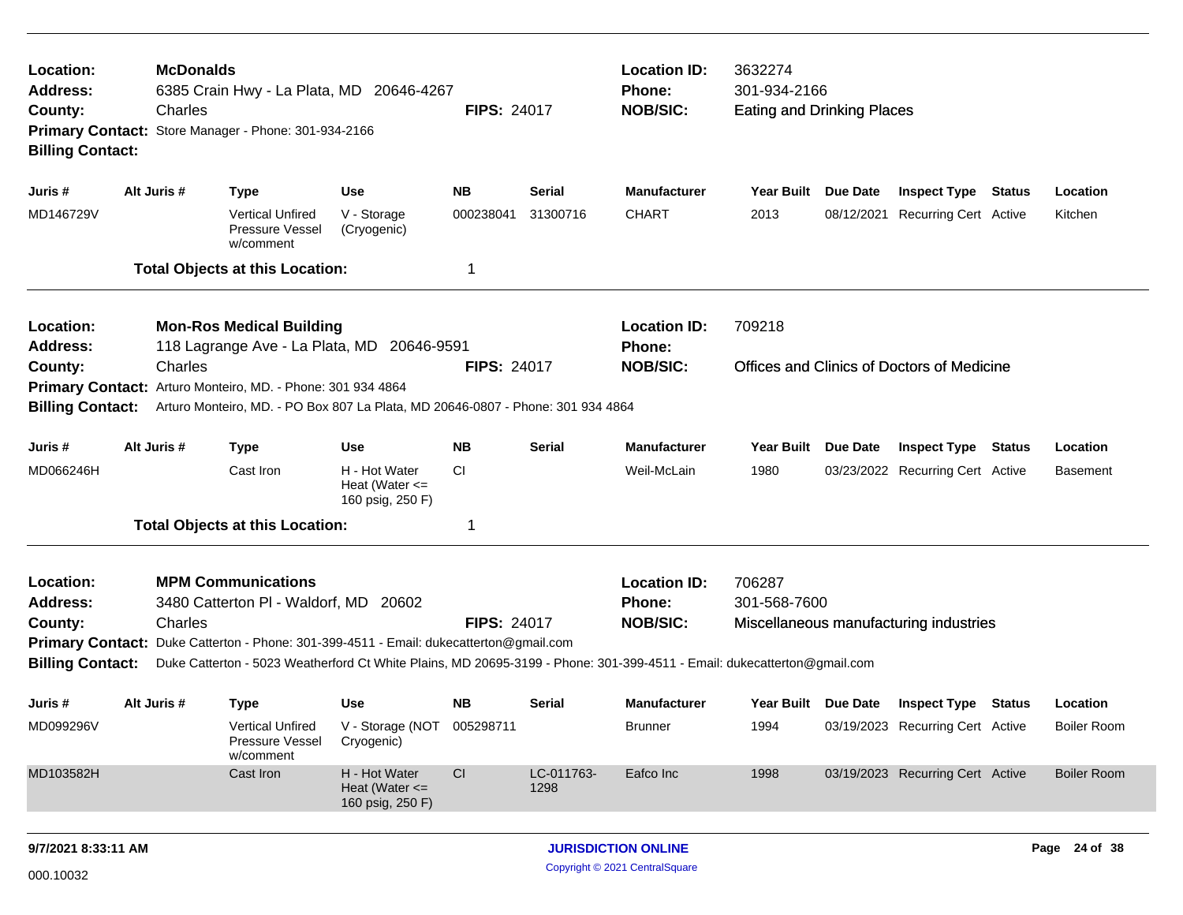| Location:<br>Address:<br>County:                                                                        | <b>McDonalds</b><br>6385 Crain Hwy - La Plata, MD 20646-4267<br>Charles<br><b>FIPS: 24017</b><br>Primary Contact: Store Manager - Phone: 301-934-2166<br><b>Billing Contact:</b> |                                                                                                                         |                                                         |                    |                                      |                                      | 3632274<br>301-934-2166<br><b>Eating and Drinking Places</b> |                     |                                                   |          |                    |
|---------------------------------------------------------------------------------------------------------|----------------------------------------------------------------------------------------------------------------------------------------------------------------------------------|-------------------------------------------------------------------------------------------------------------------------|---------------------------------------------------------|--------------------|--------------------------------------|--------------------------------------|--------------------------------------------------------------|---------------------|---------------------------------------------------|----------|--------------------|
| Juris #                                                                                                 | Alt Juris #                                                                                                                                                                      | <b>Type</b>                                                                                                             | Use                                                     | <b>NB</b>          | <b>Serial</b>                        | <b>Manufacturer</b>                  | <b>Year Built</b>                                            | Due Date            | <b>Inspect Type Status</b>                        |          | Location           |
| MD146729V                                                                                               |                                                                                                                                                                                  | <b>Vertical Unfired</b><br>Pressure Vessel<br>w/comment                                                                 | V - Storage<br>(Cryogenic)                              | 000238041          | 31300716                             | <b>CHART</b>                         | 2013                                                         |                     | 08/12/2021 Recurring Cert Active                  |          | Kitchen            |
|                                                                                                         |                                                                                                                                                                                  | <b>Total Objects at this Location:</b>                                                                                  |                                                         | -1                 |                                      |                                      |                                                              |                     |                                                   |          |                    |
| Location:<br>Address:                                                                                   |                                                                                                                                                                                  | <b>Mon-Ros Medical Building</b><br>118 Lagrange Ave - La Plata, MD 20646-9591                                           |                                                         |                    | <b>Location ID:</b><br><b>Phone:</b> | 709218                               |                                                              |                     |                                                   |          |                    |
| Charles<br><b>FIPS: 24017</b><br>County:<br>Primary Contact: Arturo Monteiro, MD. - Phone: 301 934 4864 |                                                                                                                                                                                  |                                                                                                                         |                                                         |                    |                                      | <b>NOB/SIC:</b>                      |                                                              |                     | <b>Offices and Clinics of Doctors of Medicine</b> |          |                    |
| <b>Billing Contact:</b>                                                                                 |                                                                                                                                                                                  | Arturo Monteiro, MD. - PO Box 807 La Plata, MD 20646-0807 - Phone: 301 934 4864                                         |                                                         |                    |                                      |                                      |                                                              |                     |                                                   |          |                    |
| Juris #                                                                                                 | Alt Juris #                                                                                                                                                                      | <b>Type</b>                                                                                                             | <b>Use</b>                                              | <b>Serial</b>      | <b>Manufacturer</b>                  | <b>Year Built</b>                    | Due Date                                                     | <b>Inspect Type</b> | Status                                            | Location |                    |
| MD066246H                                                                                               |                                                                                                                                                                                  | Cast Iron                                                                                                               | H - Hot Water<br>Heat (Water $\leq$<br>160 psig, 250 F) | CI.                |                                      | Weil-McLain                          | 1980                                                         |                     | 03/23/2022 Recurring Cert Active                  |          | <b>Basement</b>    |
|                                                                                                         |                                                                                                                                                                                  | <b>Total Objects at this Location:</b>                                                                                  |                                                         | -1                 |                                      |                                      |                                                              |                     |                                                   |          |                    |
| Location:<br><b>Address:</b>                                                                            |                                                                                                                                                                                  | <b>MPM Communications</b><br>3480 Catterton PI - Waldorf, MD 20602                                                      |                                                         |                    |                                      | <b>Location ID:</b><br><b>Phone:</b> | 706287<br>301-568-7600                                       |                     |                                                   |          |                    |
| County:                                                                                                 | Charles                                                                                                                                                                          |                                                                                                                         |                                                         | <b>FIPS: 24017</b> |                                      | <b>NOB/SIC:</b>                      |                                                              |                     | Miscellaneous manufacturing industries            |          |                    |
|                                                                                                         |                                                                                                                                                                                  | Primary Contact: Duke Catterton - Phone: 301-399-4511 - Email: dukecatterton@gmail.com                                  |                                                         |                    |                                      |                                      |                                                              |                     |                                                   |          |                    |
| <b>Billing Contact:</b>                                                                                 |                                                                                                                                                                                  | Duke Catterton - 5023 Weatherford Ct White Plains, MD 20695-3199 - Phone: 301-399-4511 - Email: dukecatterton@gmail.com |                                                         |                    |                                      |                                      |                                                              |                     |                                                   |          |                    |
| Juris #                                                                                                 | Alt Juris #                                                                                                                                                                      | <b>Type</b>                                                                                                             | Use                                                     | <b>NB</b>          | <b>Serial</b>                        | <b>Manufacturer</b>                  | Year Built Due Date                                          |                     | <b>Inspect Type Status</b>                        |          | Location           |
| MD099296V                                                                                               |                                                                                                                                                                                  | <b>Vertical Unfired</b><br>Pressure Vessel<br>w/comment                                                                 | V - Storage (NOT 005298711<br>Cryogenic)                |                    |                                      | <b>Brunner</b>                       | 1994                                                         |                     | 03/19/2023 Recurring Cert Active                  |          | <b>Boiler Room</b> |
| MD103582H                                                                                               |                                                                                                                                                                                  | Cast Iron                                                                                                               | H - Hot Water<br>Heat (Water $\leq$<br>160 psig, 250 F) | CI                 | LC-011763-<br>1298                   | Eafco Inc                            | 1998                                                         |                     | 03/19/2023 Recurring Cert Active                  |          | <b>Boiler Room</b> |
| 9/7/2021 8:33:11 AM                                                                                     |                                                                                                                                                                                  |                                                                                                                         |                                                         |                    |                                      | <b>JURISDICTION ONLINE</b>           |                                                              |                     |                                                   |          | Page 24 of 38      |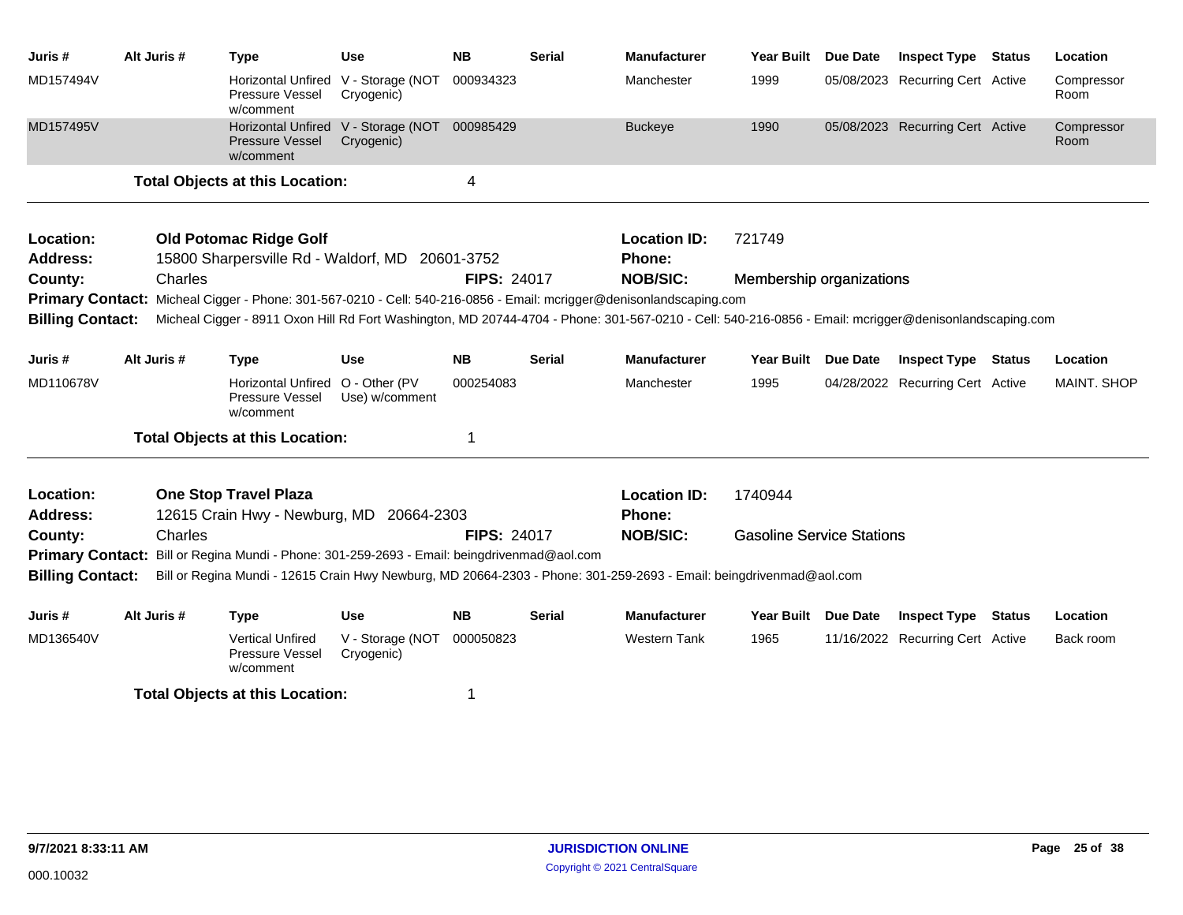| Juris #                                     | Alt Juris #                                                                                                                                                                      | <b>Type</b>                                                                                                         | <b>Use</b>                                        | <b>NB</b>          | <b>Serial</b> | <b>Manufacturer</b>                  | <b>Year Built</b>                | Due Date        | <b>Inspect Type</b>              | <b>Status</b> | Location           |
|---------------------------------------------|----------------------------------------------------------------------------------------------------------------------------------------------------------------------------------|---------------------------------------------------------------------------------------------------------------------|---------------------------------------------------|--------------------|---------------|--------------------------------------|----------------------------------|-----------------|----------------------------------|---------------|--------------------|
| MD157494V                                   |                                                                                                                                                                                  | Pressure Vessel<br>w/comment                                                                                        | Horizontal Unfired V - Storage (NOT<br>Cryogenic) | 000934323          |               | Manchester                           | 1999                             |                 | 05/08/2023 Recurring Cert Active |               | Compressor<br>Room |
| MD157495V                                   |                                                                                                                                                                                  | Pressure Vessel<br>w/comment                                                                                        | Horizontal Unfired V - Storage (NOT<br>Cryogenic) | 000985429          |               | <b>Buckeye</b>                       | 1990                             |                 | 05/08/2023 Recurring Cert Active |               | Compressor<br>Room |
|                                             |                                                                                                                                                                                  | <b>Total Objects at this Location:</b>                                                                              |                                                   | 4                  |               |                                      |                                  |                 |                                  |               |                    |
| Location:<br><b>Address:</b>                |                                                                                                                                                                                  | <b>Old Potomac Ridge Golf</b><br>15800 Sharpersville Rd - Waldorf, MD 20601-3752                                    |                                                   |                    |               | <b>Location ID:</b><br>Phone:        | 721749                           |                 |                                  |               |                    |
| County:                                     | Charles                                                                                                                                                                          |                                                                                                                     |                                                   | <b>FIPS: 24017</b> |               | <b>NOB/SIC:</b>                      | Membership organizations         |                 |                                  |               |                    |
|                                             |                                                                                                                                                                                  | Primary Contact: Micheal Cigger - Phone: 301-567-0210 - Cell: 540-216-0856 - Email: mcrigger@denisonlandscaping.com |                                                   |                    |               |                                      |                                  |                 |                                  |               |                    |
|                                             | <b>Billing Contact:</b><br>Micheal Cigger - 8911 Oxon Hill Rd Fort Washington, MD 20744-4704 - Phone: 301-567-0210 - Cell: 540-216-0856 - Email: mcrigger@denisonlandscaping.com |                                                                                                                     |                                                   |                    |               |                                      |                                  |                 |                                  |               |                    |
| Juris #                                     | Alt Juris #                                                                                                                                                                      | <b>Type</b>                                                                                                         | <b>Use</b>                                        | <b>NB</b>          | <b>Serial</b> | <b>Manufacturer</b>                  | <b>Year Built</b>                | <b>Due Date</b> | <b>Inspect Type Status</b>       |               | Location           |
| MD110678V                                   |                                                                                                                                                                                  | <b>Horizontal Unfired</b><br>Pressure Vessel<br>w/comment                                                           | O - Other (PV<br>Use) w/comment                   | 000254083          |               | Manchester                           | 1995                             |                 | 04/28/2022 Recurring Cert Active |               | <b>MAINT, SHOP</b> |
|                                             |                                                                                                                                                                                  | <b>Total Objects at this Location:</b>                                                                              |                                                   | 1                  |               |                                      |                                  |                 |                                  |               |                    |
| Location:<br><b>Address:</b>                |                                                                                                                                                                                  | <b>One Stop Travel Plaza</b><br>12615 Crain Hwy - Newburg, MD 20664-2303                                            |                                                   |                    |               | <b>Location ID:</b><br><b>Phone:</b> | 1740944                          |                 |                                  |               |                    |
| County:                                     | Charles                                                                                                                                                                          |                                                                                                                     |                                                   | <b>FIPS: 24017</b> |               | <b>NOB/SIC:</b>                      | <b>Gasoline Service Stations</b> |                 |                                  |               |                    |
|                                             |                                                                                                                                                                                  | Primary Contact: Bill or Regina Mundi - Phone: 301-259-2693 - Email: beingdrivenmad@aol.com                         |                                                   |                    |               |                                      |                                  |                 |                                  |               |                    |
| <b>Billing Contact:</b>                     |                                                                                                                                                                                  | Bill or Regina Mundi - 12615 Crain Hwy Newburg, MD 20664-2303 - Phone: 301-259-2693 - Email: beingdrivenmad@aol.com |                                                   |                    |               |                                      |                                  |                 |                                  |               |                    |
| Juris #                                     | Alt Juris #                                                                                                                                                                      | <b>Type</b>                                                                                                         | <b>Use</b>                                        | <b>NB</b>          | <b>Serial</b> | <b>Manufacturer</b>                  | <b>Year Built</b>                | <b>Due Date</b> | <b>Inspect Type Status</b>       |               | Location           |
| MD136540V                                   |                                                                                                                                                                                  | <b>Vertical Unfired</b><br>Pressure Vessel<br>w/comment                                                             | V - Storage (NOT<br>Cryogenic)                    | 000050823          |               | <b>Western Tank</b>                  | 1965                             |                 | 11/16/2022 Recurring Cert Active |               | Back room          |
| <b>Total Objects at this Location:</b><br>1 |                                                                                                                                                                                  |                                                                                                                     |                                                   |                    |               |                                      |                                  |                 |                                  |               |                    |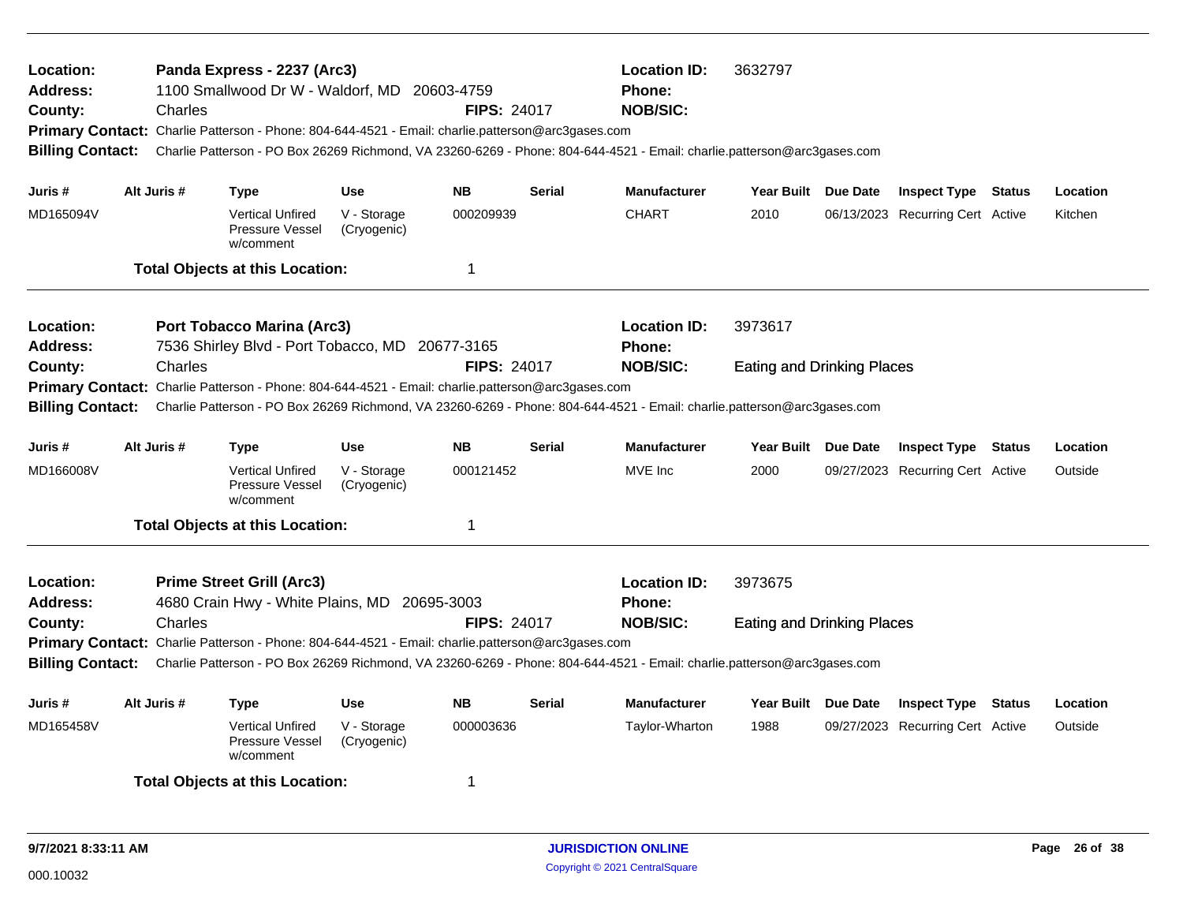| Location:<br><b>Address:</b><br>County:<br><b>Billing Contact:</b>                                                     | Charles                                                         | Panda Express - 2237 (Arc3)<br>1100 Smallwood Dr W - Waldorf, MD<br>Primary Contact: Charlie Patterson - Phone: 804-644-4521 - Email: charlie.patterson@arc3gases.com | 20603-4759                 | <b>FIPS: 24017</b> | <b>Location ID:</b><br>Phone:<br><b>NOB/SIC:</b> | 3632797<br>Charlie Patterson - PO Box 26269 Richmond, VA 23260-6269 - Phone: 804-644-4521 - Email: charlie.patterson@arc3gases.com         |                                   |                                  |                                  |         |          |
|------------------------------------------------------------------------------------------------------------------------|-----------------------------------------------------------------|-----------------------------------------------------------------------------------------------------------------------------------------------------------------------|----------------------------|--------------------|--------------------------------------------------|--------------------------------------------------------------------------------------------------------------------------------------------|-----------------------------------|----------------------------------|----------------------------------|---------|----------|
| Juris #                                                                                                                | Alt Juris #                                                     | <b>Type</b>                                                                                                                                                           | Use                        | <b>NB</b>          | <b>Serial</b>                                    | <b>Manufacturer</b>                                                                                                                        | Year Built Due Date               |                                  | <b>Inspect Type Status</b>       |         | Location |
| MD165094V                                                                                                              |                                                                 | <b>Vertical Unfired</b><br>Pressure Vessel<br>w/comment                                                                                                               | V - Storage<br>(Cryogenic) | 000209939          |                                                  | <b>CHART</b>                                                                                                                               | 2010                              |                                  | 06/13/2023 Recurring Cert Active |         | Kitchen  |
|                                                                                                                        |                                                                 | <b>Total Objects at this Location:</b>                                                                                                                                |                            | $\mathbf 1$        |                                                  |                                                                                                                                            |                                   |                                  |                                  |         |          |
| Location:<br><b>Address:</b>                                                                                           |                                                                 | <b>Port Tobacco Marina (Arc3)</b><br>7536 Shirley Blvd - Port Tobacco, MD 20677-3165                                                                                  |                            |                    |                                                  | <b>Location ID:</b><br><b>Phone:</b>                                                                                                       | 3973617                           |                                  |                                  |         |          |
| County:<br><b>Billing Contact:</b>                                                                                     | Charles                                                         | Primary Contact: Charlie Patterson - Phone: 804-644-4521 - Email: charlie.patterson@arc3gases.com                                                                     |                            | <b>FIPS: 24017</b> |                                                  | <b>NOB/SIC:</b><br>Charlie Patterson - PO Box 26269 Richmond, VA 23260-6269 - Phone: 804-644-4521 - Email: charlie.patterson@arc3gases.com | <b>Eating and Drinking Places</b> |                                  |                                  |         |          |
| Juris #                                                                                                                | Alt Juris #                                                     | <b>Type</b>                                                                                                                                                           | <b>Use</b>                 | <b>NB</b>          | <b>Serial</b>                                    | <b>Manufacturer</b>                                                                                                                        | Year Built Due Date               |                                  | <b>Inspect Type Status</b>       |         | Location |
| MD166008V                                                                                                              |                                                                 | <b>Vertical Unfired</b><br>Pressure Vessel<br>w/comment                                                                                                               | V - Storage<br>(Cryogenic) | 000121452          |                                                  | MVE Inc                                                                                                                                    | 2000                              |                                  | 09/27/2023 Recurring Cert Active |         | Outside  |
|                                                                                                                        |                                                                 | <b>Total Objects at this Location:</b>                                                                                                                                |                            | $\mathbf 1$        |                                                  |                                                                                                                                            |                                   |                                  |                                  |         |          |
| Location:<br><b>Address:</b>                                                                                           |                                                                 | <b>Prime Street Grill (Arc3)</b><br>4680 Crain Hwy - White Plains, MD 20695-3003                                                                                      |                            |                    |                                                  | <b>Location ID:</b><br><b>Phone:</b>                                                                                                       | 3973675                           |                                  |                                  |         |          |
| County:                                                                                                                | Charles                                                         |                                                                                                                                                                       |                            | <b>FIPS: 24017</b> |                                                  | <b>NOB/SIC:</b>                                                                                                                            | <b>Eating and Drinking Places</b> |                                  |                                  |         |          |
| <b>Billing Contact:</b>                                                                                                |                                                                 | Primary Contact: Charlie Patterson - Phone: 804-644-4521 - Email: charlie.patterson@arc3gases.com                                                                     |                            |                    |                                                  | Charlie Patterson - PO Box 26269 Richmond, VA 23260-6269 - Phone: 804-644-4521 - Email: charlie.patterson@arc3gases.com                    |                                   |                                  |                                  |         |          |
| Juris #                                                                                                                | Alt Juris #<br><b>NB</b><br><b>Use</b><br><b>Serial</b><br>Type |                                                                                                                                                                       |                            |                    |                                                  |                                                                                                                                            | Year Built Due Date               |                                  | <b>Inspect Type</b>              | Status  | Location |
| MD165458V<br><b>Vertical Unfired</b><br>V - Storage<br>000003636<br><b>Pressure Vessel</b><br>(Cryogenic)<br>w/comment |                                                                 |                                                                                                                                                                       |                            |                    | Taylor-Wharton                                   | 1988                                                                                                                                       |                                   | 09/27/2023 Recurring Cert Active |                                  | Outside |          |
|                                                                                                                        |                                                                 | <b>Total Objects at this Location:</b>                                                                                                                                |                            | -1                 |                                                  |                                                                                                                                            |                                   |                                  |                                  |         |          |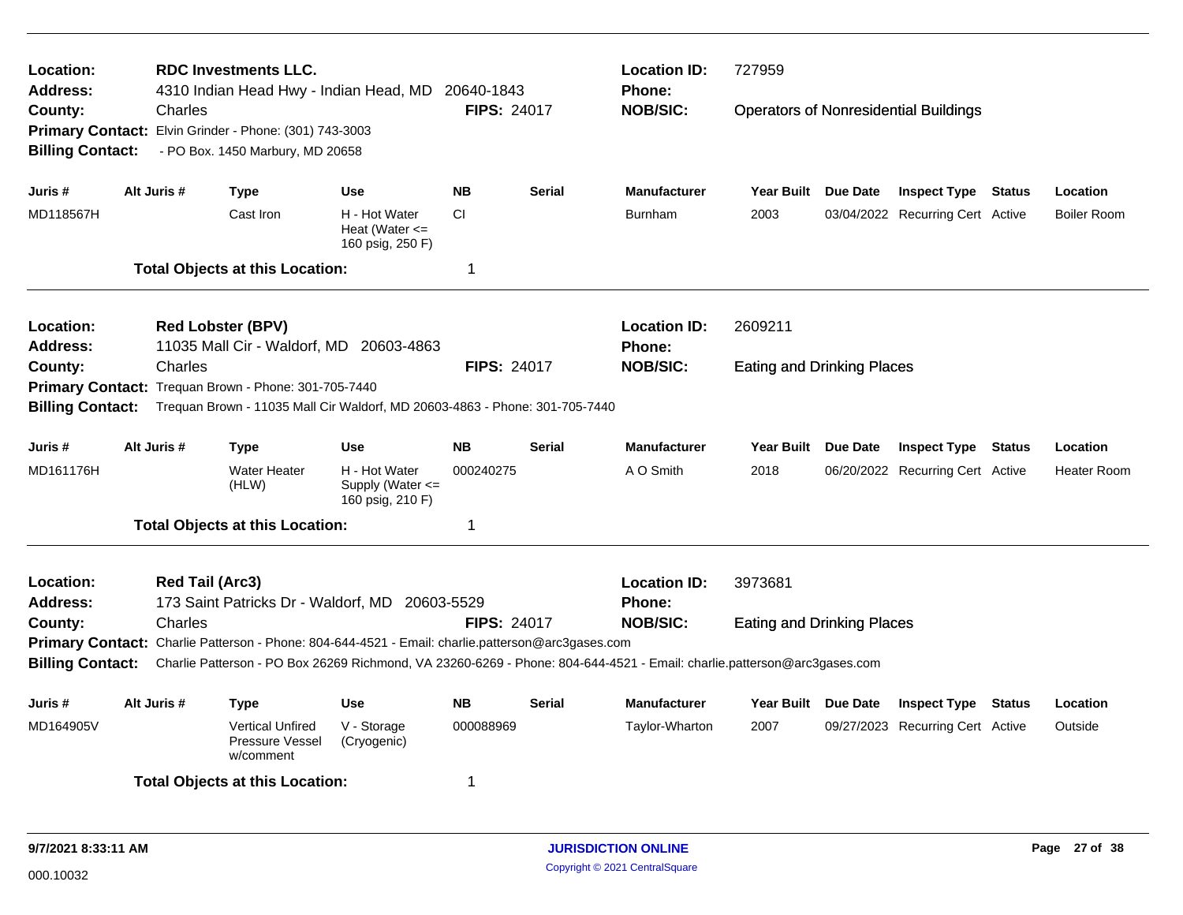| Location:<br><b>Address:</b>                 |                                                      |                        | <b>RDC Investments LLC.</b><br>4310 Indian Head Hwy - Indian Head, MD |                                                                                                                         | 20640-1843         |                    | <b>Location ID:</b><br><b>Phone:</b> | 727959                            |          |                                              |               |                    |
|----------------------------------------------|------------------------------------------------------|------------------------|-----------------------------------------------------------------------|-------------------------------------------------------------------------------------------------------------------------|--------------------|--------------------|--------------------------------------|-----------------------------------|----------|----------------------------------------------|---------------|--------------------|
| County:                                      |                                                      | Charles                |                                                                       |                                                                                                                         | <b>FIPS: 24017</b> |                    | <b>NOB/SIC:</b>                      |                                   |          | <b>Operators of Nonresidential Buildings</b> |               |                    |
|                                              |                                                      |                        | Primary Contact: Elvin Grinder - Phone: (301) 743-3003                |                                                                                                                         |                    |                    |                                      |                                   |          |                                              |               |                    |
| <b>Billing Contact:</b>                      |                                                      |                        | - PO Box. 1450 Marbury, MD 20658                                      |                                                                                                                         |                    |                    |                                      |                                   |          |                                              |               |                    |
| Juris #                                      | Alt Juris #                                          |                        | Type                                                                  | Use                                                                                                                     | <b>NB</b>          | Serial             | <b>Manufacturer</b>                  | Year Built Due Date               |          | <b>Inspect Type Status</b>                   |               | Location           |
| MD118567H                                    |                                                      |                        | Cast Iron                                                             | H - Hot Water<br>Heat (Water $\leq$<br>160 psig, 250 F)                                                                 | <b>CI</b>          |                    | <b>Burnham</b>                       | 2003                              |          | 03/04/2022 Recurring Cert Active             |               | <b>Boiler Room</b> |
| <b>Total Objects at this Location:</b><br>-1 |                                                      |                        |                                                                       |                                                                                                                         |                    |                    |                                      |                                   |          |                                              |               |                    |
| Location:                                    |                                                      |                        | <b>Red Lobster (BPV)</b>                                              |                                                                                                                         |                    |                    | <b>Location ID:</b>                  | 2609211                           |          |                                              |               |                    |
| <b>Address:</b>                              | 11035 Mall Cir - Waldorf, MD 20603-4863              |                        |                                                                       |                                                                                                                         |                    | <b>Phone:</b>      |                                      |                                   |          |                                              |               |                    |
| County:                                      | Charles                                              |                        |                                                                       |                                                                                                                         |                    | <b>FIPS: 24017</b> | <b>NOB/SIC:</b>                      | <b>Eating and Drinking Places</b> |          |                                              |               |                    |
|                                              | Primary Contact: Trequan Brown - Phone: 301-705-7440 |                        |                                                                       |                                                                                                                         |                    |                    |                                      |                                   |          |                                              |               |                    |
| <b>Billing Contact:</b>                      |                                                      |                        |                                                                       | Trequan Brown - 11035 Mall Cir Waldorf, MD 20603-4863 - Phone: 301-705-7440                                             |                    |                    |                                      |                                   |          |                                              |               |                    |
| Juris #                                      | Alt Juris #                                          |                        | Type                                                                  | Use                                                                                                                     | <b>NB</b>          | Serial             | <b>Manufacturer</b>                  | <b>Year Built</b>                 | Due Date | <b>Inspect Type Status</b>                   |               | Location           |
| MD161176H                                    |                                                      |                        | <b>Water Heater</b><br>(HLW)                                          | H - Hot Water<br>Supply (Water $\leq$<br>160 psig, 210 F)                                                               | 000240275          |                    | A O Smith                            | 2018                              |          | 06/20/2022 Recurring Cert Active             |               | <b>Heater Room</b> |
|                                              |                                                      |                        | <b>Total Objects at this Location:</b>                                |                                                                                                                         | -1                 |                    |                                      |                                   |          |                                              |               |                    |
| Location:                                    |                                                      | <b>Red Tail (Arc3)</b> |                                                                       |                                                                                                                         |                    |                    | <b>Location ID:</b>                  | 3973681                           |          |                                              |               |                    |
| <b>Address:</b>                              |                                                      |                        |                                                                       | 173 Saint Patricks Dr - Waldorf, MD 20603-5529                                                                          |                    |                    | <b>Phone:</b>                        |                                   |          |                                              |               |                    |
| County:                                      |                                                      | Charles                |                                                                       |                                                                                                                         | <b>FIPS: 24017</b> |                    | <b>NOB/SIC:</b>                      | <b>Eating and Drinking Places</b> |          |                                              |               |                    |
|                                              |                                                      |                        |                                                                       | Primary Contact: Charlie Patterson - Phone: 804-644-4521 - Email: charlie.patterson@arc3gases.com                       |                    |                    |                                      |                                   |          |                                              |               |                    |
| <b>Billing Contact:</b>                      |                                                      |                        |                                                                       | Charlie Patterson - PO Box 26269 Richmond, VA 23260-6269 - Phone: 804-644-4521 - Email: charlie.patterson@arc3gases.com |                    |                    |                                      |                                   |          |                                              |               |                    |
| Juris #                                      | Alt Juris #                                          |                        | Type                                                                  | Use                                                                                                                     | <b>NB</b>          | Serial             | <b>Manufacturer</b>                  | Year Built Due Date               |          | <b>Inspect Type</b>                          | <b>Status</b> | Location           |
| MD164905V                                    |                                                      |                        | <b>Vertical Unfired</b><br>Pressure Vessel<br>w/comment               | V - Storage<br>(Cryogenic)                                                                                              | 000088969          |                    | Taylor-Wharton                       | 2007                              |          | 09/27/2023 Recurring Cert Active             |               | Outside            |
|                                              |                                                      |                        | <b>Total Objects at this Location:</b>                                |                                                                                                                         | -1                 |                    |                                      |                                   |          |                                              |               |                    |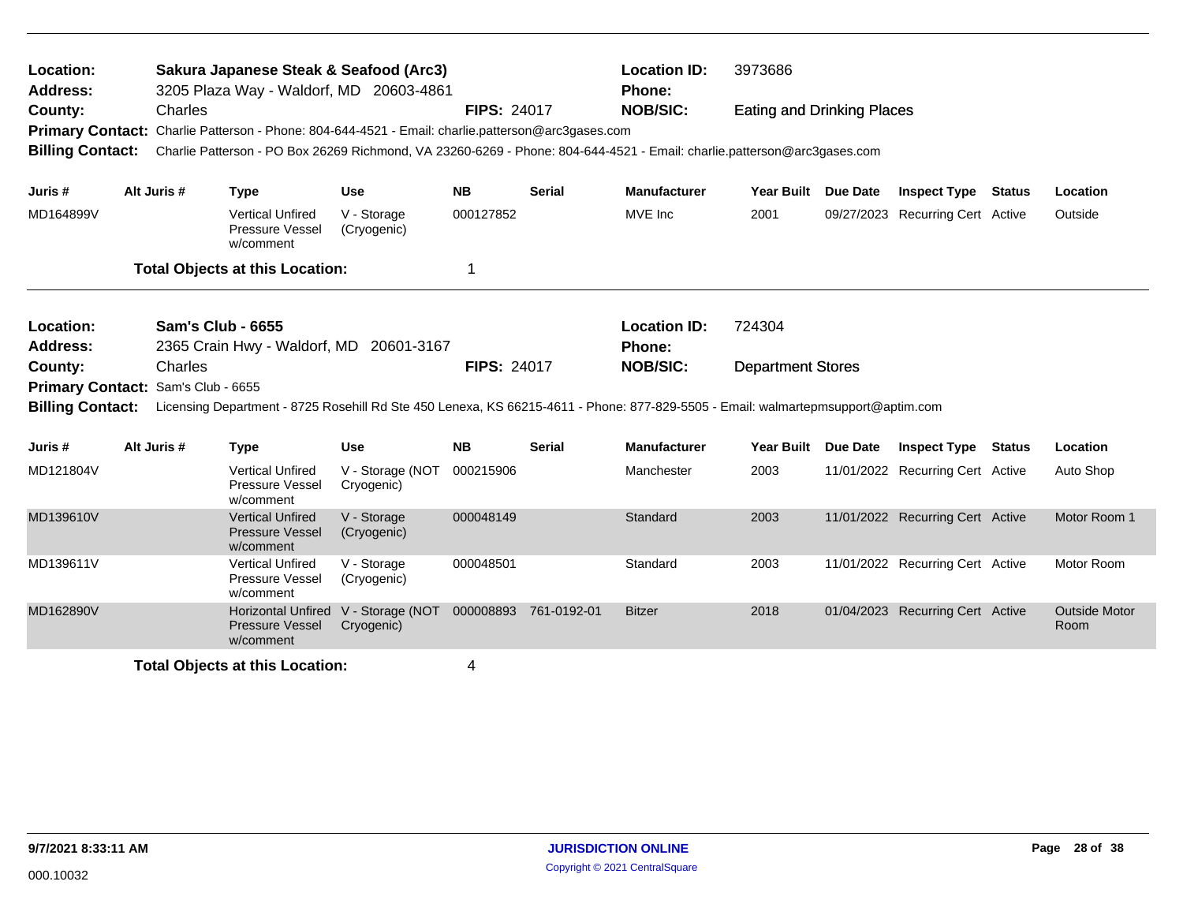| Location:<br>Sakura Japanese Steak & Seafood (Arc3)<br><b>Address:</b><br>3205 Plaza Way - Waldorf, MD 20603-4861 |                              |                                                                                                                                                                                                                              |                                |                    |                       | <b>Location ID:</b><br>Phone:                    | 3973686                            |                 |                                  |               |                              |
|-------------------------------------------------------------------------------------------------------------------|------------------------------|------------------------------------------------------------------------------------------------------------------------------------------------------------------------------------------------------------------------------|--------------------------------|--------------------|-----------------------|--------------------------------------------------|------------------------------------|-----------------|----------------------------------|---------------|------------------------------|
| County:<br><b>Billing Contact:</b>                                                                                | Charles                      | Primary Contact: Charlie Patterson - Phone: 804-644-4521 - Email: charlie.patterson@arc3gases.com<br>Charlie Patterson - PO Box 26269 Richmond, VA 23260-6269 - Phone: 804-644-4521 - Email: charlie.patterson@arc3gases.com |                                | <b>FIPS: 24017</b> |                       | <b>NOB/SIC:</b>                                  | <b>Eating and Drinking Places</b>  |                 |                                  |               |                              |
| Juris #                                                                                                           | Alt Juris #                  | <b>Type</b>                                                                                                                                                                                                                  | <b>Use</b>                     | <b>NB</b>          | Serial                | <b>Manufacturer</b>                              | <b>Year Built</b>                  | <b>Due Date</b> | <b>Inspect Type</b>              | <b>Status</b> | Location                     |
| MD164899V                                                                                                         |                              | <b>Vertical Unfired</b><br>Pressure Vessel<br>w/comment                                                                                                                                                                      | V - Storage<br>(Cryogenic)     | 000127852          |                       | MVE Inc                                          | 2001                               |                 | 09/27/2023 Recurring Cert Active |               | Outside                      |
| <b>Total Objects at this Location:</b>                                                                            |                              |                                                                                                                                                                                                                              |                                |                    |                       |                                                  |                                    |                 |                                  |               |                              |
| Location:<br><b>Address:</b><br>County:<br><b>Primary Contact:</b>                                                | Charles<br>Sam's Club - 6655 | <b>Sam's Club - 6655</b><br>2365 Crain Hwy - Waldorf, MD                                                                                                                                                                     | 20601-3167                     | <b>FIPS: 24017</b> |                       | <b>Location ID:</b><br>Phone:<br><b>NOB/SIC:</b> | 724304<br><b>Department Stores</b> |                 |                                  |               |                              |
| <b>Billing Contact:</b>                                                                                           |                              | Licensing Department - 8725 Rosehill Rd Ste 450 Lenexa, KS 66215-4611 - Phone: 877-829-5505 - Email: walmartepmsupport@aptim.com                                                                                             |                                |                    |                       |                                                  |                                    |                 |                                  |               |                              |
| Juris #                                                                                                           | Alt Juris #                  | <b>Type</b>                                                                                                                                                                                                                  | <b>Use</b>                     | <b>NB</b>          | <b>Serial</b>         | <b>Manufacturer</b>                              | <b>Year Built</b>                  | Due Date        | <b>Inspect Type</b>              | <b>Status</b> | Location                     |
| MD121804V                                                                                                         |                              | <b>Vertical Unfired</b><br>Pressure Vessel<br>w/comment                                                                                                                                                                      | V - Storage (NOT<br>Cryogenic) | 000215906          |                       | Manchester                                       | 2003                               |                 | 11/01/2022 Recurring Cert Active |               | Auto Shop                    |
| MD139610V                                                                                                         |                              | <b>Vertical Unfired</b><br><b>Pressure Vessel</b><br>w/comment                                                                                                                                                               | V - Storage<br>(Cryogenic)     | 000048149          |                       | Standard                                         | 2003                               |                 | 11/01/2022 Recurring Cert Active |               | Motor Room 1                 |
| MD139611V                                                                                                         |                              | <b>Vertical Unfired</b><br>Pressure Vessel<br>w/comment                                                                                                                                                                      | V - Storage<br>(Cryogenic)     | 000048501          |                       | Standard                                         | 2003                               |                 | 11/01/2022 Recurring Cert Active |               | Motor Room                   |
| MD162890V                                                                                                         |                              | <b>Horizontal Unfired</b><br><b>Pressure Vessel</b><br>w/comment                                                                                                                                                             | V - Storage (NOT<br>Cryogenic) |                    | 000008893 761-0192-01 | <b>Bitzer</b>                                    | 2018                               |                 | 01/04/2023 Recurring Cert Active |               | <b>Outside Motor</b><br>Room |
|                                                                                                                   |                              | <b>Total Objects at this Location:</b>                                                                                                                                                                                       |                                | 4                  |                       |                                                  |                                    |                 |                                  |               |                              |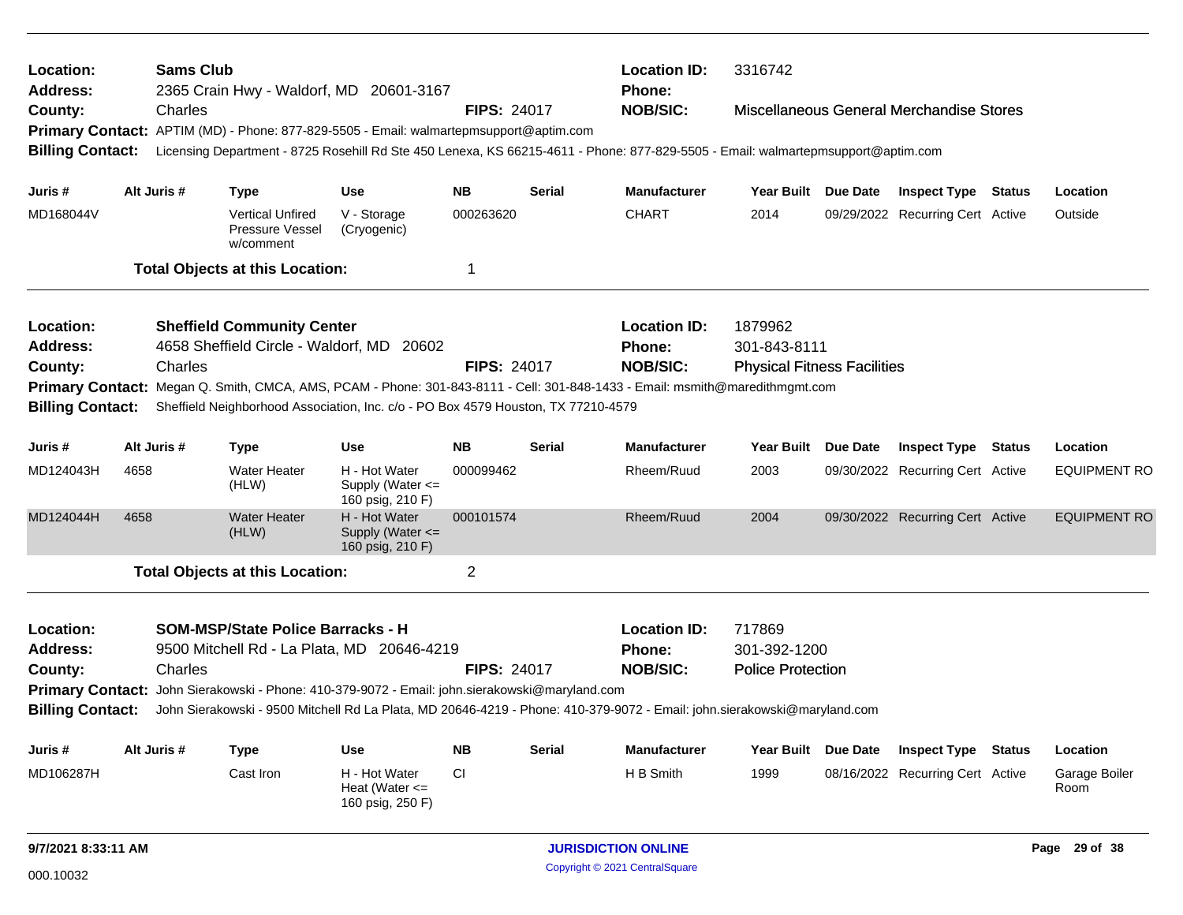| <b>Sams Club</b><br>Location:<br><b>Address:</b><br>2365 Crain Hwy - Waldorf, MD 20601-3167 |      |             |                                                         |                                                                                                                                  |                    | <b>Location ID:</b><br><b>Phone:</b> | 3316742             |                                    |                 |                                          |               |                       |
|---------------------------------------------------------------------------------------------|------|-------------|---------------------------------------------------------|----------------------------------------------------------------------------------------------------------------------------------|--------------------|--------------------------------------|---------------------|------------------------------------|-----------------|------------------------------------------|---------------|-----------------------|
| County:                                                                                     |      | Charles     |                                                         |                                                                                                                                  | <b>FIPS: 24017</b> |                                      | <b>NOB/SIC:</b>     |                                    |                 | Miscellaneous General Merchandise Stores |               |                       |
|                                                                                             |      |             |                                                         | Primary Contact: APTIM (MD) - Phone: 877-829-5505 - Email: walmartepmsupport@aptim.com                                           |                    |                                      |                     |                                    |                 |                                          |               |                       |
| <b>Billing Contact:</b>                                                                     |      |             |                                                         | Licensing Department - 8725 Rosehill Rd Ste 450 Lenexa, KS 66215-4611 - Phone: 877-829-5505 - Email: walmartepmsupport@aptim.com |                    |                                      |                     |                                    |                 |                                          |               |                       |
| Juris #                                                                                     |      | Alt Juris # | <b>Type</b>                                             | <b>Use</b>                                                                                                                       | <b>NB</b>          | <b>Serial</b>                        | <b>Manufacturer</b> | Year Built Due Date                |                 | <b>Inspect Type Status</b>               |               | Location              |
| MD168044V                                                                                   |      |             | <b>Vertical Unfired</b><br>Pressure Vessel<br>w/comment | V - Storage<br>(Cryogenic)                                                                                                       | 000263620          |                                      | <b>CHART</b>        | 2014                               |                 | 09/29/2022 Recurring Cert Active         |               | Outside               |
|                                                                                             |      |             | <b>Total Objects at this Location:</b>                  |                                                                                                                                  | 1                  |                                      |                     |                                    |                 |                                          |               |                       |
| Location:                                                                                   |      |             | <b>Sheffield Community Center</b>                       |                                                                                                                                  |                    |                                      | <b>Location ID:</b> | 1879962                            |                 |                                          |               |                       |
| Address:                                                                                    |      |             |                                                         | 4658 Sheffield Circle - Waldorf, MD 20602                                                                                        |                    |                                      | <b>Phone:</b>       | 301-843-8111                       |                 |                                          |               |                       |
| County:                                                                                     |      | Charles     |                                                         |                                                                                                                                  | <b>FIPS: 24017</b> |                                      | <b>NOB/SIC:</b>     | <b>Physical Fitness Facilities</b> |                 |                                          |               |                       |
|                                                                                             |      |             |                                                         | Primary Contact: Megan Q. Smith, CMCA, AMS, PCAM - Phone: 301-843-8111 - Cell: 301-848-1433 - Email: msmith@maredithmgmt.com     |                    |                                      |                     |                                    |                 |                                          |               |                       |
| <b>Billing Contact:</b>                                                                     |      |             |                                                         | Sheffield Neighborhood Association, Inc. c/o - PO Box 4579 Houston, TX 77210-4579                                                |                    |                                      |                     |                                    |                 |                                          |               |                       |
| Juris #                                                                                     |      | Alt Juris # | <b>Type</b>                                             | Use                                                                                                                              | <b>NB</b>          | Serial                               | <b>Manufacturer</b> | Year Built                         | Due Date        | <b>Inspect Type Status</b>               |               | Location              |
| MD124043H                                                                                   | 4658 |             | <b>Water Heater</b><br>(HLW)                            | H - Hot Water<br>Supply (Water $\leq$<br>160 psig, 210 F)                                                                        | 000099462          |                                      | Rheem/Ruud          | 2003                               |                 | 09/30/2022 Recurring Cert Active         |               | <b>EQUIPMENT RO</b>   |
| MD124044H                                                                                   | 4658 |             | <b>Water Heater</b><br>(HLW)                            | H - Hot Water<br>Supply (Water <=<br>160 psig, 210 F)                                                                            | 000101574          |                                      | Rheem/Ruud          | 2004                               |                 | 09/30/2022 Recurring Cert Active         |               | <b>EQUIPMENT RO</b>   |
|                                                                                             |      |             | <b>Total Objects at this Location:</b>                  |                                                                                                                                  | $\overline{2}$     |                                      |                     |                                    |                 |                                          |               |                       |
| Location:                                                                                   |      |             | <b>SOM-MSP/State Police Barracks - H</b>                |                                                                                                                                  |                    |                                      | <b>Location ID:</b> | 717869                             |                 |                                          |               |                       |
| <b>Address:</b>                                                                             |      |             |                                                         | 9500 Mitchell Rd - La Plata, MD 20646-4219                                                                                       |                    |                                      | <b>Phone:</b>       | 301-392-1200                       |                 |                                          |               |                       |
| County:                                                                                     |      | Charles     |                                                         |                                                                                                                                  | <b>FIPS: 24017</b> |                                      | <b>NOB/SIC:</b>     | <b>Police Protection</b>           |                 |                                          |               |                       |
|                                                                                             |      |             |                                                         | Primary Contact: John Sierakowski - Phone: 410-379-9072 - Email: john.sierakowski@maryland.com                                   |                    |                                      |                     |                                    |                 |                                          |               |                       |
| <b>Billing Contact:</b>                                                                     |      |             |                                                         | John Sierakowski - 9500 Mitchell Rd La Plata, MD 20646-4219 - Phone: 410-379-9072 - Email: john.sierakowski@maryland.com         |                    |                                      |                     |                                    |                 |                                          |               |                       |
| Juris #                                                                                     |      | Alt Juris # | <b>Type</b>                                             | <b>Use</b>                                                                                                                       | <b>NB</b>          | <b>Serial</b>                        | <b>Manufacturer</b> | <b>Year Built</b>                  | <b>Due Date</b> | <b>Inspect Type</b>                      | <b>Status</b> | Location              |
| MD106287H                                                                                   |      |             | Cast Iron                                               | H - Hot Water<br>Heat (Water $\leq$<br>160 psig, 250 F)                                                                          | CI.                |                                      | H B Smith           | 1999                               |                 | 08/16/2022 Recurring Cert Active         |               | Garage Boiler<br>Room |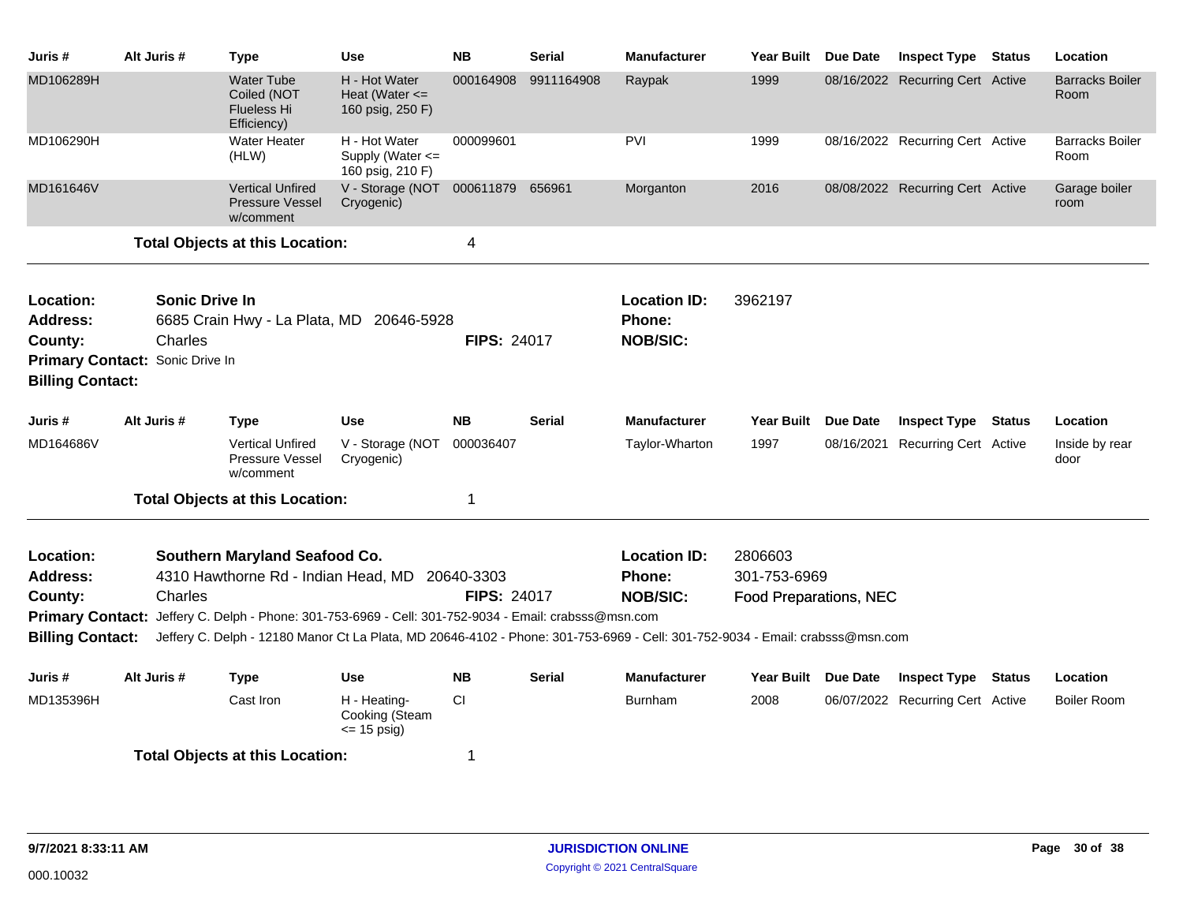| Juris #                                                                                               | Alt Juris # |                                  | <b>Type</b>                                                           | <b>Use</b>                                                                                                                                                                                                                             | <b>NB</b>                        | <b>Serial</b> | <b>Manufacturer</b>                              | <b>Year Built</b>                                 | Due Date | <b>Inspect Type</b>              | <b>Status</b> | Location                       |
|-------------------------------------------------------------------------------------------------------|-------------|----------------------------------|-----------------------------------------------------------------------|----------------------------------------------------------------------------------------------------------------------------------------------------------------------------------------------------------------------------------------|----------------------------------|---------------|--------------------------------------------------|---------------------------------------------------|----------|----------------------------------|---------------|--------------------------------|
| MD106289H                                                                                             |             |                                  | <b>Water Tube</b><br>Coiled (NOT<br><b>Flueless Hi</b><br>Efficiency) | H - Hot Water<br>Heat (Water $\leq$<br>160 psig, 250 F)                                                                                                                                                                                | 000164908                        | 9911164908    | Raypak                                           | 1999                                              |          | 08/16/2022 Recurring Cert Active |               | <b>Barracks Boiler</b><br>Room |
| MD106290H                                                                                             |             |                                  | <b>Water Heater</b><br>(HLW)                                          | H - Hot Water<br>Supply (Water <=<br>160 psig, 210 F)                                                                                                                                                                                  | 000099601                        |               | <b>PVI</b>                                       | 1999                                              |          | 08/16/2022 Recurring Cert Active |               | <b>Barracks Boiler</b><br>Room |
| MD161646V                                                                                             |             |                                  | <b>Vertical Unfired</b><br><b>Pressure Vessel</b><br>w/comment        | V - Storage (NOT 000611879 656961<br>Cryogenic)                                                                                                                                                                                        |                                  |               | Morganton                                        | 2016                                              |          | 08/08/2022 Recurring Cert Active |               | Garage boiler<br>room          |
|                                                                                                       |             |                                  | <b>Total Objects at this Location:</b>                                |                                                                                                                                                                                                                                        | 4                                |               |                                                  |                                                   |          |                                  |               |                                |
| Location:<br><b>Address:</b><br>County:<br>Primary Contact: Sonic Drive In<br><b>Billing Contact:</b> |             | <b>Sonic Drive In</b><br>Charles |                                                                       | 6685 Crain Hwy - La Plata, MD 20646-5928                                                                                                                                                                                               | <b>FIPS: 24017</b>               |               | <b>Location ID:</b><br>Phone:<br><b>NOB/SIC:</b> | 3962197                                           |          |                                  |               |                                |
| Juris #                                                                                               | Alt Juris # |                                  | <b>Type</b>                                                           | <b>Use</b>                                                                                                                                                                                                                             | <b>NB</b>                        | <b>Serial</b> | <b>Manufacturer</b>                              | <b>Year Built</b>                                 | Due Date | <b>Inspect Type</b>              | Status        | Location                       |
| MD164686V                                                                                             |             |                                  | <b>Vertical Unfired</b><br><b>Pressure Vessel</b><br>w/comment        | V - Storage (NOT<br>Cryogenic)                                                                                                                                                                                                         | 000036407                        |               | Taylor-Wharton                                   | 1997                                              |          | 08/16/2021 Recurring Cert Active |               | Inside by rear<br>door         |
|                                                                                                       |             |                                  | <b>Total Objects at this Location:</b>                                |                                                                                                                                                                                                                                        | 1                                |               |                                                  |                                                   |          |                                  |               |                                |
| Location:<br><b>Address:</b><br>County:<br><b>Billing Contact:</b>                                    |             | Charles                          | Southern Maryland Seafood Co.<br>4310 Hawthorne Rd - Indian Head, MD  | Primary Contact: Jeffery C. Delph - Phone: 301-753-6969 - Cell: 301-752-9034 - Email: crabsss@msn.com<br>Jeffery C. Delph - 12180 Manor Ct La Plata, MD 20646-4102 - Phone: 301-753-6969 - Cell: 301-752-9034 - Email: crabsss@msn.com | 20640-3303<br><b>FIPS: 24017</b> |               | <b>Location ID:</b><br>Phone:<br><b>NOB/SIC:</b> | 2806603<br>301-753-6969<br>Food Preparations, NEC |          |                                  |               |                                |
| Juris #                                                                                               | Alt Juris # |                                  | <b>Type</b>                                                           | <b>Use</b>                                                                                                                                                                                                                             | <b>NB</b>                        | <b>Serial</b> | <b>Manufacturer</b>                              | Year Built Due Date                               |          | <b>Inspect Type</b>              | Status        | Location                       |
| MD135396H                                                                                             |             |                                  | Cast Iron                                                             | H - Heating-<br>Cooking (Steam<br>$\le$ 15 psig)                                                                                                                                                                                       | <b>CI</b>                        |               | <b>Burnham</b>                                   | 2008                                              |          | 06/07/2022 Recurring Cert Active |               | <b>Boiler Room</b>             |
|                                                                                                       |             |                                  | <b>Total Objects at this Location:</b>                                |                                                                                                                                                                                                                                        | 1                                |               |                                                  |                                                   |          |                                  |               |                                |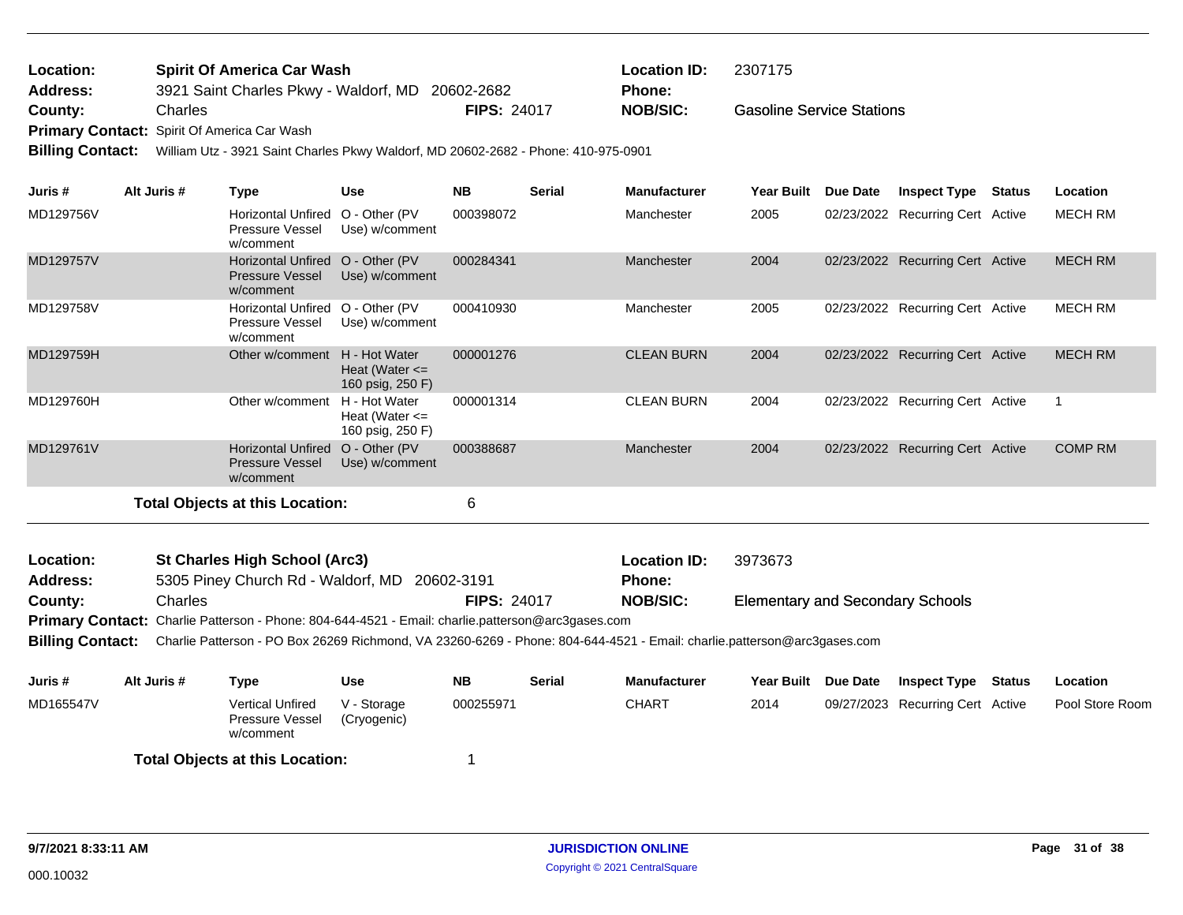| Location: | <b>Spirit Of America Car Wash</b>                |                    | <b>Location ID:</b> | 2307175                          |
|-----------|--------------------------------------------------|--------------------|---------------------|----------------------------------|
| Address:  | 3921 Saint Charles Pkwy - Waldorf, MD 20602-2682 |                    | <b>Phone:</b>       |                                  |
| County:   | Charles                                          | <b>FIPS: 24017</b> | <b>NOB/SIC:</b>     | <b>Gasoline Service Stations</b> |
| - -       |                                                  |                    |                     |                                  |

**Primary Contact:** Spirit Of America Car Wash

**Billing Contact:** William Utz - 3921 Saint Charles Pkwy Waldorf, MD 20602-2682 - Phone: 410-975-0901

| Juris #                      | Alt Juris # | <b>Type</b>                                                                                                             | <b>Use</b>                                              | <b>NB</b>          | <b>Serial</b> | <b>Manufacturer</b>                  | <b>Year Built</b>                       | Due Date        | <b>Inspect Type</b>              | <b>Status</b> | Location       |
|------------------------------|-------------|-------------------------------------------------------------------------------------------------------------------------|---------------------------------------------------------|--------------------|---------------|--------------------------------------|-----------------------------------------|-----------------|----------------------------------|---------------|----------------|
| MD129756V                    |             | <b>Horizontal Unfired</b><br><b>Pressure Vessel</b><br>w/comment                                                        | O - Other (PV<br>Use) w/comment                         | 000398072          |               | Manchester                           | 2005                                    |                 | 02/23/2022 Recurring Cert Active |               | <b>MECH RM</b> |
| MD129757V                    |             | <b>Horizontal Unfired</b><br><b>Pressure Vessel</b><br>w/comment                                                        | O - Other (PV<br>Use) w/comment                         | 000284341          |               | Manchester                           | 2004                                    |                 | 02/23/2022 Recurring Cert Active |               | <b>MECH RM</b> |
| MD129758V                    |             | Horizontal Unfired O - Other (PV<br><b>Pressure Vessel</b><br>w/comment                                                 | Use) w/comment                                          | 000410930          |               | Manchester                           | 2005                                    |                 | 02/23/2022 Recurring Cert Active |               | <b>MECH RM</b> |
| MD129759H                    |             | Other w/comment                                                                                                         | H - Hot Water<br>Heat (Water $\leq$<br>160 psig, 250 F) | 000001276          |               | <b>CLEAN BURN</b>                    | 2004                                    |                 | 02/23/2022 Recurring Cert Active |               | <b>MECH RM</b> |
| MD129760H                    |             | Other w/comment                                                                                                         | H - Hot Water<br>Heat (Water $\leq$<br>160 psig, 250 F) | 000001314          |               | <b>CLEAN BURN</b>                    | 2004                                    |                 | 02/23/2022 Recurring Cert Active |               | $\mathbf{1}$   |
| MD129761V                    |             | <b>Horizontal Unfired</b><br><b>Pressure Vessel</b><br>w/comment                                                        | O - Other (PV<br>Use) w/comment                         | 000388687          |               | Manchester                           | 2004                                    |                 | 02/23/2022 Recurring Cert Active |               | <b>COMP RM</b> |
|                              |             | <b>Total Objects at this Location:</b>                                                                                  |                                                         | 6                  |               |                                      |                                         |                 |                                  |               |                |
| Location:<br><b>Address:</b> |             | <b>St Charles High School (Arc3)</b><br>5305 Piney Church Rd - Waldorf, MD                                              |                                                         | 20602-3191         |               | <b>Location ID:</b><br><b>Phone:</b> | 3973673                                 |                 |                                  |               |                |
| County:                      | Charles     |                                                                                                                         |                                                         | <b>FIPS: 24017</b> |               | <b>NOB/SIC:</b>                      | <b>Elementary and Secondary Schools</b> |                 |                                  |               |                |
|                              |             | Primary Contact: Charlie Patterson - Phone: 804-644-4521 - Email: charlie.patterson@arc3gases.com                       |                                                         |                    |               |                                      |                                         |                 |                                  |               |                |
| <b>Billing Contact:</b>      |             | Charlie Patterson - PO Box 26269 Richmond, VA 23260-6269 - Phone: 804-644-4521 - Email: charlie.patterson@arc3gases.com |                                                         |                    |               |                                      |                                         |                 |                                  |               |                |
| Juris #                      | Alt Juris # | <b>Type</b>                                                                                                             | <b>Use</b>                                              | <b>NB</b>          | <b>Serial</b> | <b>Manufacturer</b>                  | <b>Year Built</b>                       | <b>Due Date</b> | <b>Inspect Type</b>              | <b>Status</b> | Location       |

Vertical Unfired V - Storage 000255971 CHART 2014 Pressure Vessel w/comment V - Storage (Cryogenic)

**Total Objects at this Location:** 1

09/27/2023 Recurring Cert Active Pool Store Room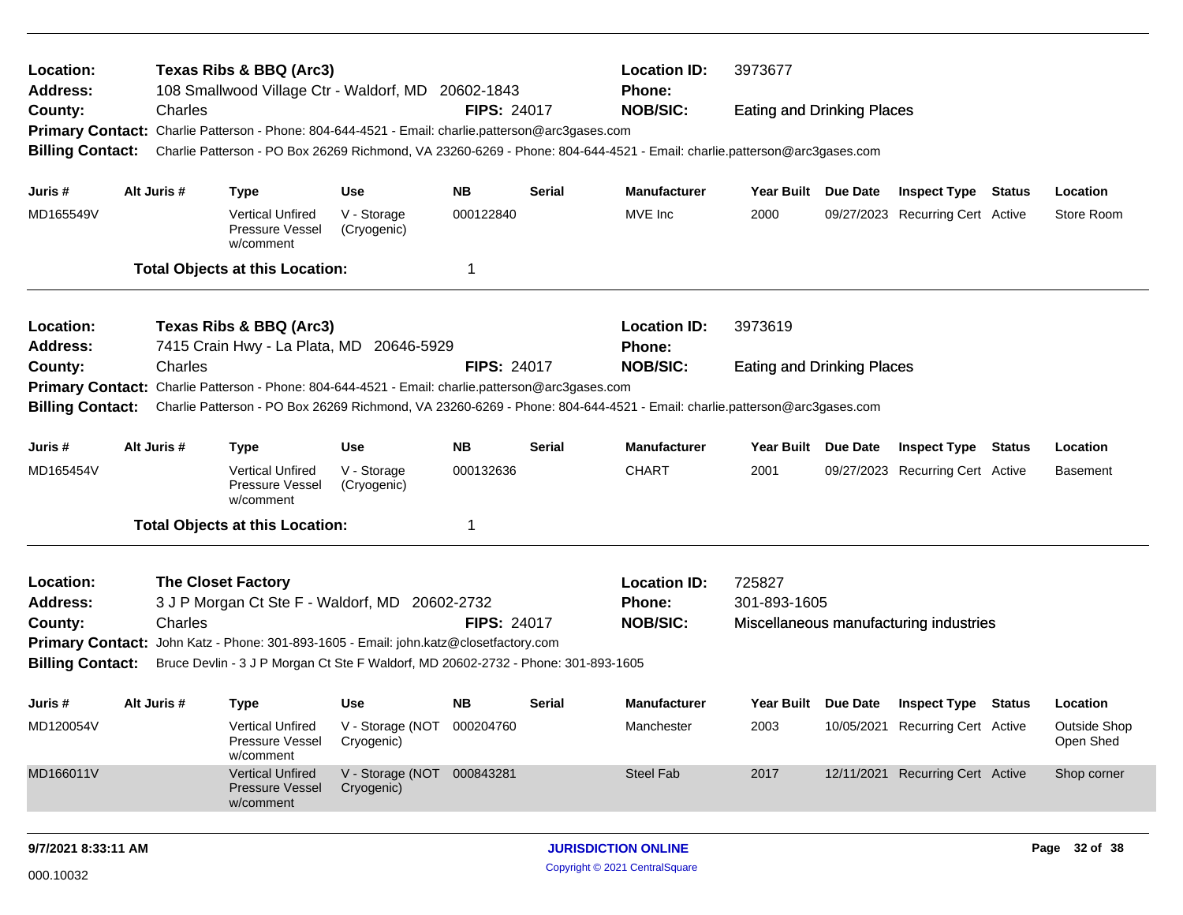| Location:<br>Address:   |             | Texas Ribs & BBQ (Arc3)<br>108 Smallwood Village Ctr - Waldorf, MD 20602-1843                     |                                |                    |               | <b>Location ID:</b><br><b>Phone:</b>                                                                                    | 3973677                           |                 |                                        |        |                           |  |
|-------------------------|-------------|---------------------------------------------------------------------------------------------------|--------------------------------|--------------------|---------------|-------------------------------------------------------------------------------------------------------------------------|-----------------------------------|-----------------|----------------------------------------|--------|---------------------------|--|
| County:                 | Charles     |                                                                                                   |                                | <b>FIPS: 24017</b> |               | <b>NOB/SIC:</b>                                                                                                         | <b>Eating and Drinking Places</b> |                 |                                        |        |                           |  |
|                         |             | Primary Contact: Charlie Patterson - Phone: 804-644-4521 - Email: charlie.patterson@arc3gases.com |                                |                    |               |                                                                                                                         |                                   |                 |                                        |        |                           |  |
| <b>Billing Contact:</b> |             |                                                                                                   |                                |                    |               | Charlie Patterson - PO Box 26269 Richmond, VA 23260-6269 - Phone: 804-644-4521 - Email: charlie.patterson@arc3gases.com |                                   |                 |                                        |        |                           |  |
| Juris #                 | Alt Juris # | <b>Type</b>                                                                                       | <b>Use</b>                     | NB.                | <b>Serial</b> | <b>Manufacturer</b>                                                                                                     | Year Built Due Date               |                 | <b>Inspect Type Status</b>             |        | Location                  |  |
| MD165549V               |             | <b>Vertical Unfired</b><br>Pressure Vessel<br>w/comment                                           | V - Storage<br>(Cryogenic)     | 000122840          |               | MVE Inc                                                                                                                 | 2000                              |                 | 09/27/2023 Recurring Cert Active       |        | Store Room                |  |
|                         |             | <b>Total Objects at this Location:</b>                                                            |                                | -1                 |               |                                                                                                                         |                                   |                 |                                        |        |                           |  |
| Location:               |             | Texas Ribs & BBQ (Arc3)                                                                           |                                |                    |               | <b>Location ID:</b>                                                                                                     | 3973619                           |                 |                                        |        |                           |  |
| Address:                |             | 7415 Crain Hwy - La Plata, MD 20646-5929                                                          |                                |                    |               | <b>Phone:</b>                                                                                                           |                                   |                 |                                        |        |                           |  |
| County:                 | Charles     |                                                                                                   |                                | <b>FIPS: 24017</b> |               | <b>NOB/SIC:</b>                                                                                                         | <b>Eating and Drinking Places</b> |                 |                                        |        |                           |  |
|                         |             | Primary Contact: Charlie Patterson - Phone: 804-644-4521 - Email: charlie.patterson@arc3gases.com |                                |                    |               |                                                                                                                         |                                   |                 |                                        |        |                           |  |
| <b>Billing Contact:</b> |             |                                                                                                   |                                |                    |               | Charlie Patterson - PO Box 26269 Richmond, VA 23260-6269 - Phone: 804-644-4521 - Email: charlie.patterson@arc3gases.com |                                   |                 |                                        |        |                           |  |
| Juris #                 | Alt Juris # | <b>Type</b>                                                                                       | <b>Use</b>                     | <b>NB</b>          | <b>Serial</b> | <b>Manufacturer</b>                                                                                                     | <b>Year Built</b>                 | <b>Due Date</b> | <b>Inspect Type</b>                    | Status | Location                  |  |
| MD165454V               |             | <b>Vertical Unfired</b><br>Pressure Vessel<br>w/comment                                           | V - Storage<br>(Cryogenic)     | 000132636          |               | <b>CHART</b>                                                                                                            | 2001                              |                 | 09/27/2023 Recurring Cert Active       |        | <b>Basement</b>           |  |
|                         |             | <b>Total Objects at this Location:</b>                                                            |                                | -1                 |               |                                                                                                                         |                                   |                 |                                        |        |                           |  |
| Location:               |             | <b>The Closet Factory</b>                                                                         |                                |                    |               | <b>Location ID:</b>                                                                                                     | 725827                            |                 |                                        |        |                           |  |
| <b>Address:</b>         |             | 3 J P Morgan Ct Ste F - Waldorf, MD                                                               |                                | 20602-2732         |               | Phone:                                                                                                                  | 301-893-1605                      |                 |                                        |        |                           |  |
| County:                 | Charles     |                                                                                                   |                                | <b>FIPS: 24017</b> |               | <b>NOB/SIC:</b>                                                                                                         |                                   |                 | Miscellaneous manufacturing industries |        |                           |  |
|                         |             | Primary Contact: John Katz - Phone: 301-893-1605 - Email: john.katz@closetfactory.com             |                                |                    |               |                                                                                                                         |                                   |                 |                                        |        |                           |  |
| <b>Billing Contact:</b> |             | Bruce Devlin - 3 J P Morgan Ct Ste F Waldorf, MD 20602-2732 - Phone: 301-893-1605                 |                                |                    |               |                                                                                                                         |                                   |                 |                                        |        |                           |  |
| Juris #                 | Alt Juris # | <b>Type</b>                                                                                       | Use                            | NB.                | <b>Serial</b> | Manufacturer                                                                                                            | Year Built Due Date               |                 | <b>Inspect Type Status</b>             |        | Location                  |  |
| MD120054V               |             | Vertical Unfired<br>Pressure Vessel<br>w/comment                                                  | V - Storage (NOT<br>Cryogenic) | 000204760          |               | Manchester                                                                                                              | 2003                              |                 | 10/05/2021 Recurring Cert Active       |        | Outside Shop<br>Open Shed |  |
| MD166011V               |             | <b>Vertical Unfired</b><br><b>Pressure Vessel</b><br>w/comment                                    | V - Storage (NOT<br>Cryogenic) | 000843281          |               | Steel Fab                                                                                                               | 2017                              |                 | 12/11/2021 Recurring Cert Active       |        | Shop corner               |  |
| 9/7/2021 8:33:11 AM     |             |                                                                                                   |                                |                    |               | <b>JURISDICTION ONLINE</b>                                                                                              |                                   |                 |                                        |        | Page 32 of 38             |  |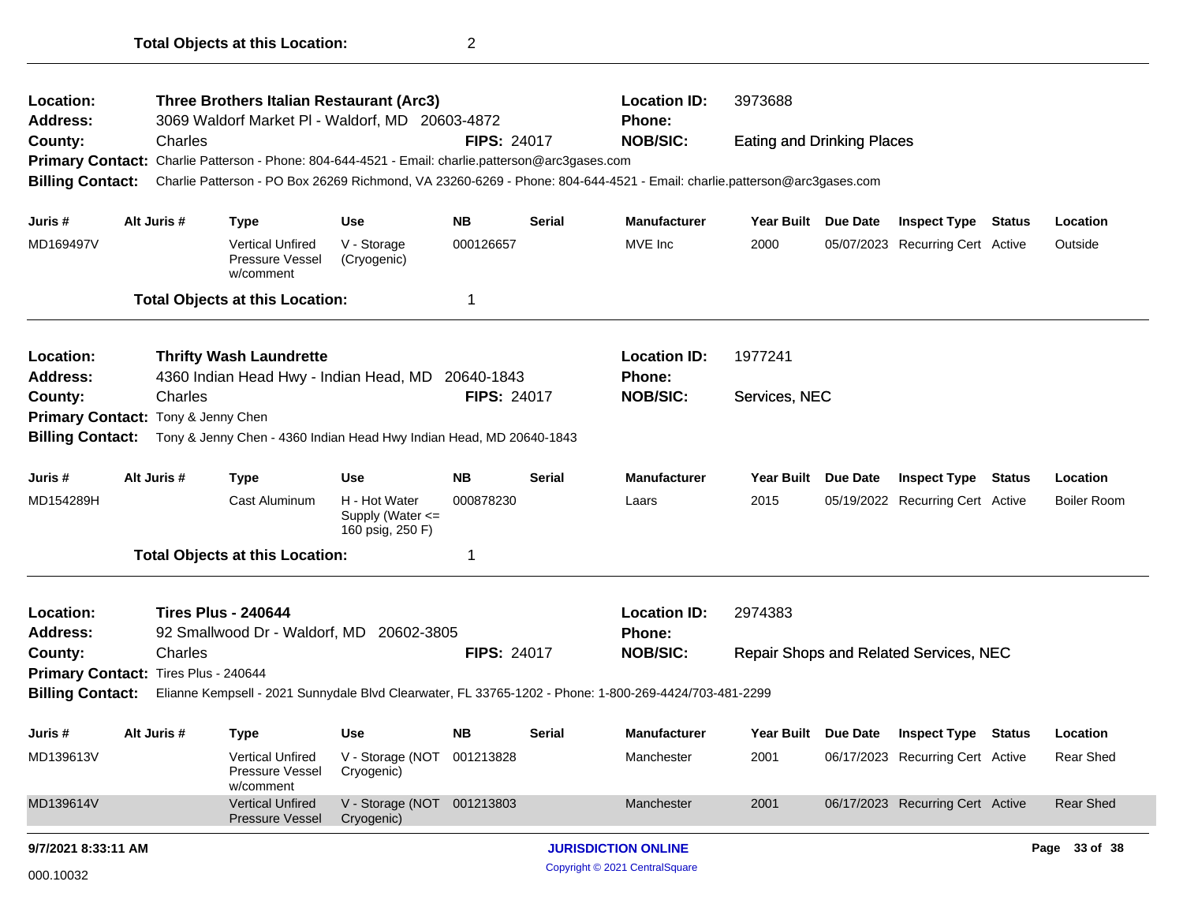| Location:<br>Address:                |             | Three Brothers Italian Restaurant (Arc3)<br>3069 Waldorf Market PI - Waldorf, MD 20603-4872       |                                                       |                    |        | <b>Location ID:</b><br><b>Phone:</b>                                                                                    | 3973688                           |          |                                               |  |                    |  |
|--------------------------------------|-------------|---------------------------------------------------------------------------------------------------|-------------------------------------------------------|--------------------|--------|-------------------------------------------------------------------------------------------------------------------------|-----------------------------------|----------|-----------------------------------------------|--|--------------------|--|
| County:                              | Charles     |                                                                                                   |                                                       | <b>FIPS: 24017</b> |        | <b>NOB/SIC:</b>                                                                                                         | <b>Eating and Drinking Places</b> |          |                                               |  |                    |  |
|                                      |             | Primary Contact: Charlie Patterson - Phone: 804-644-4521 - Email: charlie.patterson@arc3gases.com |                                                       |                    |        |                                                                                                                         |                                   |          |                                               |  |                    |  |
| <b>Billing Contact:</b>              |             |                                                                                                   |                                                       |                    |        | Charlie Patterson - PO Box 26269 Richmond, VA 23260-6269 - Phone: 804-644-4521 - Email: charlie.patterson@arc3gases.com |                                   |          |                                               |  |                    |  |
| Juris #                              | Alt Juris # | <b>Type</b>                                                                                       | Use                                                   | NB.                | Serial | <b>Manufacturer</b>                                                                                                     | Year Built Due Date               |          | <b>Inspect Type Status</b>                    |  | Location           |  |
| MD169497V                            |             | <b>Vertical Unfired</b><br>Pressure Vessel<br>w/comment                                           | V - Storage<br>(Cryogenic)                            | 000126657          |        | MVE Inc                                                                                                                 | 2000                              |          | 05/07/2023 Recurring Cert Active              |  | Outside            |  |
|                                      |             | <b>Total Objects at this Location:</b>                                                            |                                                       | 1                  |        |                                                                                                                         |                                   |          |                                               |  |                    |  |
| Location:                            |             | <b>Thrifty Wash Laundrette</b>                                                                    |                                                       |                    |        | <b>Location ID:</b>                                                                                                     | 1977241                           |          |                                               |  |                    |  |
| <b>Address:</b>                      |             | 4360 Indian Head Hwy - Indian Head, MD 20640-1843                                                 |                                                       |                    |        | Phone:                                                                                                                  |                                   |          |                                               |  |                    |  |
| County:                              | Charles     |                                                                                                   |                                                       | <b>FIPS: 24017</b> |        | <b>NOB/SIC:</b>                                                                                                         | Services, NEC                     |          |                                               |  |                    |  |
| Primary Contact: Tony & Jenny Chen   |             |                                                                                                   |                                                       |                    |        |                                                                                                                         |                                   |          |                                               |  |                    |  |
| <b>Billing Contact:</b>              |             | Tony & Jenny Chen - 4360 Indian Head Hwy Indian Head, MD 20640-1843                               |                                                       |                    |        |                                                                                                                         |                                   |          |                                               |  |                    |  |
| Juris #                              | Alt Juris # | <b>Type</b>                                                                                       | <b>Use</b>                                            | NB.                | Serial | <b>Manufacturer</b>                                                                                                     | <b>Year Built</b>                 | Due Date | <b>Inspect Type Status</b>                    |  | Location           |  |
| MD154289H                            |             | Cast Aluminum                                                                                     | H - Hot Water<br>Supply (Water <=<br>160 psig, 250 F) | 000878230          |        | Laars                                                                                                                   | 2015                              |          | 05/19/2022 Recurring Cert Active              |  | <b>Boiler Room</b> |  |
|                                      |             | <b>Total Objects at this Location:</b>                                                            |                                                       | 1                  |        |                                                                                                                         |                                   |          |                                               |  |                    |  |
| Location:                            |             | <b>Tires Plus - 240644</b>                                                                        |                                                       |                    |        | <b>Location ID:</b>                                                                                                     | 2974383                           |          |                                               |  |                    |  |
| Address:                             |             | 92 Smallwood Dr - Waldorf, MD 20602-3805                                                          |                                                       |                    |        | <b>Phone:</b>                                                                                                           |                                   |          |                                               |  |                    |  |
| County:                              | Charles     |                                                                                                   |                                                       | <b>FIPS: 24017</b> |        | <b>NOB/SIC:</b>                                                                                                         |                                   |          | <b>Repair Shops and Related Services, NEC</b> |  |                    |  |
| Primary Contact: Tires Plus - 240644 |             |                                                                                                   |                                                       |                    |        |                                                                                                                         |                                   |          |                                               |  |                    |  |
|                                      |             |                                                                                                   |                                                       |                    |        | Billing Contact: Elianne Kempsell - 2021 Sunnydale Blvd Clearwater, FL 33765-1202 - Phone: 1-800-269-4424/703-481-2299  |                                   |          |                                               |  |                    |  |
| Juris #                              | Alt Juris # | <b>Type</b>                                                                                       | Use                                                   | NB.                | Serial | <b>Manufacturer</b>                                                                                                     |                                   |          | Year Built Due Date Inspect Type Status       |  | Location           |  |
| MD139613V                            |             | <b>Vertical Unfired</b><br>Pressure Vessel<br>w/comment                                           | V - Storage (NOT 001213828<br>Cryogenic)              |                    |        | Manchester                                                                                                              | 2001                              |          | 06/17/2023 Recurring Cert Active              |  | Rear Shed          |  |
| MD139614V                            |             | <b>Vertical Unfired</b><br>Pressure Vessel                                                        | V - Storage (NOT 001213803<br>Cryogenic)              |                    |        | Manchester                                                                                                              | 2001                              |          | 06/17/2023 Recurring Cert Active              |  | <b>Rear Shed</b>   |  |
| 9/7/2021 8:33:11 AM                  |             |                                                                                                   |                                                       |                    |        | <b>JURISDICTION ONLINE</b>                                                                                              |                                   |          |                                               |  | Page 33 of 38      |  |
| 000.10032                            |             |                                                                                                   |                                                       |                    |        | Copyright © 2021 CentralSquare                                                                                          |                                   |          |                                               |  |                    |  |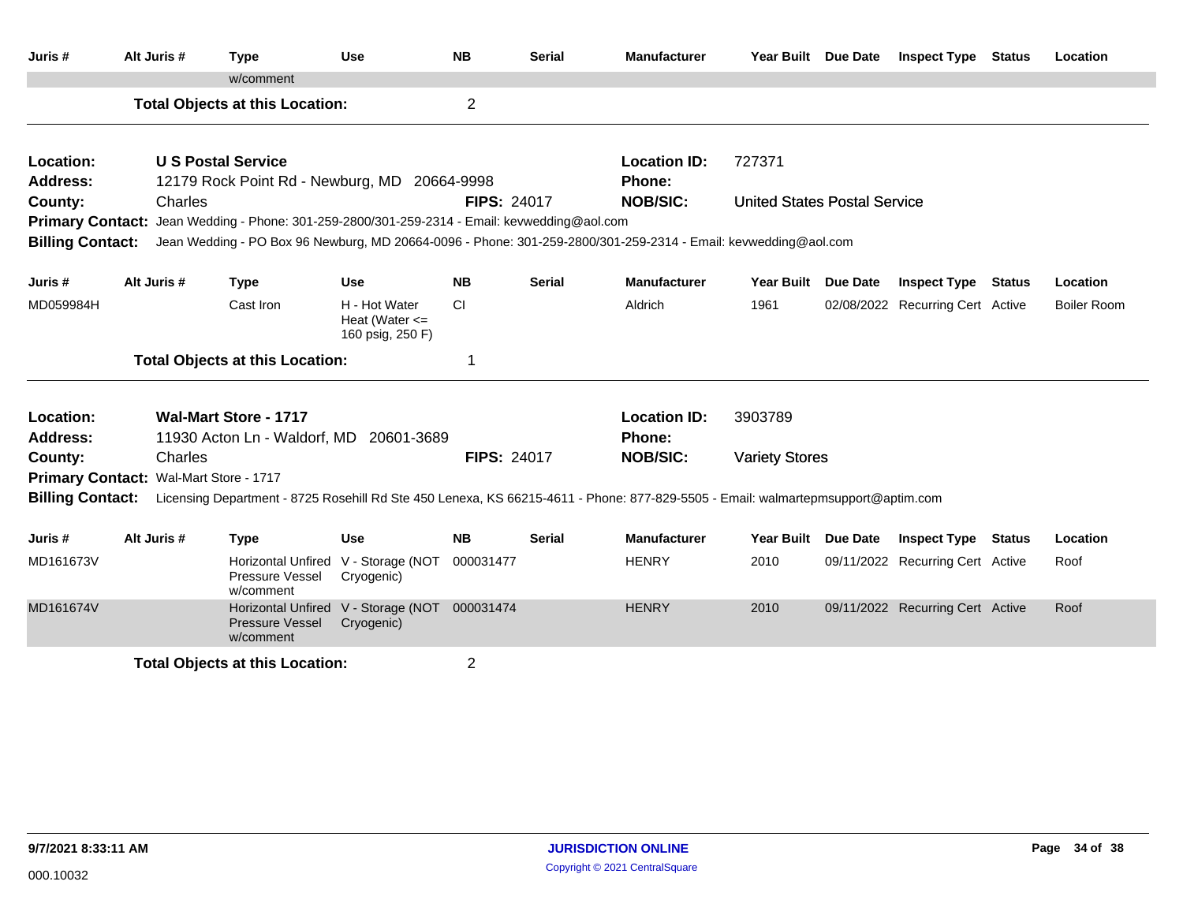| Juris #                 | Alt Juris #                            | <b>Type</b>                                                                 | <b>Use</b>                                              | <b>NB</b>          | <b>Serial</b> | <b>Manufacturer</b>                                                                                                              | Year Built Due Date                 |          | <b>Inspect Type Status</b>       |        | Location           |
|-------------------------|----------------------------------------|-----------------------------------------------------------------------------|---------------------------------------------------------|--------------------|---------------|----------------------------------------------------------------------------------------------------------------------------------|-------------------------------------|----------|----------------------------------|--------|--------------------|
|                         |                                        | w/comment                                                                   |                                                         |                    |               |                                                                                                                                  |                                     |          |                                  |        |                    |
|                         |                                        | <b>Total Objects at this Location:</b>                                      |                                                         | $\overline{2}$     |               |                                                                                                                                  |                                     |          |                                  |        |                    |
| Location:               |                                        | <b>U.S. Postal Service</b>                                                  |                                                         |                    |               | <b>Location ID:</b>                                                                                                              | 727371                              |          |                                  |        |                    |
| <b>Address:</b>         |                                        | 12179 Rock Point Rd - Newburg, MD 20664-9998                                |                                                         |                    |               | <b>Phone:</b>                                                                                                                    |                                     |          |                                  |        |                    |
| County:                 | Charles                                |                                                                             |                                                         | <b>FIPS: 24017</b> |               | <b>NOB/SIC:</b>                                                                                                                  | <b>United States Postal Service</b> |          |                                  |        |                    |
| <b>Primary Contact:</b> |                                        | Jean Wedding - Phone: 301-259-2800/301-259-2314 - Email: kevwedding@aol.com |                                                         |                    |               |                                                                                                                                  |                                     |          |                                  |        |                    |
| <b>Billing Contact:</b> |                                        |                                                                             |                                                         |                    |               | Jean Wedding - PO Box 96 Newburg, MD 20664-0096 - Phone: 301-259-2800/301-259-2314 - Email: kevwedding@aol.com                   |                                     |          |                                  |        |                    |
| Juris #                 | Alt Juris #                            | <b>Type</b>                                                                 | <b>Use</b>                                              | <b>NB</b>          | <b>Serial</b> | <b>Manufacturer</b>                                                                                                              | Year Built                          | Due Date | <b>Inspect Type</b>              | Status | Location           |
| MD059984H               |                                        | Cast Iron                                                                   | H - Hot Water<br>Heat (Water $\leq$<br>160 psig, 250 F) | CI                 |               | Aldrich                                                                                                                          | 1961                                |          | 02/08/2022 Recurring Cert Active |        | <b>Boiler Room</b> |
|                         |                                        | <b>Total Objects at this Location:</b>                                      |                                                         | 1                  |               |                                                                                                                                  |                                     |          |                                  |        |                    |
| Location:               |                                        | <b>Wal-Mart Store - 1717</b>                                                |                                                         |                    |               | <b>Location ID:</b>                                                                                                              | 3903789                             |          |                                  |        |                    |
| <b>Address:</b>         |                                        | 11930 Acton Ln - Waldorf, MD 20601-3689                                     |                                                         |                    |               | Phone:                                                                                                                           |                                     |          |                                  |        |                    |
| County:                 | Charles                                |                                                                             |                                                         | <b>FIPS: 24017</b> |               | <b>NOB/SIC:</b>                                                                                                                  | <b>Variety Stores</b>               |          |                                  |        |                    |
|                         | Primary Contact: Wal-Mart Store - 1717 |                                                                             |                                                         |                    |               |                                                                                                                                  |                                     |          |                                  |        |                    |
| <b>Billing Contact:</b> |                                        |                                                                             |                                                         |                    |               | Licensing Department - 8725 Rosehill Rd Ste 450 Lenexa, KS 66215-4611 - Phone: 877-829-5505 - Email: walmartepmsupport@aptim.com |                                     |          |                                  |        |                    |
| Juris #                 | Alt Juris #                            | <b>Type</b>                                                                 | <b>Use</b>                                              | <b>NB</b>          | <b>Serial</b> | <b>Manufacturer</b>                                                                                                              | Year Built Due Date                 |          | <b>Inspect Type Status</b>       |        | Location           |
| MD161673V               |                                        | <b>Horizontal Unfired</b><br>Pressure Vessel<br>w/comment                   | V - Storage (NOT<br>Cryogenic)                          | 000031477          |               | <b>HENRY</b>                                                                                                                     | 2010                                |          | 09/11/2022 Recurring Cert Active |        | Roof               |
| MD161674V               |                                        | <b>Horizontal Unfired</b><br><b>Pressure Vessel</b><br>w/comment            | V - Storage (NOT 000031474<br>Cryogenic)                |                    |               | <b>HENRY</b>                                                                                                                     | 2010                                |          | 09/11/2022 Recurring Cert Active |        | Roof               |
|                         |                                        | <b>Total Objects at this Location:</b>                                      |                                                         | 2                  |               |                                                                                                                                  |                                     |          |                                  |        |                    |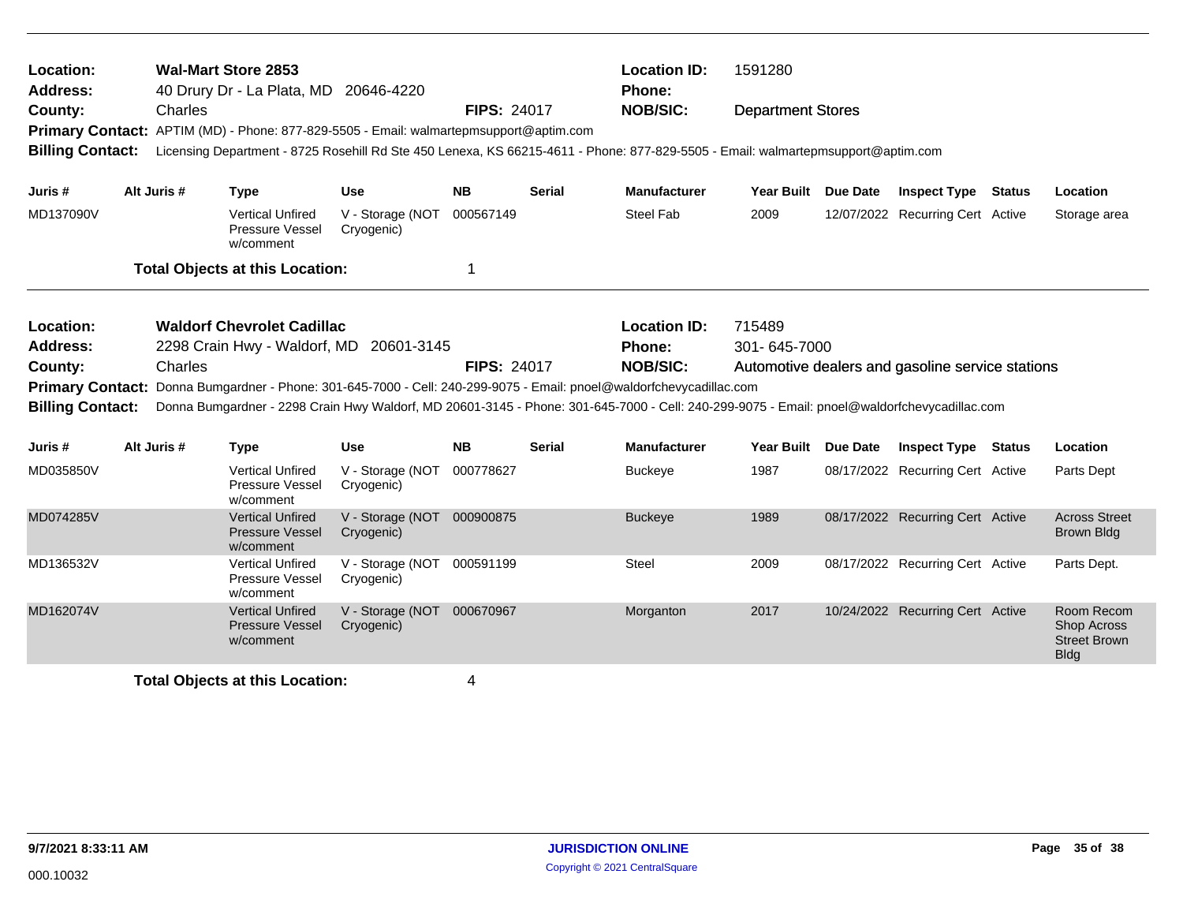| Location:<br><b>Address:</b>       | <b>Wal-Mart Store 2853</b><br>40 Drury Dr - La Plata, MD 20646-4220 |                                                                                                                                             |                                          |                    |               | <b>Location ID:</b><br><b>Phone:</b>                                                                                                                                            | 1591280             |  |                                                  |  |                                                                        |
|------------------------------------|---------------------------------------------------------------------|---------------------------------------------------------------------------------------------------------------------------------------------|------------------------------------------|--------------------|---------------|---------------------------------------------------------------------------------------------------------------------------------------------------------------------------------|---------------------|--|--------------------------------------------------|--|------------------------------------------------------------------------|
| County:<br><b>Billing Contact:</b> | Charles                                                             | Primary Contact: APTIM (MD) - Phone: 877-829-5505 - Email: walmartepmsupport@aptim.com                                                      |                                          | <b>FIPS: 24017</b> |               | <b>NOB/SIC:</b><br><b>Department Stores</b><br>Licensing Department - 8725 Rosehill Rd Ste 450 Lenexa, KS 66215-4611 - Phone: 877-829-5505 - Email: walmartepmsupport@aptim.com |                     |  |                                                  |  |                                                                        |
| Juris #                            | Alt Juris #                                                         | <b>Type</b>                                                                                                                                 | <b>Use</b>                               | <b>NB</b>          | <b>Serial</b> | <b>Manufacturer</b>                                                                                                                                                             | Year Built Due Date |  | <b>Inspect Type Status</b>                       |  | Location                                                               |
| MD137090V                          |                                                                     | <b>Vertical Unfired</b><br>Pressure Vessel<br>w/comment                                                                                     | V - Storage (NOT<br>Cryogenic)           | 000567149          |               | <b>Steel Fab</b>                                                                                                                                                                | 2009                |  | 12/07/2022 Recurring Cert Active                 |  | Storage area                                                           |
|                                    |                                                                     | <b>Total Objects at this Location:</b>                                                                                                      |                                          | 1                  |               |                                                                                                                                                                                 |                     |  |                                                  |  |                                                                        |
| Location:                          |                                                                     | <b>Waldorf Chevrolet Cadillac</b>                                                                                                           |                                          |                    |               | <b>Location ID:</b>                                                                                                                                                             | 715489              |  |                                                  |  |                                                                        |
| <b>Address:</b>                    |                                                                     | 2298 Crain Hwy - Waldorf, MD 20601-3145                                                                                                     |                                          |                    | Phone:        | 301-645-7000                                                                                                                                                                    |                     |  |                                                  |  |                                                                        |
| County:                            | Charles                                                             |                                                                                                                                             |                                          | <b>FIPS: 24017</b> |               | <b>NOB/SIC:</b>                                                                                                                                                                 |                     |  | Automotive dealers and gasoline service stations |  |                                                                        |
| <b>Primary Contact:</b>            |                                                                     | Donna Bumgardner - Phone: 301-645-7000 - Cell: 240-299-9075 - Email: pnoel@waldorfchevycadillac.com                                         |                                          |                    |               |                                                                                                                                                                                 |                     |  |                                                  |  |                                                                        |
| <b>Billing Contact:</b>            |                                                                     | Donna Bumgardner - 2298 Crain Hwy Waldorf, MD 20601-3145 - Phone: 301-645-7000 - Cell: 240-299-9075 - Email: pnoel@waldorfchevycadillac.com |                                          |                    |               |                                                                                                                                                                                 |                     |  |                                                  |  |                                                                        |
| Juris #                            | Alt Juris #                                                         | <b>Type</b>                                                                                                                                 | <b>Use</b>                               | NB.                | Serial        | <b>Manufacturer</b>                                                                                                                                                             | Year Built Due Date |  | <b>Inspect Type Status</b>                       |  | Location                                                               |
| MD035850V                          |                                                                     | <b>Vertical Unfired</b><br>Pressure Vessel<br>w/comment                                                                                     | V - Storage (NOT<br>Cryogenic)           | 000778627          |               | <b>Buckeye</b>                                                                                                                                                                  | 1987                |  | 08/17/2022 Recurring Cert Active                 |  | Parts Dept                                                             |
| MD074285V                          |                                                                     | <b>Vertical Unfired</b><br><b>Pressure Vessel</b><br>w/comment                                                                              | V - Storage (NOT 000900875<br>Cryogenic) |                    |               | <b>Buckeye</b>                                                                                                                                                                  | 1989                |  | 08/17/2022 Recurring Cert Active                 |  | <b>Across Street</b><br><b>Brown Bldg</b>                              |
| MD136532V                          |                                                                     | <b>Vertical Unfired</b><br>Pressure Vessel<br>w/comment                                                                                     | V - Storage (NOT 000591199<br>Cryogenic) |                    |               | Steel                                                                                                                                                                           | 2009                |  | 08/17/2022 Recurring Cert Active                 |  | Parts Dept.                                                            |
| MD162074V                          |                                                                     | <b>Vertical Unfired</b><br><b>Pressure Vessel</b><br>w/comment                                                                              | V - Storage (NOT 000670967<br>Cryogenic) |                    |               | Morganton                                                                                                                                                                       | 2017                |  | 10/24/2022 Recurring Cert Active                 |  | Room Recom<br><b>Shop Across</b><br><b>Street Brown</b><br><b>Bldg</b> |
|                                    |                                                                     | <b>Total Objects at this Location:</b>                                                                                                      |                                          | 4                  |               |                                                                                                                                                                                 |                     |  |                                                  |  |                                                                        |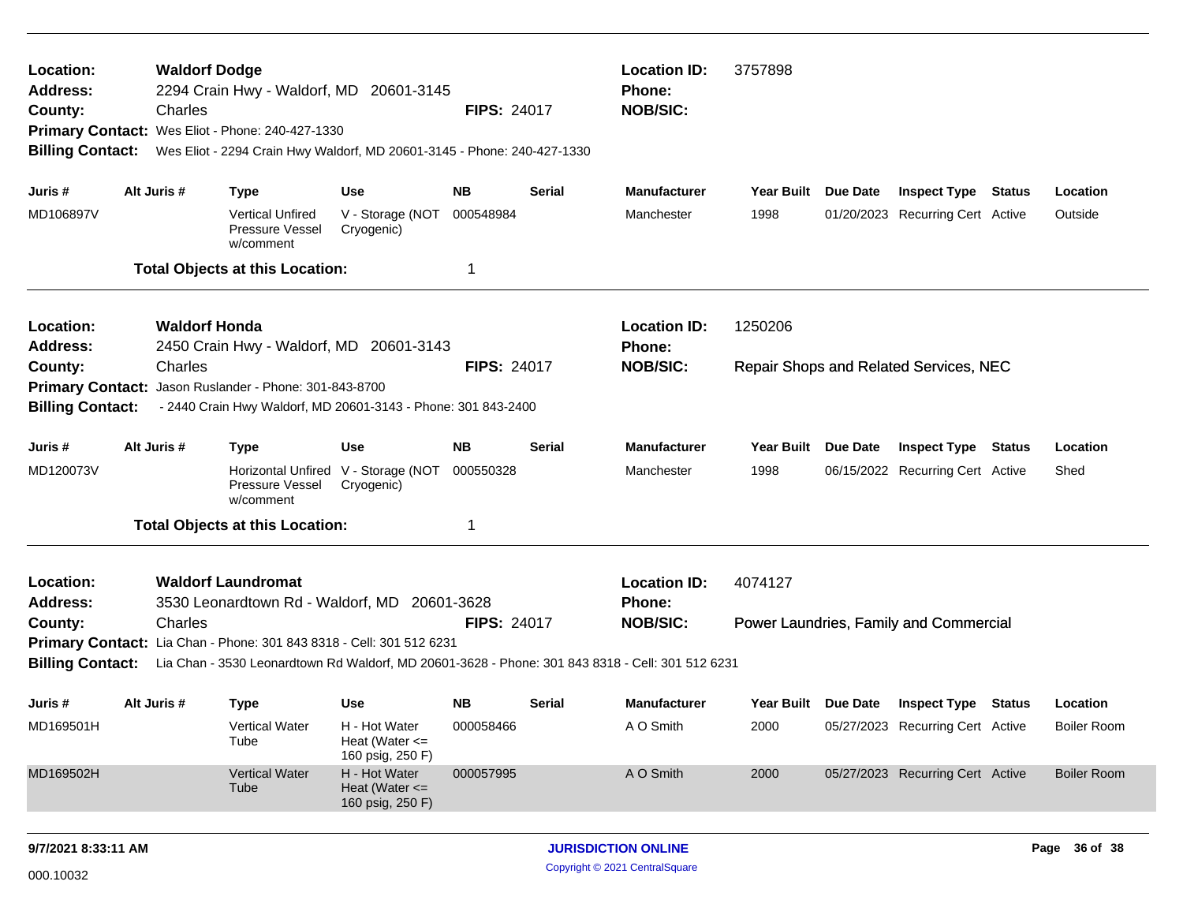| Location:<br><b>Waldorf Dodge</b><br>2294 Crain Hwy - Waldorf, MD 20601-3145<br><b>Address:</b><br>Charles<br>County:<br>Primary Contact: Wes Eliot - Phone: 240-427-1330<br><b>Billing Contact:</b><br>Wes Eliot - 2294 Crain Hwy Waldorf, MD 20601-3145 - Phone: 240-427-1330 |             |                      |                                                                |                                                                      |                    | <b>FIPS: 24017</b> | <b>Location ID:</b><br>Phone:<br><b>NOB/SIC:</b>                                                 | 3757898             |          |                                               |                    |
|---------------------------------------------------------------------------------------------------------------------------------------------------------------------------------------------------------------------------------------------------------------------------------|-------------|----------------------|----------------------------------------------------------------|----------------------------------------------------------------------|--------------------|--------------------|--------------------------------------------------------------------------------------------------|---------------------|----------|-----------------------------------------------|--------------------|
| Juris #                                                                                                                                                                                                                                                                         | Alt Juris # |                      | <b>Type</b>                                                    | Use                                                                  | NΒ                 | Serial             | <b>Manufacturer</b>                                                                              | Year Built Due Date |          | <b>Inspect Type Status</b>                    | Location           |
| MD106897V                                                                                                                                                                                                                                                                       |             |                      | <b>Vertical Unfired</b><br><b>Pressure Vessel</b><br>w/comment | V - Storage (NOT<br>Cryogenic)                                       | 000548984          |                    | Manchester                                                                                       | 1998                |          | 01/20/2023 Recurring Cert Active              | Outside            |
|                                                                                                                                                                                                                                                                                 |             |                      | <b>Total Objects at this Location:</b>                         |                                                                      | 1                  |                    |                                                                                                  |                     |          |                                               |                    |
| Location:<br><b>Address:</b>                                                                                                                                                                                                                                                    |             | <b>Waldorf Honda</b> |                                                                | 2450 Crain Hwy - Waldorf, MD 20601-3143                              |                    |                    | <b>Location ID:</b><br><b>Phone:</b>                                                             | 1250206             |          |                                               |                    |
| County:                                                                                                                                                                                                                                                                         |             | Charles              |                                                                |                                                                      | <b>FIPS: 24017</b> |                    | <b>NOB/SIC:</b>                                                                                  |                     |          | <b>Repair Shops and Related Services, NEC</b> |                    |
| <b>Primary Contact:</b>                                                                                                                                                                                                                                                         |             |                      | Jason Ruslander - Phone: 301-843-8700                          |                                                                      |                    |                    |                                                                                                  |                     |          |                                               |                    |
| <b>Billing Contact:</b>                                                                                                                                                                                                                                                         |             |                      |                                                                | - 2440 Crain Hwy Waldorf, MD 20601-3143 - Phone: 301 843-2400        |                    |                    |                                                                                                  |                     |          |                                               |                    |
| Juris #                                                                                                                                                                                                                                                                         | Alt Juris # |                      | <b>Type</b>                                                    | <b>Use</b>                                                           | <b>NB</b>          | Serial             | <b>Manufacturer</b>                                                                              | <b>Year Built</b>   | Due Date | <b>Inspect Type Status</b>                    | Location           |
| MD120073V                                                                                                                                                                                                                                                                       |             |                      | Pressure Vessel<br>w/comment                                   | Horizontal Unfired V - Storage (NOT<br>Cryogenic)                    | 000550328          |                    | Manchester                                                                                       | 1998                |          | 06/15/2022 Recurring Cert Active              | Shed               |
|                                                                                                                                                                                                                                                                                 |             |                      | <b>Total Objects at this Location:</b>                         |                                                                      | 1                  |                    |                                                                                                  |                     |          |                                               |                    |
| Location:<br><b>Address:</b>                                                                                                                                                                                                                                                    |             |                      | <b>Waldorf Laundromat</b>                                      | 3530 Leonardtown Rd - Waldorf, MD 20601-3628                         |                    |                    | <b>Location ID:</b><br>Phone:                                                                    | 4074127             |          |                                               |                    |
| County:                                                                                                                                                                                                                                                                         |             | Charles              |                                                                |                                                                      | <b>FIPS: 24017</b> |                    | <b>NOB/SIC:</b>                                                                                  |                     |          | Power Laundries, Family and Commercial        |                    |
|                                                                                                                                                                                                                                                                                 |             |                      |                                                                | Primary Contact: Lia Chan - Phone: 301 843 8318 - Cell: 301 512 6231 |                    |                    |                                                                                                  |                     |          |                                               |                    |
| <b>Billing Contact:</b>                                                                                                                                                                                                                                                         |             |                      |                                                                |                                                                      |                    |                    | Lia Chan - 3530 Leonardtown Rd Waldorf, MD 20601-3628 - Phone: 301 843 8318 - Cell: 301 512 6231 |                     |          |                                               |                    |
| Juris #                                                                                                                                                                                                                                                                         | Alt Juris # |                      | <b>Type</b>                                                    | Use                                                                  | <b>NB</b>          | Serial             | <b>Manufacturer</b>                                                                              | Year Built Due Date |          | <b>Inspect Type Status</b>                    | Location           |
| MD169501H                                                                                                                                                                                                                                                                       |             |                      | <b>Vertical Water</b><br>Tube                                  | H - Hot Water<br>Heat (Water $\leq$<br>160 psig, 250 F)              | 000058466          |                    | A O Smith                                                                                        | 2000                |          | 05/27/2023 Recurring Cert Active              | <b>Boiler Room</b> |
| MD169502H                                                                                                                                                                                                                                                                       |             |                      | <b>Vertical Water</b><br>Tube                                  | H - Hot Water<br>Heat (Water $\leq$<br>160 psig, 250 F)              | 000057995          |                    | A O Smith                                                                                        | 2000                |          | 05/27/2023 Recurring Cert Active              | <b>Boiler Room</b> |
| 9/7/2021 8:33:11 AM                                                                                                                                                                                                                                                             |             |                      |                                                                |                                                                      |                    |                    | <b>JURISDICTION ONLINE</b>                                                                       |                     |          |                                               | Page 36 of 38      |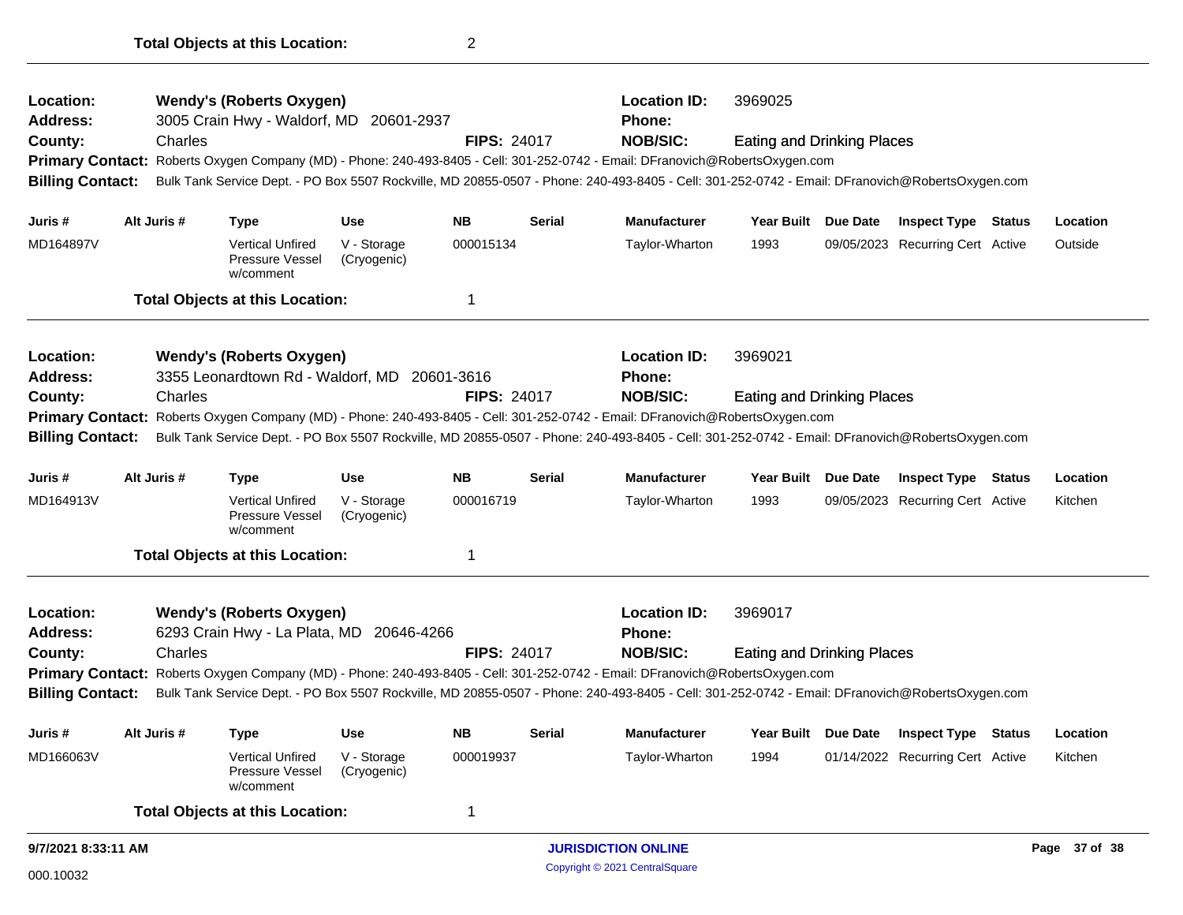| 9/7/2021 8:33:11 AM                                |             |         |                                                                |                            |                    |               | <b>JURISDICTION ONLINE</b>                                                                                                                      |                                   |  |                                  |  | Page 37 of 38 |
|----------------------------------------------------|-------------|---------|----------------------------------------------------------------|----------------------------|--------------------|---------------|-------------------------------------------------------------------------------------------------------------------------------------------------|-----------------------------------|--|----------------------------------|--|---------------|
|                                                    |             |         | <b>Total Objects at this Location:</b>                         |                            | $\mathbf 1$        |               |                                                                                                                                                 |                                   |  |                                  |  |               |
| MD166063V                                          |             |         | <b>Vertical Unfired</b><br><b>Pressure Vessel</b><br>w/comment | V - Storage<br>(Cryogenic) | 000019937          |               | Taylor-Wharton                                                                                                                                  | 1994                              |  | 01/14/2022 Recurring Cert Active |  | Kitchen       |
| Juris #                                            | Alt Juris # |         | Type                                                           | <b>Use</b>                 | <b>NB</b>          | <b>Serial</b> | <b>Manufacturer</b>                                                                                                                             | Year Built Due Date               |  | <b>Inspect Type Status</b>       |  | Location      |
| <b>Billing Contact:</b>                            |             |         |                                                                |                            |                    |               | Bulk Tank Service Dept. - PO Box 5507 Rockville, MD 20855-0507 - Phone: 240-493-8405 - Cell: 301-252-0742 - Email: DFranovich@RobertsOxygen.com |                                   |  |                                  |  |               |
|                                                    |             |         |                                                                |                            |                    |               | Primary Contact: Roberts Oxygen Company (MD) - Phone: 240-493-8405 - Cell: 301-252-0742 - Email: DFranovich@RobertsOxygen.com                   |                                   |  |                                  |  |               |
| County:                                            |             | Charles |                                                                |                            | <b>FIPS: 24017</b> |               | <b>NOB/SIC:</b>                                                                                                                                 | <b>Eating and Drinking Places</b> |  |                                  |  |               |
| <b>Address:</b>                                    |             |         | 6293 Crain Hwy - La Plata, MD 20646-4266                       |                            |                    |               | <b>Phone:</b>                                                                                                                                   |                                   |  |                                  |  |               |
| Location:                                          |             |         | <b>Wendy's (Roberts Oxygen)</b>                                |                            |                    |               | <b>Location ID:</b>                                                                                                                             | 3969017                           |  |                                  |  |               |
|                                                    |             |         | <b>Total Objects at this Location:</b>                         |                            | 1                  |               |                                                                                                                                                 |                                   |  |                                  |  |               |
| MD164913V                                          |             |         | <b>Vertical Unfired</b><br><b>Pressure Vessel</b><br>w/comment | V - Storage<br>(Cryogenic) | 000016719          |               | Taylor-Wharton                                                                                                                                  | 1993                              |  | 09/05/2023 Recurring Cert Active |  | Kitchen       |
| Juris #                                            | Alt Juris # |         | <b>Type</b>                                                    | <b>Use</b>                 | <b>NB</b>          | Serial        | <b>Manufacturer</b>                                                                                                                             | Year Built Due Date               |  | <b>Inspect Type Status</b>       |  | Location      |
| <b>Billing Contact:</b>                            |             |         |                                                                |                            |                    |               | Bulk Tank Service Dept. - PO Box 5507 Rockville, MD 20855-0507 - Phone: 240-493-8405 - Cell: 301-252-0742 - Email: DFranovich@RobertsOxygen.com |                                   |  |                                  |  |               |
| <b>Primary Contact:</b>                            |             |         |                                                                |                            |                    |               | Roberts Oxygen Company (MD) - Phone: 240-493-8405 - Cell: 301-252-0742 - Email: DFranovich@RobertsOxygen.com                                    |                                   |  |                                  |  |               |
| County:                                            |             | Charles |                                                                |                            | <b>FIPS: 24017</b> |               | <b>NOB/SIC:</b>                                                                                                                                 | <b>Eating and Drinking Places</b> |  |                                  |  |               |
| <b>Address:</b>                                    |             |         | 3355 Leonardtown Rd - Waldorf, MD 20601-3616                   |                            |                    |               | <b>Phone:</b>                                                                                                                                   |                                   |  |                                  |  |               |
| Location:                                          |             |         | <b>Wendy's (Roberts Oxygen)</b>                                |                            |                    |               | <b>Location ID:</b>                                                                                                                             | 3969021                           |  |                                  |  |               |
|                                                    |             |         | <b>Total Objects at this Location:</b>                         |                            | 1                  |               |                                                                                                                                                 |                                   |  |                                  |  |               |
| MD164897V                                          |             |         | <b>Vertical Unfired</b><br>Pressure Vessel<br>w/comment        | V - Storage<br>(Cryogenic) | 000015134          |               | Taylor-Wharton                                                                                                                                  | 1993                              |  | 09/05/2023 Recurring Cert Active |  | Outside       |
| Juris #                                            | Alt Juris # |         | <b>Type</b>                                                    | <b>Use</b>                 | <b>NB</b>          | <b>Serial</b> | <b>Manufacturer</b>                                                                                                                             | Year Built Due Date               |  | <b>Inspect Type Status</b>       |  | Location      |
| <b>Primary Contact:</b><br><b>Billing Contact:</b> |             |         |                                                                |                            |                    |               | Bulk Tank Service Dept. - PO Box 5507 Rockville, MD 20855-0507 - Phone: 240-493-8405 - Cell: 301-252-0742 - Email: DFranovich@RobertsOxygen.com |                                   |  |                                  |  |               |
| County:                                            |             | Charles |                                                                |                            | <b>FIPS: 24017</b> |               | <b>NOB/SIC:</b><br>Roberts Oxygen Company (MD) - Phone: 240-493-8405 - Cell: 301-252-0742 - Email: DFranovich@RobertsOxygen.com                 | <b>Eating and Drinking Places</b> |  |                                  |  |               |
| <b>Address:</b>                                    |             |         | 3005 Crain Hwy - Waldorf, MD                                   | 20601-2937                 |                    |               | <b>Phone:</b>                                                                                                                                   |                                   |  |                                  |  |               |
| <b>Wendy's (Roberts Oxygen)</b><br>Location:       |             |         |                                                                | <b>Location ID:</b>        |                    |               | 3969025                                                                                                                                         |                                   |  |                                  |  |               |